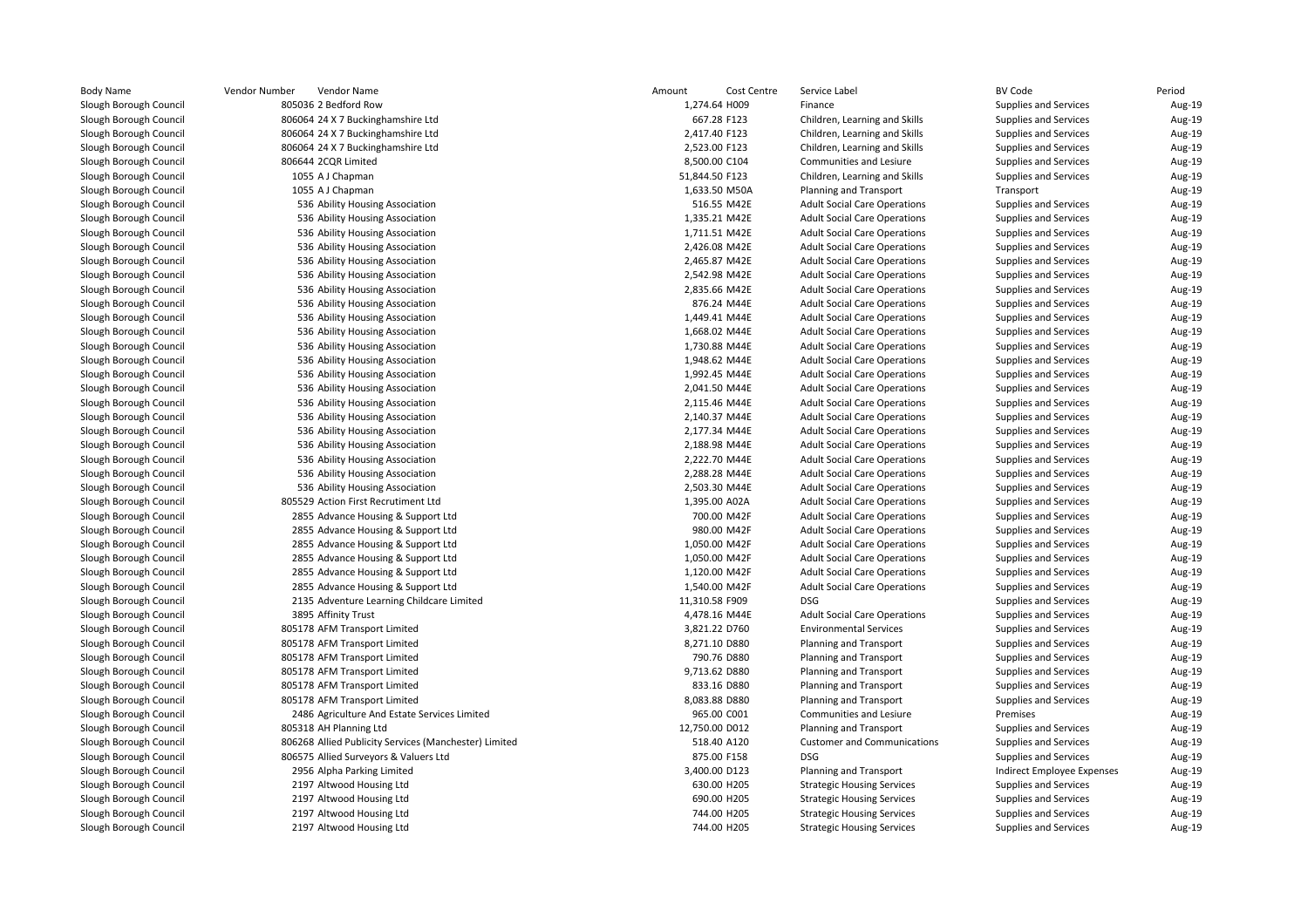|               | Vendor Number<br>Vendor Name                          | Amount         | Cost Centre | Service Label                       | <b>BV Code</b>             | Period |
|---------------|-------------------------------------------------------|----------------|-------------|-------------------------------------|----------------------------|--------|
| ough Council  | 805036 2 Bedford Row                                  | 1,274.64 H009  |             | Finance                             | Supplies and Services      | Aug-19 |
| ough Council  | 806064 24 X 7 Buckinghamshire Ltd                     | 667.28 F123    |             | Children, Learning and Skills       | Supplies and Services      | Aug-19 |
| ough Council  | 806064 24 X 7 Buckinghamshire Ltd                     | 2,417.40 F123  |             | Children, Learning and Skills       | Supplies and Services      | Aug-19 |
| rough Council | 806064 24 X 7 Buckinghamshire Ltd                     | 2,523.00 F123  |             | Children, Learning and Skills       | Supplies and Services      | Aug-19 |
| ough Council  | 806644 2CQR Limited                                   | 8,500.00 C104  |             | Communities and Lesiure             | Supplies and Services      | Aug-19 |
| ough Council  | 1055 A J Chapman                                      | 51,844.50 F123 |             | Children, Learning and Skills       | Supplies and Services      | Aug-19 |
| ough Council  | 1055 A J Chapman                                      | 1,633.50 M50A  |             | <b>Planning and Transport</b>       | Transport                  | Aug-19 |
| ough Council  | 536 Ability Housing Association                       | 516.55 M42E    |             | <b>Adult Social Care Operations</b> | Supplies and Services      | Aug-19 |
| ough Council  | 536 Ability Housing Association                       | 1,335.21 M42E  |             | <b>Adult Social Care Operations</b> | Supplies and Services      | Aug-19 |
| ough Council  | 536 Ability Housing Association                       | 1,711.51 M42E  |             | <b>Adult Social Care Operations</b> | Supplies and Services      | Aug-19 |
| rough Council | 536 Ability Housing Association                       | 2,426.08 M42E  |             | <b>Adult Social Care Operations</b> | Supplies and Services      | Aug-19 |
| rough Council | 536 Ability Housing Association                       | 2,465.87 M42E  |             | <b>Adult Social Care Operations</b> | Supplies and Services      | Aug-19 |
| rough Council | 536 Ability Housing Association                       | 2,542.98 M42E  |             | <b>Adult Social Care Operations</b> | Supplies and Services      | Aug-19 |
| rough Council | 536 Ability Housing Association                       | 2,835.66 M42E  |             | <b>Adult Social Care Operations</b> | Supplies and Services      | Aug-19 |
| ough Council  | 536 Ability Housing Association                       | 876.24 M44E    |             | <b>Adult Social Care Operations</b> | Supplies and Services      | Aug-19 |
| ough Council  | 536 Ability Housing Association                       | 1,449.41 M44E  |             | <b>Adult Social Care Operations</b> | Supplies and Services      | Aug-19 |
| ough Council  | 536 Ability Housing Association                       | 1,668.02 M44E  |             | <b>Adult Social Care Operations</b> | Supplies and Services      | Aug-19 |
| ough Council  | 536 Ability Housing Association                       | 1,730.88 M44E  |             | <b>Adult Social Care Operations</b> | Supplies and Services      | Aug-19 |
| rough Council | 536 Ability Housing Association                       | 1,948.62 M44E  |             | <b>Adult Social Care Operations</b> | Supplies and Services      | Aug-19 |
| ough Council  | 536 Ability Housing Association                       | 1,992.45 M44E  |             | <b>Adult Social Care Operations</b> | Supplies and Services      | Aug-19 |
| rough Council | 536 Ability Housing Association                       | 2,041.50 M44E  |             | <b>Adult Social Care Operations</b> | Supplies and Services      | Aug-19 |
| rough Council | 536 Ability Housing Association                       | 2,115.46 M44E  |             | <b>Adult Social Care Operations</b> | Supplies and Services      | Aug-19 |
| ough Council  | 536 Ability Housing Association                       | 2,140.37 M44E  |             | <b>Adult Social Care Operations</b> | Supplies and Services      | Aug-19 |
| rough Council | 536 Ability Housing Association                       | 2,177.34 M44E  |             | <b>Adult Social Care Operations</b> | Supplies and Services      | Aug-19 |
| rough Council | 536 Ability Housing Association                       | 2,188.98 M44E  |             | <b>Adult Social Care Operations</b> | Supplies and Services      | Aug-19 |
| ough Council  | 536 Ability Housing Association                       | 2,222.70 M44E  |             | <b>Adult Social Care Operations</b> | Supplies and Services      | Aug-19 |
| ough Council  | 536 Ability Housing Association                       | 2,288.28 M44E  |             | <b>Adult Social Care Operations</b> | Supplies and Services      | Aug-19 |
| rough Council | 536 Ability Housing Association                       | 2,503.30 M44E  |             | <b>Adult Social Care Operations</b> | Supplies and Services      | Aug-19 |
| rough Council | 805529 Action First Recrutiment Ltd                   | 1,395.00 A02A  |             | <b>Adult Social Care Operations</b> | Supplies and Services      | Aug-19 |
| rough Council | 2855 Advance Housing & Support Ltd                    | 700.00 M42F    |             | <b>Adult Social Care Operations</b> | Supplies and Services      | Aug-19 |
| ough Council  | 2855 Advance Housing & Support Ltd                    | 980.00 M42F    |             | <b>Adult Social Care Operations</b> | Supplies and Services      | Aug-19 |
| ough Council  | 2855 Advance Housing & Support Ltd                    | 1,050.00 M42F  |             | <b>Adult Social Care Operations</b> | Supplies and Services      | Aug-19 |
| ough Council  | 2855 Advance Housing & Support Ltd                    | 1,050.00 M42F  |             | <b>Adult Social Care Operations</b> | Supplies and Services      | Aug-19 |
| ough Council  | 2855 Advance Housing & Support Ltd                    | 1,120.00 M42F  |             | <b>Adult Social Care Operations</b> | Supplies and Services      | Aug-19 |
| rough Council | 2855 Advance Housing & Support Ltd                    | 1,540.00 M42F  |             | <b>Adult Social Care Operations</b> | Supplies and Services      | Aug-19 |
| rough Council | 2135 Adventure Learning Childcare Limited             | 11,310.58 F909 |             | <b>DSG</b>                          | Supplies and Services      | Aug-19 |
| rough Council | 3895 Affinity Trust                                   | 4,478.16 M44E  |             | <b>Adult Social Care Operations</b> | Supplies and Services      | Aug-19 |
| ough Council  | 805178 AFM Transport Limited                          | 3,821.22 D760  |             | <b>Environmental Services</b>       | Supplies and Services      | Aug-19 |
| ough Council  | 805178 AFM Transport Limited                          | 8,271.10 D880  |             | <b>Planning and Transport</b>       | Supplies and Services      | Aug-19 |
| ough Council  | 805178 AFM Transport Limited                          | 790.76 D880    |             | <b>Planning and Transport</b>       | Supplies and Services      | Aug-19 |
| ough Council  | 805178 AFM Transport Limited                          | 9,713.62 D880  |             | <b>Planning and Transport</b>       | Supplies and Services      | Aug-19 |
| rough Council | 805178 AFM Transport Limited                          | 833.16 D880    |             | <b>Planning and Transport</b>       | Supplies and Services      | Aug-19 |
| ough Council  | 805178 AFM Transport Limited                          | 8,083.88 D880  |             | <b>Planning and Transport</b>       | Supplies and Services      | Aug-19 |
| ough Council  | 2486 Agriculture And Estate Services Limited          | 965.00 C001    |             | Communities and Lesiure             | Premises                   | Aug-19 |
| rough Council | 805318 AH Planning Ltd                                | 12,750.00 D012 |             | Planning and Transport              | Supplies and Services      | Aug-19 |
| rough Council | 806268 Allied Publicity Services (Manchester) Limited | 518.40 A120    |             | <b>Customer and Communications</b>  | Supplies and Services      | Aug-19 |
| ough Council  | 806575 Allied Surveyors & Valuers Ltd                 | 875.00 F158    |             | <b>DSG</b>                          | Supplies and Services      | Aug-19 |
| ough Council  | 2956 Alpha Parking Limited                            | 3,400.00 D123  |             | <b>Planning and Transport</b>       | Indirect Employee Expenses | Aug-19 |
| ough Council  | 2197 Altwood Housing Ltd                              | 630.00 H205    |             | <b>Strategic Housing Services</b>   | Supplies and Services      | Aug-19 |
| rough Council | 2197 Altwood Housing Ltd                              | 690.00 H205    |             | <b>Strategic Housing Services</b>   | Supplies and Services      | Aug-19 |
| ough Council  | 2197 Altwood Housing Ltd                              | 744.00 H205    |             | <b>Strategic Housing Services</b>   | Supplies and Services      | Aug-19 |
| ough Council  | 2197 Altwood Housing Ltd                              | 744.00 H205    |             | <b>Strategic Housing Services</b>   | Supplies and Services      | Aug-19 |
|               |                                                       |                |             |                                     |                            |        |

Aug-19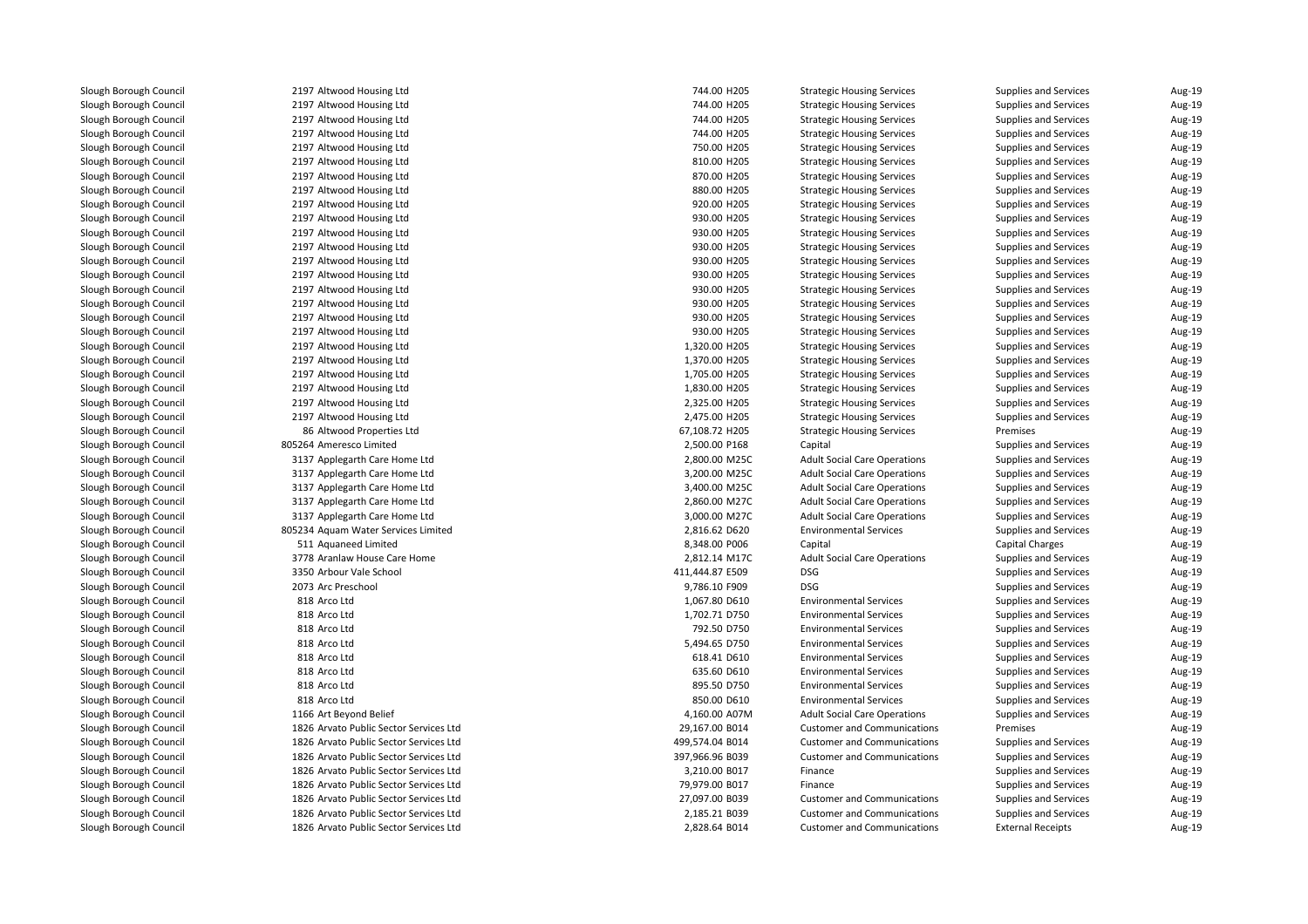2197 Altwood Housing Ltd 2197 Altwood Housing Ltd 2197 Altwood Housing Ltd 2197 Altwood Housing Ltd 2197 Altwood Housing Ltd 2197 Altwood Housing Ltd 2197 Altwood Housing Ltd 2197 Altwood Housing Ltd 2197 Altwood Housing Ltd 2197 Altwood Housing Ltd 2197 Altwood Housing Ltd 2197 Altwood Housing Ltd 2197 Altwood Housing Ltd 2197 Altwood Housing Ltd 2197 Altwood Housing Ltd 2197 Altwood Housing Ltd 2197 Altwood Housing Ltd 2197 Altwood Housing Ltd 2197 Altwood Housing Ltd 2197 Altwood Housing Ltd 2197 Altwood Housing Ltd 2197 Altwood Housing Ltd 2197 Altwood Housing Ltd 2197 Altwood Housing Ltd 8686 Altwood Properties Ltd 805264 Ameresco Limited 3137 Applegarth Care Home Ltd 3137 Applegarth Care Home Ltd 3137 Applegarth Care Home Ltd 3137 Applegarth Care Home Ltd 3137 Applegarth Care Home Ltd 805234 Aquam Water Services Limited 511 Aquaneed Limited 3778 Aranlaw House Care Home 2,812.14 M17C 3350 Arbour Vale School 411,444.87 E509 DSG2073 Arc Preschool Arc Preschool DSG و9,786.10 F909 DSG 818 Arco Ltd 818 Arco Ltd 818 Arco Ltd 818 Arco Ltd 818 Arco Ltd 818 Arco Ltd 818818 Arco Ltd 818 Arco Ltd1 1166 Art Beyond Belief 4,160.00 A07M 4,160.00 A07M 4,160.00 A07M 1826 Arvato Public Sector Services Ltd 1826 Arvato Public Sector Services Ltd 1826 Arvato Public Sector Services Ltd 1826 Arvato Public Sector Services Ltd 1826 Arvato Public Sector Services Ltd 1826 Arvato Public Sector Services Ltd 1826 Arvato Public Sector Services Ltd1826 Arvato Public Sector Services Ltd

| d Housing Ltd                     | 744.00 H205     | <b>Strategic Housing Services</b>   | Supplies and Services        | Aug-19 |
|-----------------------------------|-----------------|-------------------------------------|------------------------------|--------|
| d Housing Ltd                     | 744.00 H205     | <b>Strategic Housing Services</b>   | Supplies and Services        | Aug-19 |
| d Housing Ltd                     | 744.00 H205     | <b>Strategic Housing Services</b>   | Supplies and Services        | Aug-19 |
| d Housing Ltd                     | 744.00 H205     | <b>Strategic Housing Services</b>   | Supplies and Services        | Aug-19 |
| d Housing Ltd                     | 750.00 H205     | <b>Strategic Housing Services</b>   | Supplies and Services        | Aug-19 |
| d Housing Ltd                     | 810.00 H205     | <b>Strategic Housing Services</b>   | Supplies and Services        | Aug-19 |
| d Housing Ltd                     | 870.00 H205     | <b>Strategic Housing Services</b>   | Supplies and Services        | Aug-19 |
| d Housing Ltd                     | 880.00 H205     | <b>Strategic Housing Services</b>   | Supplies and Services        | Aug-19 |
| d Housing Ltd                     | 920.00 H205     | <b>Strategic Housing Services</b>   | Supplies and Services        | Aug-19 |
| d Housing Ltd                     | 930.00 H205     | <b>Strategic Housing Services</b>   | Supplies and Services        | Aug-19 |
| d Housing Ltd                     | 930.00 H205     | <b>Strategic Housing Services</b>   | Supplies and Services        | Aug-19 |
| d Housing Ltd                     | 930.00 H205     | <b>Strategic Housing Services</b>   | Supplies and Services        | Aug-19 |
| d Housing Ltd                     | 930.00 H205     | <b>Strategic Housing Services</b>   | Supplies and Services        | Aug-19 |
| d Housing Ltd                     | 930.00 H205     | <b>Strategic Housing Services</b>   | Supplies and Services        | Aug-19 |
| d Housing Ltd                     | 930.00 H205     | <b>Strategic Housing Services</b>   | Supplies and Services        | Aug-19 |
| d Housing Ltd                     | 930.00 H205     | <b>Strategic Housing Services</b>   | Supplies and Services        | Aug-19 |
| d Housing Ltd                     | 930.00 H205     | <b>Strategic Housing Services</b>   | Supplies and Services        | Aug-19 |
| d Housing Ltd                     | 930.00 H205     | <b>Strategic Housing Services</b>   | Supplies and Services        | Aug-19 |
| d Housing Ltd                     | 1,320.00 H205   | <b>Strategic Housing Services</b>   | <b>Supplies and Services</b> | Aug-19 |
| d Housing Ltd                     | 1,370.00 H205   | <b>Strategic Housing Services</b>   | Supplies and Services        | Aug-19 |
| d Housing Ltd                     | 1,705.00 H205   | <b>Strategic Housing Services</b>   | Supplies and Services        | Aug-19 |
| d Housing Ltd                     | 1,830.00 H205   | <b>Strategic Housing Services</b>   | <b>Supplies and Services</b> | Aug-19 |
| d Housing Ltd                     | 2,325.00 H205   | <b>Strategic Housing Services</b>   | Supplies and Services        | Aug-19 |
| d Housing Ltd                     | 2,475.00 H205   | <b>Strategic Housing Services</b>   | Supplies and Services        | Aug-19 |
| d Properties Ltd                  | 67,108.72 H205  | <b>Strategic Housing Services</b>   | Premises                     | Aug-19 |
| sco Limited                       | 2,500.00 P168   | Capital                             | Supplies and Services        | Aug-19 |
| arth Care Home Ltd                | 2,800.00 M25C   | <b>Adult Social Care Operations</b> | Supplies and Services        | Aug-19 |
| arth Care Home Ltd                | 3,200.00 M25C   | <b>Adult Social Care Operations</b> | Supplies and Services        | Aug-19 |
| arth Care Home Ltd                | 3,400.00 M25C   | <b>Adult Social Care Operations</b> | Supplies and Services        | Aug-19 |
| arth Care Home Ltd                | 2,860.00 M27C   | <b>Adult Social Care Operations</b> | Supplies and Services        | Aug-19 |
| arth Care Home Ltd                | 3,000.00 M27C   | <b>Adult Social Care Operations</b> | Supplies and Services        | Aug-19 |
| <b>Water Services Limited</b>     | 2,816.62 D620   | <b>Environmental Services</b>       | Supplies and Services        | Aug-19 |
| ed Limited                        | 8,348.00 P006   | Capital                             | <b>Capital Charges</b>       | Aug-19 |
| w House Care Home                 | 2,812.14 M17C   | <b>Adult Social Care Operations</b> | Supplies and Services        | Aug-19 |
| Vale School                       | 411,444.87 E509 | <b>DSG</b>                          | Supplies and Services        | Aug-19 |
| school                            | 9,786.10 F909   | <b>DSG</b>                          | Supplies and Services        | Aug-19 |
| d                                 | 1,067.80 D610   | <b>Environmental Services</b>       | Supplies and Services        | Aug-19 |
| d                                 | 1,702.71 D750   | <b>Environmental Services</b>       | Supplies and Services        | Aug-19 |
| d                                 | 792.50 D750     | <b>Environmental Services</b>       | Supplies and Services        | Aug-19 |
| d                                 | 5,494.65 D750   | <b>Environmental Services</b>       |                              |        |
|                                   |                 |                                     | Supplies and Services        | Aug-19 |
| d                                 | 618.41 D610     | <b>Environmental Services</b>       | Supplies and Services        | Aug-19 |
| d                                 | 635.60 D610     | <b>Environmental Services</b>       | Supplies and Services        | Aug-19 |
| d                                 | 895.50 D750     | <b>Environmental Services</b>       | Supplies and Services        | Aug-19 |
| d                                 | 850.00 D610     | <b>Environmental Services</b>       | Supplies and Services        | Aug-19 |
| ond Belief                        | 4,160.00 A07M   | <b>Adult Social Care Operations</b> | Supplies and Services        | Aug-19 |
| <b>Public Sector Services Ltd</b> | 29,167.00 B014  | <b>Customer and Communications</b>  | Premises                     | Aug-19 |
| Public Sector Services Ltd        | 499,574.04 B014 | <b>Customer and Communications</b>  | Supplies and Services        | Aug-19 |
| <b>Public Sector Services Ltd</b> | 397,966.96 B039 | <b>Customer and Communications</b>  | <b>Supplies and Services</b> | Aug-19 |
| <b>Public Sector Services Ltd</b> | 3,210.00 B017   | Finance                             | Supplies and Services        | Aug-19 |
| Public Sector Services Ltd        | 79,979.00 B017  | Finance                             | Supplies and Services        | Aug-19 |
| Public Sector Services Ltd        | 27,097.00 B039  | <b>Customer and Communications</b>  | Supplies and Services        | Aug-19 |
| Public Sector Services Ltd        | 2,185.21 B039   | <b>Customer and Communications</b>  | <b>Supplies and Services</b> | Aug-19 |
| Public Sector Services Ltd        | 2,828.64 B014   | <b>Customer and Communications</b>  | <b>External Receipts</b>     | Aug-19 |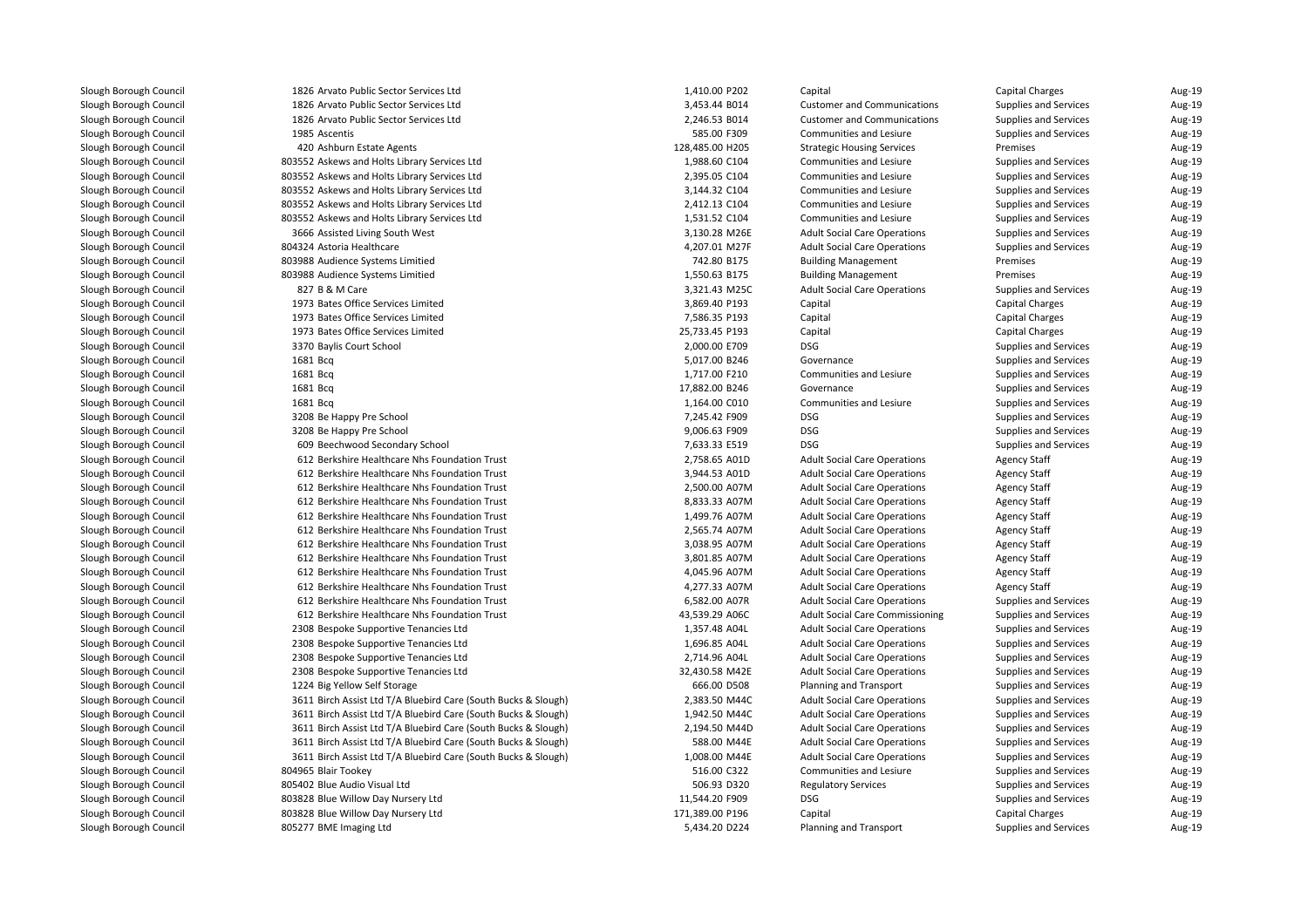| 1826 Arvato Public Sector Services Ltd                         | 1,410.00 P202   | Capital                                  | <b>Capital Charges</b> | Aug-19           |
|----------------------------------------------------------------|-----------------|------------------------------------------|------------------------|------------------|
| 1826 Arvato Public Sector Services Ltd                         | 3,453.44 B014   | <b>Customer and Communications</b>       | Supplies and Services  | Aug-19           |
| 1826 Arvato Public Sector Services Ltd                         | 2,246.53 B014   | <b>Customer and Communications</b>       | Supplies and Services  | Aug-19           |
| 1985 Ascentis                                                  | 585.00 F309     | Communities and Lesiure                  | Supplies and Services  | Aug-19           |
| 420 Ashburn Estate Agents                                      | 128,485.00 H205 | <b>Strategic Housing Services</b>        | Premises               | Aug-19           |
| 803552 Askews and Holts Library Services Ltd                   | 1,988.60 C104   | Communities and Lesiure                  | Supplies and Services  | Aug-19           |
| 803552 Askews and Holts Library Services Ltd                   | 2,395.05 C104   | Communities and Lesiure                  | Supplies and Services  | Aug-19           |
| 803552 Askews and Holts Library Services Ltd                   | 3,144.32 C104   | Communities and Lesiure                  | Supplies and Services  | Aug-19           |
| 803552 Askews and Holts Library Services Ltd                   | 2,412.13 C104   | Communities and Lesiure                  | Supplies and Services  | Aug-19           |
| 803552 Askews and Holts Library Services Ltd                   | 1,531.52 C104   | Communities and Lesiure                  | Supplies and Services  | Aug-19           |
| 3666 Assisted Living South West                                | 3,130.28 M26E   | <b>Adult Social Care Operations</b>      | Supplies and Services  | Aug-19           |
| 804324 Astoria Healthcare                                      | 4,207.01 M27F   | <b>Adult Social Care Operations</b>      | Supplies and Services  | Aug-19           |
| 803988 Audience Systems Limitied                               | 742.80 B175     | <b>Building Management</b>               | Premises               | Aug-19           |
| 803988 Audience Systems Limitied                               | 1,550.63 B175   | <b>Building Management</b>               | Premises               | Aug-19           |
| 827 B & M Care                                                 | 3,321.43 M25C   | <b>Adult Social Care Operations</b>      | Supplies and Services  | Aug-19           |
| 1973 Bates Office Services Limited                             | 3,869.40 P193   | Capital                                  | Capital Charges        | Aug-19           |
| 1973 Bates Office Services Limited                             | 7,586.35 P193   | Capital                                  | <b>Capital Charges</b> | Aug-19           |
| 1973 Bates Office Services Limited                             | 25,733.45 P193  | Capital                                  | <b>Capital Charges</b> | Aug-19           |
| 3370 Baylis Court School                                       | 2,000.00 E709   | <b>DSG</b>                               | Supplies and Services  | Aug-19           |
| 1681 Bcg                                                       | 5,017.00 B246   | Governance                               | Supplies and Services  | Aug-19           |
| 1681 Bcg                                                       | 1,717.00 F210   | Communities and Lesiure                  | Supplies and Services  | Aug-19           |
| 1681 Bcg                                                       | 17,882.00 B246  | Governance                               | Supplies and Services  | Aug-19           |
| 1681 Bcg                                                       | 1,164.00 C010   | Communities and Lesiure                  | Supplies and Services  | Aug-19           |
| 3208 Be Happy Pre School                                       | 7,245.42 F909   | <b>DSG</b>                               | Supplies and Services  | Aug-19           |
| 3208 Be Happy Pre School                                       | 9,006.63 F909   | <b>DSG</b>                               | Supplies and Services  | Aug-19           |
| 609 Beechwood Secondary School                                 | 7,633.33 E519   | <b>DSG</b>                               | Supplies and Services  | Aug-19           |
| 612 Berkshire Healthcare Nhs Foundation Trust                  | 2,758.65 A01D   | <b>Adult Social Care Operations</b>      | <b>Agency Staff</b>    | Aug-19           |
| 612 Berkshire Healthcare Nhs Foundation Trust                  | 3,944.53 A01D   | <b>Adult Social Care Operations</b>      | <b>Agency Staff</b>    | Aug-19           |
| 612 Berkshire Healthcare Nhs Foundation Trust                  | 2,500.00 A07M   | <b>Adult Social Care Operations</b>      | <b>Agency Staff</b>    | Aug-19           |
| 612 Berkshire Healthcare Nhs Foundation Trust                  | 8,833.33 A07M   | <b>Adult Social Care Operations</b>      | <b>Agency Staff</b>    | Aug-19           |
| 612 Berkshire Healthcare Nhs Foundation Trust                  | 1,499.76 A07M   | <b>Adult Social Care Operations</b>      | <b>Agency Staff</b>    | Aug-19           |
| 612 Berkshire Healthcare Nhs Foundation Trust                  | 2,565.74 A07M   | <b>Adult Social Care Operations</b>      | <b>Agency Staff</b>    | Aug-19           |
| 612 Berkshire Healthcare Nhs Foundation Trust                  | 3,038.95 A07M   | <b>Adult Social Care Operations</b>      | <b>Agency Staff</b>    | Aug-19           |
| 612 Berkshire Healthcare Nhs Foundation Trust                  | 3,801.85 A07M   | <b>Adult Social Care Operations</b>      | <b>Agency Staff</b>    | Aug-19           |
| 612 Berkshire Healthcare Nhs Foundation Trust                  | 4,045.96 A07M   | <b>Adult Social Care Operations</b>      | <b>Agency Staff</b>    | Aug-19           |
| 612 Berkshire Healthcare Nhs Foundation Trust                  | 4,277.33 A07M   | <b>Adult Social Care Operations</b>      | <b>Agency Staff</b>    | Aug-19           |
| 612 Berkshire Healthcare Nhs Foundation Trust                  | 6,582.00 A07R   | <b>Adult Social Care Operations</b>      | Supplies and Services  | Aug-19           |
| 612 Berkshire Healthcare Nhs Foundation Trust                  | 43,539.29 A06C  | <b>Adult Social Care Commissioning</b>   | Supplies and Services  | Aug-19           |
| 2308 Bespoke Supportive Tenancies Ltd                          | 1,357.48 A04L   | <b>Adult Social Care Operations</b>      | Supplies and Services  | Aug-19           |
| 2308 Bespoke Supportive Tenancies Ltd                          | 1,696.85 A04L   | <b>Adult Social Care Operations</b>      | Supplies and Services  | Aug-19           |
| 2308 Bespoke Supportive Tenancies Ltd                          | 2,714.96 A04L   | <b>Adult Social Care Operations</b>      | Supplies and Services  | Aug-19           |
| 2308 Bespoke Supportive Tenancies Ltd                          | 32,430.58 M42E  | <b>Adult Social Care Operations</b>      | Supplies and Services  | Aug-19           |
| 1224 Big Yellow Self Storage                                   | 666.00 D508     | <b>Planning and Transport</b>            | Supplies and Services  | Aug-19           |
| 3611 Birch Assist Ltd T/A Bluebird Care (South Bucks & Slough) | 2,383.50 M44C   | <b>Adult Social Care Operations</b>      | Supplies and Services  | Aug-19           |
| 3611 Birch Assist Ltd T/A Bluebird Care (South Bucks & Slough) | 1,942.50 M44C   | <b>Adult Social Care Operations</b>      | Supplies and Services  | Aug-19           |
| 3611 Birch Assist Ltd T/A Bluebird Care (South Bucks & Slough) | 2,194.50 M44D   | <b>Adult Social Care Operations</b>      | Supplies and Services  | Aug-19           |
| 3611 Birch Assist Ltd T/A Bluebird Care (South Bucks & Slough) | 588.00 M44E     | <b>Adult Social Care Operations</b>      | Supplies and Services  | Aug-19           |
| 3611 Birch Assist Ltd T/A Bluebird Care (South Bucks & Slough) | 1,008.00 M44E   | <b>Adult Social Care Operations</b>      | Supplies and Services  | Aug-19           |
| 804965 Blair Tookey                                            | 516.00 C322     | Communities and Lesiure                  | Supplies and Services  | Aug-19           |
|                                                                |                 |                                          |                        |                  |
| 805402 Blue Audio Visual Ltd                                   | 506.93 D320     | <b>Regulatory Services</b><br><b>DSG</b> | Supplies and Services  | Aug-19<br>Aug-19 |
| 803828 Blue Willow Day Nursery Ltd                             | 11,544.20 F909  |                                          | Supplies and Services  |                  |
| 803828 Blue Willow Day Nursery Ltd                             | 171,389.00 P196 | Capital                                  | <b>Capital Charges</b> | Aug-19<br>Aug-19 |
| 805277 BME Imaging Ltd                                         | 5,434.20 D224   | <b>Planning and Transport</b>            | Supplies and Services  |                  |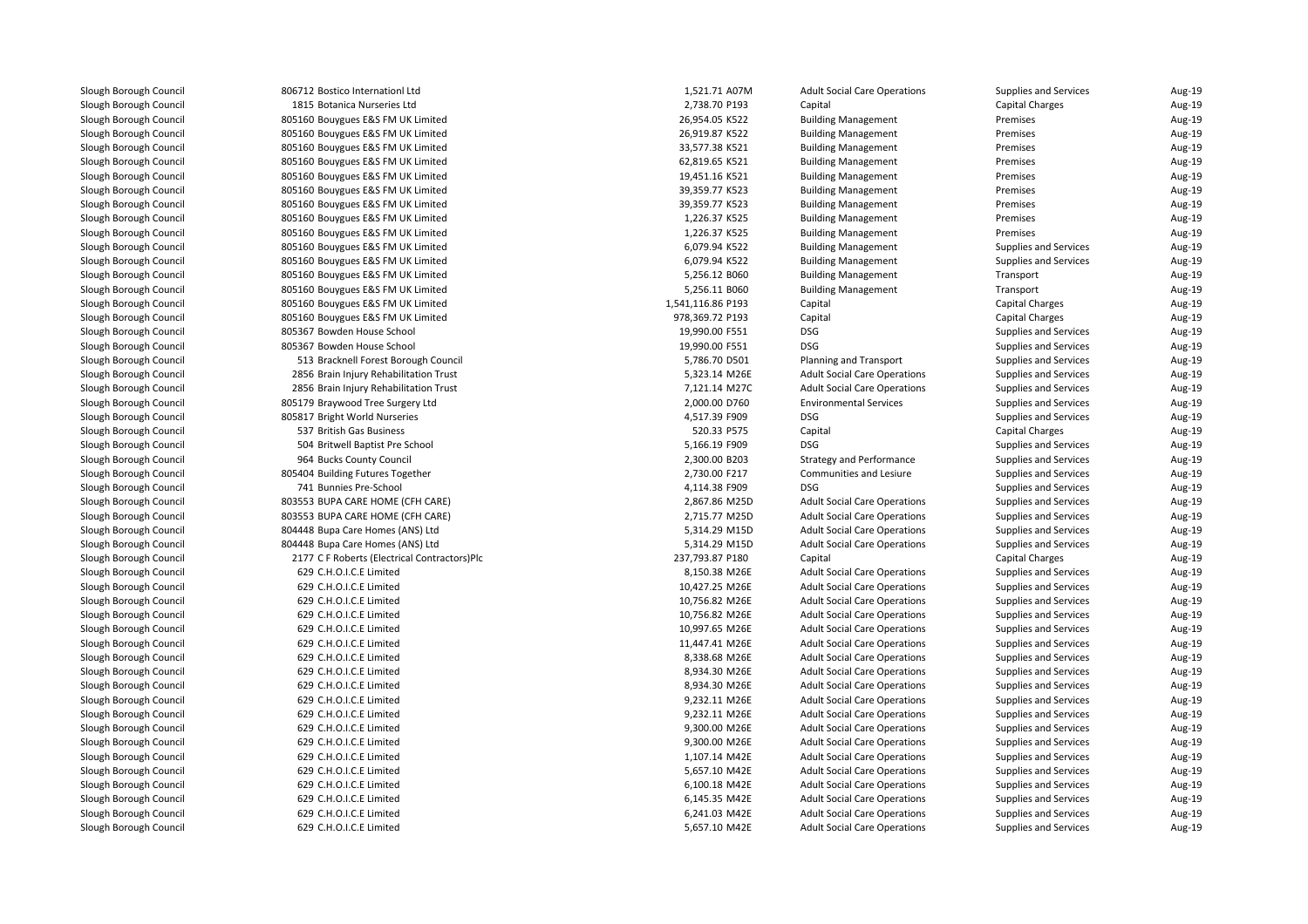| 806712 Bostico Internationl Ltd              | 1,521.71 A07M     | <b>Adult Social Care Operations</b>                                        | Supplies and Services                          | Aug-19 |
|----------------------------------------------|-------------------|----------------------------------------------------------------------------|------------------------------------------------|--------|
| 1815 Botanica Nurseries Ltd                  | 2,738.70 P193     | Capital                                                                    | <b>Capital Charges</b>                         | Aug-19 |
| 805160 Bouygues E&S FM UK Limited            | 26,954.05 K522    | <b>Building Management</b>                                                 | Premises                                       | Aug-19 |
| 805160 Bouygues E&S FM UK Limited            | 26,919.87 K522    | <b>Building Management</b>                                                 | Premises                                       | Aug-19 |
| 805160 Bouygues E&S FM UK Limited            | 33,577.38 K521    | <b>Building Management</b>                                                 | Premises                                       | Aug-19 |
| 805160 Bouygues E&S FM UK Limited            | 62,819.65 K521    | <b>Building Management</b>                                                 | Premises                                       | Aug-19 |
| 805160 Bouygues E&S FM UK Limited            | 19,451.16 K521    | <b>Building Management</b>                                                 | Premises                                       | Aug-19 |
| 805160 Bouygues E&S FM UK Limited            | 39,359.77 K523    | <b>Building Management</b>                                                 | Premises                                       | Aug-19 |
| 805160 Bouygues E&S FM UK Limited            | 39,359.77 K523    | <b>Building Management</b>                                                 | Premises                                       | Aug-19 |
| 805160 Bouygues E&S FM UK Limited            | 1,226.37 K525     | <b>Building Management</b>                                                 | Premises                                       | Aug-19 |
| 805160 Bouygues E&S FM UK Limited            | 1,226.37 K525     | <b>Building Management</b>                                                 | Premises                                       | Aug-19 |
| 805160 Bouygues E&S FM UK Limited            | 6,079.94 K522     | <b>Building Management</b>                                                 | Supplies and Services                          | Aug-19 |
| 805160 Bouygues E&S FM UK Limited            | 6,079.94 K522     | <b>Building Management</b>                                                 | Supplies and Services                          | Aug-19 |
| 805160 Bouygues E&S FM UK Limited            | 5,256.12 B060     | <b>Building Management</b>                                                 | Transport                                      | Aug-19 |
| 805160 Bouygues E&S FM UK Limited            | 5,256.11 B060     | <b>Building Management</b>                                                 | Transport                                      | Aug-19 |
| 805160 Bouygues E&S FM UK Limited            | 1,541,116.86 P193 | Capital                                                                    | <b>Capital Charges</b>                         | Aug-19 |
| 805160 Bouygues E&S FM UK Limited            | 978,369.72 P193   | Capital                                                                    | <b>Capital Charges</b>                         | Aug-19 |
| 805367 Bowden House School                   | 19,990.00 F551    | <b>DSG</b>                                                                 | Supplies and Services                          | Aug-19 |
| 805367 Bowden House School                   | 19,990.00 F551    | <b>DSG</b>                                                                 | Supplies and Services                          | Aug-19 |
| 513 Bracknell Forest Borough Council         | 5,786.70 D501     | <b>Planning and Transport</b>                                              | Supplies and Services                          | Aug-19 |
| 2856 Brain Injury Rehabilitation Trust       | 5,323.14 M26E     | <b>Adult Social Care Operations</b>                                        | Supplies and Services                          | Aug-19 |
| 2856 Brain Injury Rehabilitation Trust       | 7,121.14 M27C     | <b>Adult Social Care Operations</b>                                        | Supplies and Services                          | Aug-19 |
| 805179 Braywood Tree Surgery Ltd             | 2,000.00 D760     | <b>Environmental Services</b>                                              | Supplies and Services                          | Aug-19 |
| 805817 Bright World Nurseries                | 4,517.39 F909     | <b>DSG</b>                                                                 | Supplies and Services                          | Aug-19 |
| 537 British Gas Business                     | 520.33 P575       | Capital                                                                    | <b>Capital Charges</b>                         | Aug-19 |
| 504 Britwell Baptist Pre School              | 5,166.19 F909     | <b>DSG</b>                                                                 | Supplies and Services                          | Aug-19 |
| 964 Bucks County Council                     | 2,300.00 B203     | <b>Strategy and Performance</b>                                            | Supplies and Services                          | Aug-19 |
| 805404 Building Futures Together             | 2,730.00 F217     | Communities and Lesiure                                                    | Supplies and Services                          | Aug-19 |
| 741 Bunnies Pre-School                       | 4,114.38 F909     | <b>DSG</b>                                                                 | Supplies and Services                          | Aug-19 |
| 803553 BUPA CARE HOME (CFH CARE)             | 2,867.86 M25D     | <b>Adult Social Care Operations</b>                                        | Supplies and Services                          | Aug-19 |
| 803553 BUPA CARE HOME (CFH CARE)             | 2,715.77 M25D     | <b>Adult Social Care Operations</b>                                        | Supplies and Services                          | Aug-19 |
| 804448 Bupa Care Homes (ANS) Ltd             | 5,314.29 M15D     | <b>Adult Social Care Operations</b>                                        | Supplies and Services                          | Aug-19 |
| 804448 Bupa Care Homes (ANS) Ltd             | 5,314.29 M15D     | <b>Adult Social Care Operations</b>                                        | Supplies and Services                          | Aug-19 |
| 2177 C F Roberts (Electrical Contractors)Plc | 237,793.87 P180   | Capital                                                                    | <b>Capital Charges</b>                         | Aug-19 |
| 629 C.H.O.I.C.E Limited                      | 8,150.38 M26E     | <b>Adult Social Care Operations</b>                                        | Supplies and Services                          | Aug-19 |
| 629 C.H.O.I.C.E Limited                      | 10,427.25 M26E    | <b>Adult Social Care Operations</b>                                        | Supplies and Services                          | Aug-19 |
| 629 C.H.O.I.C.E Limited                      | 10,756.82 M26E    | <b>Adult Social Care Operations</b>                                        | Supplies and Services                          | Aug-19 |
| 629 C.H.O.I.C.E Limited                      | 10,756.82 M26E    |                                                                            |                                                | Aug-19 |
| 629 C.H.O.I.C.E Limited                      | 10,997.65 M26E    | <b>Adult Social Care Operations</b><br><b>Adult Social Care Operations</b> | Supplies and Services<br>Supplies and Services | Aug-19 |
| 629 C.H.O.I.C.E Limited                      |                   |                                                                            |                                                | Aug-19 |
|                                              | 11,447.41 M26E    | <b>Adult Social Care Operations</b>                                        | Supplies and Services                          |        |
| 629 C.H.O.I.C.E Limited                      | 8,338.68 M26E     | <b>Adult Social Care Operations</b>                                        | Supplies and Services                          | Aug-19 |
| 629 C.H.O.I.C.E Limited                      | 8,934.30 M26E     | <b>Adult Social Care Operations</b>                                        | Supplies and Services                          | Aug-19 |
| 629 C.H.O.I.C.E Limited                      | 8,934.30 M26E     | <b>Adult Social Care Operations</b>                                        | Supplies and Services                          | Aug-19 |
| 629 C.H.O.I.C.E Limited                      | 9,232.11 M26E     | <b>Adult Social Care Operations</b>                                        | Supplies and Services                          | Aug-19 |
| 629 C.H.O.I.C.E Limited                      | 9,232.11 M26E     | <b>Adult Social Care Operations</b>                                        | Supplies and Services                          | Aug-19 |
| 629 C.H.O.I.C.E Limited                      | 9,300.00 M26E     | <b>Adult Social Care Operations</b>                                        | Supplies and Services                          | Aug-19 |
| 629 C.H.O.I.C.E Limited                      | 9,300.00 M26E     | <b>Adult Social Care Operations</b>                                        | Supplies and Services                          | Aug-19 |
| 629 C.H.O.I.C.E Limited                      | 1,107.14 M42E     | <b>Adult Social Care Operations</b>                                        | Supplies and Services                          | Aug-19 |
| 629 C.H.O.I.C.E Limited                      | 5,657.10 M42E     | <b>Adult Social Care Operations</b>                                        | Supplies and Services                          | Aug-19 |
| 629 C.H.O.I.C.E Limited                      | 6,100.18 M42E     | <b>Adult Social Care Operations</b>                                        | Supplies and Services                          | Aug-19 |
| 629 C.H.O.I.C.E Limited                      | 6,145.35 M42E     | <b>Adult Social Care Operations</b>                                        | Supplies and Services                          | Aug-19 |
| 629 C.H.O.I.C.E Limited                      | 6,241.03 M42E     | <b>Adult Social Care Operations</b>                                        | Supplies and Services                          | Aug-19 |
| 629 C.H.O.I.C.E Limited                      | 5,657.10 M42E     | <b>Adult Social Care Operations</b>                                        | Supplies and Services                          | Aug-19 |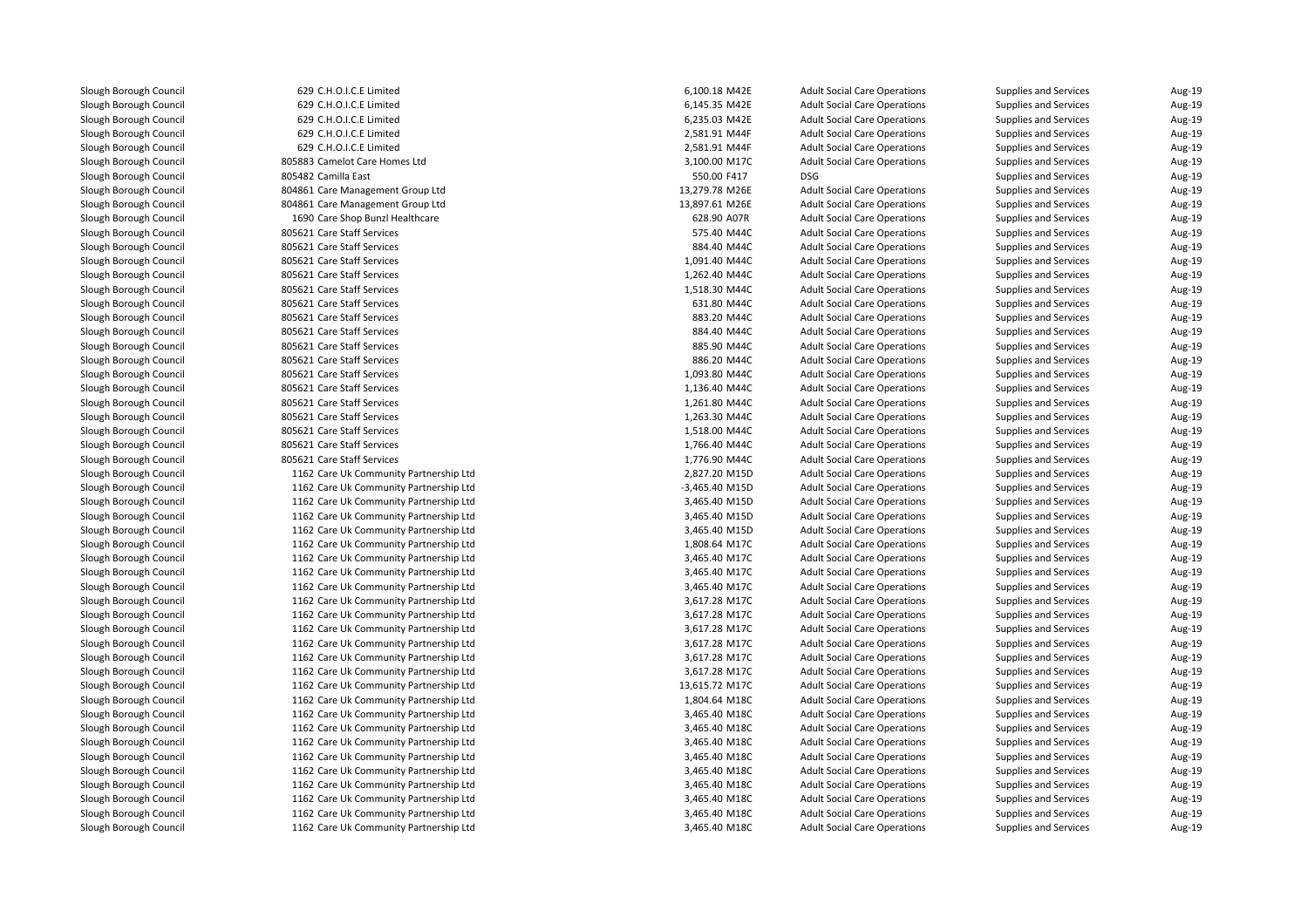629 C.H.O.I.C.E Limited 629 C.H.O.I.C.E Limited 629 C.H.O.I.C.E Limited 629 C.H.O.I.C.E Limited 629 C.H.O.I.C.E Limited 805883 Camelot Care Homes Ltd805482 Camilla Fast Camilla East 550.00 F417 DSG 804861 Care Management Group Ltd 804861 Care Management Group Ltd1 1690 Care Shop Bunzl Healthcare 628.90 A07R **805621 Care Staff Services** 6 Number 2006 2014 12:30 Number 2014 2015 2016 12:40 Number 2014 2015 2016 12:40 Numb 805621 Care Staff Services 884.40 M44C 805621 Care Staff Services 1,091.40 M44C 805621 Care Staff Services 1,262.40 M44C 805621 Care Staff Services 1,518.30 M44C 805621 Care Staff Services 631.80 M44C 805621 Care Staff Services 883.20 M44C 805621 Care Staff Services 884.40 M44C 805621 Care Staff Services 885.90 M44C 805621 Care Staff Services 886.20 M44C 805621 Care Staff Services 1,093.80 M44C**805621 Care Staff Services** 1,136.40 M44C 805621 Care Staff Services 1,261.80 M44C 805621 Care Staff Services 1,263.30 M44C 805621 Care Staff Services 1,518.00 M44C 805621 Care Staff Services 1,766.40 M44C 805621 Care Staff Services 1,776.90 M44C 1162 Care Uk Community Partnership Ltd 1162 Care Uk Community Partnership Ltd 1162 Care Uk Community Partnership Ltd 1162 Care Uk Community Partnership Ltd 1162 Care Uk Community Partnership Ltd 1162 Care Uk Community Partnership Ltd 1162 Care Uk Community Partnership Ltd 1162 Care Uk Community Partnership Ltd 1162 Care Uk Community Partnership Ltd 1162 Care Uk Community Partnership Ltd 1162 Care Uk Community Partnership Ltd 1162 Care Uk Community Partnership Ltd 1162 Care Uk Community Partnership Ltd 1162 Care Uk Community Partnership Ltd 1162 Care Uk Community Partnership Ltd 1162 Care Uk Community Partnership Ltd 1162 Care Uk Community Partnership Ltd 1162 Care Uk Community Partnership Ltd 1162 Care Uk Community Partnership Ltd 1162 Care Uk Community Partnership Ltd 1162 Care Uk Community Partnership Ltd 1162 Care Uk Community Partnership Ltd 1162 Care Uk Community Partnership Ltd 1162 Care Uk Community Partnership Ltd 1162 Care Uk Community Partnership Ltd1162 Care Uk Community Partnership Ltd

| d                   | 6,100.18 M42E  | <b>Adult Social Care Operations</b> | <b>Supplies and Services</b> | Aug-19 |
|---------------------|----------------|-------------------------------------|------------------------------|--------|
| d                   | 6,145.35 M42E  | <b>Adult Social Care Operations</b> | Supplies and Services        | Aug-19 |
| d                   | 6,235.03 M42E  | <b>Adult Social Care Operations</b> | Supplies and Services        | Aug-19 |
| d                   | 2,581.91 M44F  | <b>Adult Social Care Operations</b> | Supplies and Services        | Aug-19 |
| d                   | 2,581.91 M44F  | <b>Adult Social Care Operations</b> | Supplies and Services        | Aug-19 |
| nes Ltd             | 3,100.00 M17C  | <b>Adult Social Care Operations</b> | Supplies and Services        | Aug-19 |
|                     | 550.00 F417    | <b>DSG</b>                          | Supplies and Services        | Aug-19 |
| t Group Ltd         | 13,279.78 M26E | <b>Adult Social Care Operations</b> | Supplies and Services        | Aug-19 |
| t Group Ltd         | 13,897.61 M26E | <b>Adult Social Care Operations</b> | Supplies and Services        | Aug-19 |
| lealthcare          | 628.90 A07R    | <b>Adult Social Care Operations</b> | Supplies and Services        | Aug-19 |
| S                   | 575.40 M44C    | <b>Adult Social Care Operations</b> | Supplies and Services        | Aug-19 |
| s                   | 884.40 M44C    | <b>Adult Social Care Operations</b> | Supplies and Services        | Aug-19 |
| s                   | 1,091.40 M44C  | <b>Adult Social Care Operations</b> | Supplies and Services        | Aug-19 |
| S                   | 1,262.40 M44C  | <b>Adult Social Care Operations</b> | Supplies and Services        | Aug-19 |
| s                   | 1,518.30 M44C  | <b>Adult Social Care Operations</b> | Supplies and Services        | Aug-19 |
| s                   | 631.80 M44C    | <b>Adult Social Care Operations</b> | Supplies and Services        | Aug-19 |
| s                   | 883.20 M44C    | <b>Adult Social Care Operations</b> | Supplies and Services        | Aug-19 |
| s                   | 884.40 M44C    | <b>Adult Social Care Operations</b> | Supplies and Services        | Aug-19 |
| s                   | 885.90 M44C    | <b>Adult Social Care Operations</b> | Supplies and Services        | Aug-19 |
| s                   | 886.20 M44C    | <b>Adult Social Care Operations</b> | Supplies and Services        | Aug-19 |
| s                   | 1,093.80 M44C  | <b>Adult Social Care Operations</b> | Supplies and Services        | Aug-19 |
| S                   | 1,136.40 M44C  | <b>Adult Social Care Operations</b> | Supplies and Services        | Aug-19 |
| s                   | 1,261.80 M44C  | <b>Adult Social Care Operations</b> | Supplies and Services        | Aug-19 |
| s                   | 1,263.30 M44C  | <b>Adult Social Care Operations</b> | Supplies and Services        | Aug-19 |
| s                   | 1,518.00 M44C  | <b>Adult Social Care Operations</b> | Supplies and Services        | Aug-19 |
| s                   | 1,766.40 M44C  | <b>Adult Social Care Operations</b> | Supplies and Services        | Aug-19 |
| Ś                   | 1,776.90 M44C  | <b>Adult Social Care Operations</b> | Supplies and Services        | Aug-19 |
| ity Partnership Ltd | 2,827.20 M15D  | <b>Adult Social Care Operations</b> | Supplies and Services        | Aug-19 |
| ity Partnership Ltd | -3,465.40 M15D | <b>Adult Social Care Operations</b> | Supplies and Services        | Aug-19 |
| ity Partnership Ltd | 3,465.40 M15D  | <b>Adult Social Care Operations</b> | Supplies and Services        | Aug-19 |
| ity Partnership Ltd | 3,465.40 M15D  | <b>Adult Social Care Operations</b> | Supplies and Services        | Aug-19 |
| ity Partnership Ltd | 3,465.40 M15D  | <b>Adult Social Care Operations</b> | Supplies and Services        | Aug-19 |
| ity Partnership Ltd | 1,808.64 M17C  | <b>Adult Social Care Operations</b> | Supplies and Services        | Aug-19 |
| ity Partnership Ltd | 3,465.40 M17C  | <b>Adult Social Care Operations</b> | Supplies and Services        | Aug-19 |
| ity Partnership Ltd | 3,465.40 M17C  | <b>Adult Social Care Operations</b> | Supplies and Services        | Aug-19 |
| ity Partnership Ltd | 3,465.40 M17C  | <b>Adult Social Care Operations</b> | Supplies and Services        | Aug-19 |
| ity Partnership Ltd | 3,617.28 M17C  | <b>Adult Social Care Operations</b> | Supplies and Services        | Aug-19 |
| ity Partnership Ltd | 3,617.28 M17C  | <b>Adult Social Care Operations</b> | Supplies and Services        | Aug-19 |
| ity Partnership Ltd | 3,617.28 M17C  | <b>Adult Social Care Operations</b> | Supplies and Services        | Aug-19 |
| ity Partnership Ltd | 3,617.28 M17C  | <b>Adult Social Care Operations</b> | Supplies and Services        | Aug-19 |
| ity Partnership Ltd | 3,617.28 M17C  | <b>Adult Social Care Operations</b> | Supplies and Services        | Aug-19 |
| ity Partnership Ltd | 3,617.28 M17C  | <b>Adult Social Care Operations</b> | Supplies and Services        | Aug-19 |
| ity Partnership Ltd | 13,615.72 M17C | <b>Adult Social Care Operations</b> | Supplies and Services        | Aug-19 |
| ity Partnership Ltd | 1,804.64 M18C  | <b>Adult Social Care Operations</b> | Supplies and Services        | Aug-19 |
| ity Partnership Ltd | 3,465.40 M18C  | <b>Adult Social Care Operations</b> | Supplies and Services        | Aug-19 |
| ity Partnership Ltd | 3,465.40 M18C  | <b>Adult Social Care Operations</b> | Supplies and Services        | Aug-19 |
| ity Partnership Ltd | 3,465.40 M18C  | <b>Adult Social Care Operations</b> | Supplies and Services        | Aug-19 |
| ity Partnership Ltd | 3,465.40 M18C  | <b>Adult Social Care Operations</b> | Supplies and Services        | Aug-19 |
| ity Partnership Ltd | 3,465.40 M18C  | <b>Adult Social Care Operations</b> | Supplies and Services        | Aug-19 |
| ity Partnership Ltd | 3,465.40 M18C  | <b>Adult Social Care Operations</b> | Supplies and Services        | Aug-19 |
| ity Partnership Ltd | 3,465.40 M18C  | <b>Adult Social Care Operations</b> | Supplies and Services        | Aug-19 |
| ity Partnership Ltd | 3,465.40 M18C  | <b>Adult Social Care Operations</b> | Supplies and Services        | Aug-19 |
| ity Partnership Ltd | 3,465.40 M18C  | <b>Adult Social Care Operations</b> | <b>Supplies and Services</b> | Aug-19 |
|                     |                |                                     |                              |        |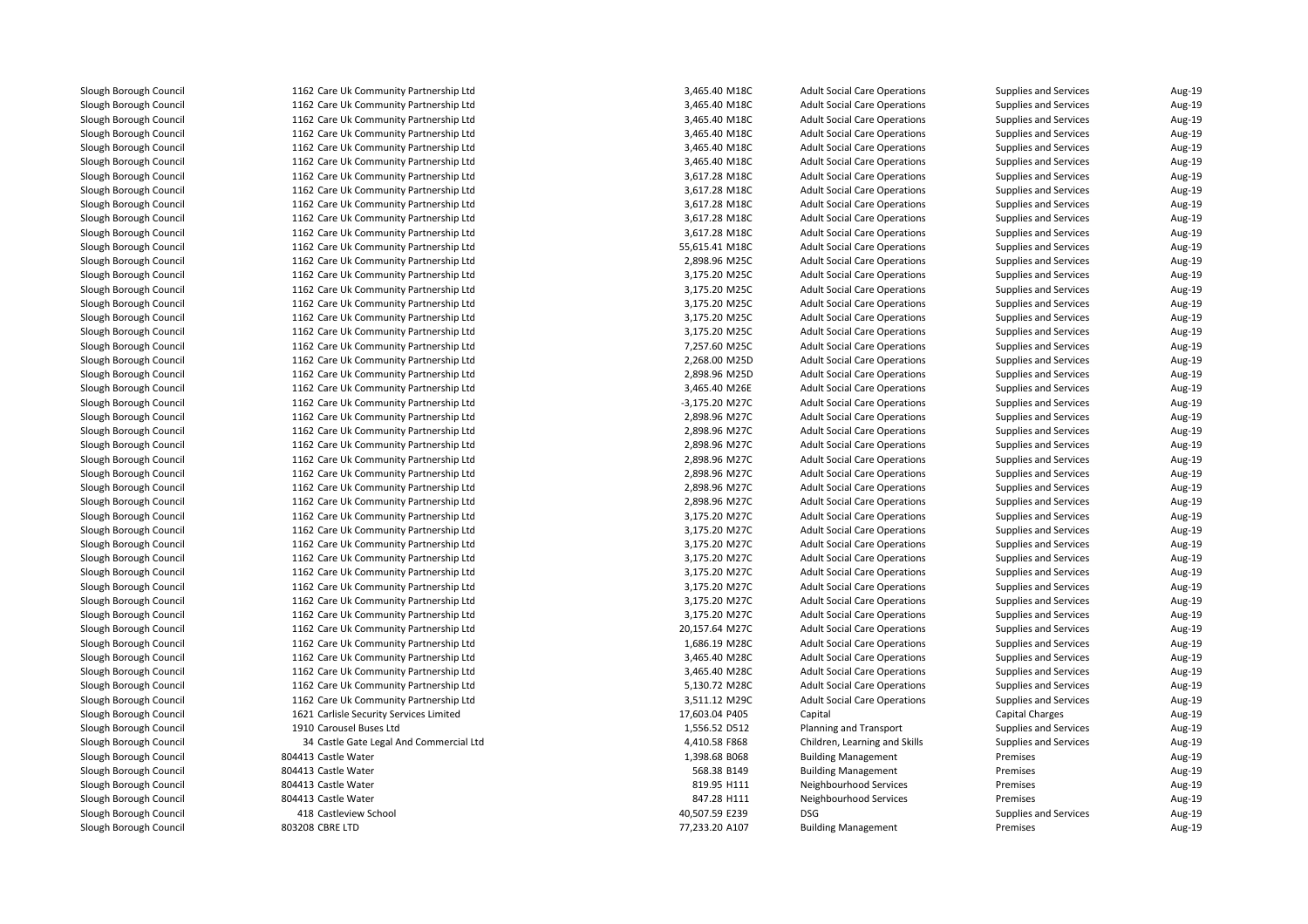Slough Borough Council

 1162 Care Uk Community Partnership Ltd 1162 Care Uk Community Partnership Ltd 1162 Care Uk Community Partnership Ltd 1162 Care Uk Community Partnership Ltd 1162 Care Uk Community Partnership Ltd 1162 Care Uk Community Partnership Ltd 1162 Care Uk Community Partnership Ltd 1162 Care Uk Community Partnership Ltd 1162 Care Uk Community Partnership Ltd 1162 Care Uk Community Partnership Ltd 1162 Care Uk Community Partnership Ltd 1162 Care Uk Community Partnership Ltd 1162 Care Uk Community Partnership Ltd 1162 Care Uk Community Partnership Ltd 1162 Care Uk Community Partnership Ltd 1162 Care Uk Community Partnership Ltd 1162 Care Uk Community Partnership Ltd 1162 Care Uk Community Partnership Ltd 1162 Care Uk Community Partnership Ltd 1162 Care Uk Community Partnership Ltd 1162 Care Uk Community Partnership Ltd 1162 Care Uk Community Partnership Ltd 1162 Care Uk Community Partnership Ltd 1162 Care Uk Community Partnership Ltd 1162 Care Uk Community Partnership Ltd 1162 Care Uk Community Partnership Ltd 1162 Care Uk Community Partnership Ltd 1162 Care Uk Community Partnership Ltd 1162 Care Uk Community Partnership Ltd 1162 Care Uk Community Partnership Ltd 1162 Care Uk Community Partnership Ltd 1162 Care Uk Community Partnership Ltd 1162 Care Uk Community Partnership Ltd 1162 Care Uk Community Partnership Ltd 1162 Care Uk Community Partnership Ltd 1162 Care Uk Community Partnership Ltd 1162 Care Uk Community Partnership Ltd 1162 Care Uk Community Partnership Ltd 1162 Care Uk Community Partnership Ltd 1162 Care Uk Community Partnership Ltd 1162 Care Uk Community Partnership Ltd 1162 Care Uk Community Partnership Ltd 1162 Care Uk Community Partnership Ltd 1162 Care Uk Community Partnership Ltd 1621 Carlisle Security Services Limited 1910 Carousel Buses Ltd 34 Castle Gate Legal And Commercial Ltd804413 Castle Water 804413 Castle Water 804413 Castle Water 804413 Castle Water 418 Castleview School 8 Castleview School **DSG** DSG **DESIGNERS** AND THE MESS OF THE MESS OF THE MESS OF THE MESS OF THE MESS OF THE MESS OF THE MESS OF THE MESS OF THE MESS OF THE MESS OF THE MESS OF THE MESS OF THE MESS OF THE MESS OF THE MESS 803208 CBRE LTD

| 2 Care Uk Community Partnership Ltd                          | 3,465.40 M18C                   | <b>Adult Social Care Operations</b> | Supplies and Services        | Aug-19 |
|--------------------------------------------------------------|---------------------------------|-------------------------------------|------------------------------|--------|
| 2 Care Uk Community Partnership Ltd                          | 3,465.40 M18C                   | <b>Adult Social Care Operations</b> | Supplies and Services        | Aug-19 |
| 2 Care Uk Community Partnership Ltd                          | 3,465.40 M18C                   | <b>Adult Social Care Operations</b> | Supplies and Services        | Aug-19 |
| 2 Care Uk Community Partnership Ltd                          | 3,465.40 M18C                   | <b>Adult Social Care Operations</b> | Supplies and Services        | Aug-19 |
| 2 Care Uk Community Partnership Ltd                          | 3,465.40 M18C                   | <b>Adult Social Care Operations</b> | Supplies and Services        | Aug-19 |
| 2 Care Uk Community Partnership Ltd                          | 3,465.40 M18C                   | <b>Adult Social Care Operations</b> | Supplies and Services        | Aug-19 |
| 2 Care Uk Community Partnership Ltd                          | 3,617.28 M18C                   | <b>Adult Social Care Operations</b> | Supplies and Services        | Aug-19 |
| 2 Care Uk Community Partnership Ltd                          | 3,617.28 M18C                   | <b>Adult Social Care Operations</b> | Supplies and Services        | Aug-19 |
| 2 Care Uk Community Partnership Ltd                          | 3,617.28 M18C                   | <b>Adult Social Care Operations</b> | Supplies and Services        | Aug-19 |
| 2 Care Uk Community Partnership Ltd                          | 3,617.28 M18C                   | <b>Adult Social Care Operations</b> | Supplies and Services        | Aug-19 |
| 2 Care Uk Community Partnership Ltd                          | 3,617.28 M18C                   | <b>Adult Social Care Operations</b> | Supplies and Services        | Aug-19 |
| 2 Care Uk Community Partnership Ltd                          | 55,615.41 M18C                  | <b>Adult Social Care Operations</b> | Supplies and Services        | Aug-19 |
| 2 Care Uk Community Partnership Ltd                          | 2,898.96 M25C                   | <b>Adult Social Care Operations</b> | Supplies and Services        | Aug-19 |
| 2 Care Uk Community Partnership Ltd                          | 3,175.20 M25C                   | <b>Adult Social Care Operations</b> | Supplies and Services        | Aug-19 |
| 2 Care Uk Community Partnership Ltd                          | 3,175.20 M25C                   | <b>Adult Social Care Operations</b> | Supplies and Services        | Aug-19 |
| 2 Care Uk Community Partnership Ltd                          | 3,175.20 M25C                   | <b>Adult Social Care Operations</b> | Supplies and Services        | Aug-19 |
| 2 Care Uk Community Partnership Ltd                          | 3,175.20 M25C                   | <b>Adult Social Care Operations</b> | Supplies and Services        | Aug-19 |
| 2 Care Uk Community Partnership Ltd                          | 3,175.20 M25C                   | <b>Adult Social Care Operations</b> | Supplies and Services        | Aug-19 |
| 2 Care Uk Community Partnership Ltd                          | 7,257.60 M25C                   | <b>Adult Social Care Operations</b> | Supplies and Services        | Aug-19 |
| 2 Care Uk Community Partnership Ltd                          | 2,268.00 M25D                   | <b>Adult Social Care Operations</b> | Supplies and Services        | Aug-19 |
| 2 Care Uk Community Partnership Ltd                          | 2,898.96 M25D                   | <b>Adult Social Care Operations</b> | Supplies and Services        | Aug-19 |
| 2 Care Uk Community Partnership Ltd                          | 3,465.40 M26E                   | <b>Adult Social Care Operations</b> | Supplies and Services        | Aug-19 |
| 2 Care Uk Community Partnership Ltd                          | -3,175.20 M27C                  | <b>Adult Social Care Operations</b> | Supplies and Services        | Aug-19 |
| 2 Care Uk Community Partnership Ltd                          | 2,898.96 M27C                   | <b>Adult Social Care Operations</b> | Supplies and Services        | Aug-19 |
| 2 Care Uk Community Partnership Ltd                          | 2,898.96 M27C                   | <b>Adult Social Care Operations</b> | Supplies and Services        | Aug-19 |
| 2 Care Uk Community Partnership Ltd                          | 2,898.96 M27C                   | <b>Adult Social Care Operations</b> | Supplies and Services        | Aug-19 |
| 2 Care Uk Community Partnership Ltd                          | 2,898.96 M27C                   | <b>Adult Social Care Operations</b> | Supplies and Services        | Aug-19 |
| 2 Care Uk Community Partnership Ltd                          | 2,898.96 M27C                   | <b>Adult Social Care Operations</b> | Supplies and Services        | Aug-19 |
| 2 Care Uk Community Partnership Ltd                          | 2,898.96 M27C                   | <b>Adult Social Care Operations</b> | Supplies and Services        | Aug-19 |
| 2 Care Uk Community Partnership Ltd                          | 2,898.96 M27C                   | <b>Adult Social Care Operations</b> | Supplies and Services        | Aug-19 |
| 2 Care Uk Community Partnership Ltd                          | 3,175.20 M27C                   | <b>Adult Social Care Operations</b> | Supplies and Services        | Aug-19 |
| 2 Care Uk Community Partnership Ltd                          | 3,175.20 M27C                   | <b>Adult Social Care Operations</b> | Supplies and Services        | Aug-19 |
| 2 Care Uk Community Partnership Ltd                          | 3,175.20 M27C                   | <b>Adult Social Care Operations</b> | <b>Supplies and Services</b> | Aug-19 |
| 2 Care Uk Community Partnership Ltd                          | 3,175.20 M27C                   | <b>Adult Social Care Operations</b> | Supplies and Services        | Aug-19 |
| 2 Care Uk Community Partnership Ltd                          | 3,175.20 M27C                   | <b>Adult Social Care Operations</b> | Supplies and Services        | Aug-19 |
| 2 Care Uk Community Partnership Ltd                          | 3,175.20 M27C                   | <b>Adult Social Care Operations</b> | Supplies and Services        | Aug-19 |
| 2 Care Uk Community Partnership Ltd                          | 3,175.20 M27C                   | <b>Adult Social Care Operations</b> | Supplies and Services        | Aug-19 |
| 2 Care Uk Community Partnership Ltd                          | 3,175.20 M27C                   | <b>Adult Social Care Operations</b> | Supplies and Services        | Aug-19 |
| 2 Care Uk Community Partnership Ltd                          | 20,157.64 M27C                  | <b>Adult Social Care Operations</b> | Supplies and Services        | Aug-19 |
| 2 Care Uk Community Partnership Ltd                          | 1,686.19 M28C                   | <b>Adult Social Care Operations</b> | Supplies and Services        | Aug-19 |
| 2 Care Uk Community Partnership Ltd                          | 3,465.40 M28C                   | <b>Adult Social Care Operations</b> | Supplies and Services        | Aug-19 |
| 2 Care Uk Community Partnership Ltd                          | 3,465.40 M28C                   | <b>Adult Social Care Operations</b> | Supplies and Services        | Aug-19 |
| 2 Care Uk Community Partnership Ltd                          | 5,130.72 M28C                   | <b>Adult Social Care Operations</b> | Supplies and Services        | Aug-19 |
| 2 Care Uk Community Partnership Ltd                          |                                 |                                     |                              |        |
|                                                              | 3,511.12 M29C                   | <b>Adult Social Care Operations</b> | Supplies and Services        | Aug-19 |
| 1 Carlisle Security Services Limited<br>0 Carousel Buses Ltd | 17,603.04 P405<br>1,556.52 D512 | Capital                             | Capital Charges              | Aug-19 |
|                                                              |                                 | Planning and Transport              | Supplies and Services        | Aug-19 |
| 4 Castle Gate Legal And Commercial Ltd                       | 4,410.58 F868                   | Children, Learning and Skills       | <b>Supplies and Services</b> | Aug-19 |
| 3 Castle Water                                               | 1,398.68 B068                   | <b>Building Management</b>          | Premises                     | Aug-19 |
| 3 Castle Water                                               | 568.38 B149                     | <b>Building Management</b>          | Premises                     | Aug-19 |
| 3 Castle Water                                               | 819.95 H111                     | Neighbourhood Services              | Premises                     | Aug-19 |
| 3 Castle Water                                               | 847.28 H111                     | Neighbourhood Services              | Premises                     | Aug-19 |
| 8 Castleview School                                          | 40,507.59 E239                  | <b>DSG</b>                          | Supplies and Services        | Aug-19 |
| 8 CBRE LTD                                                   | 77,233.20 A107                  | <b>Building Management</b>          | Premises                     | Aug-19 |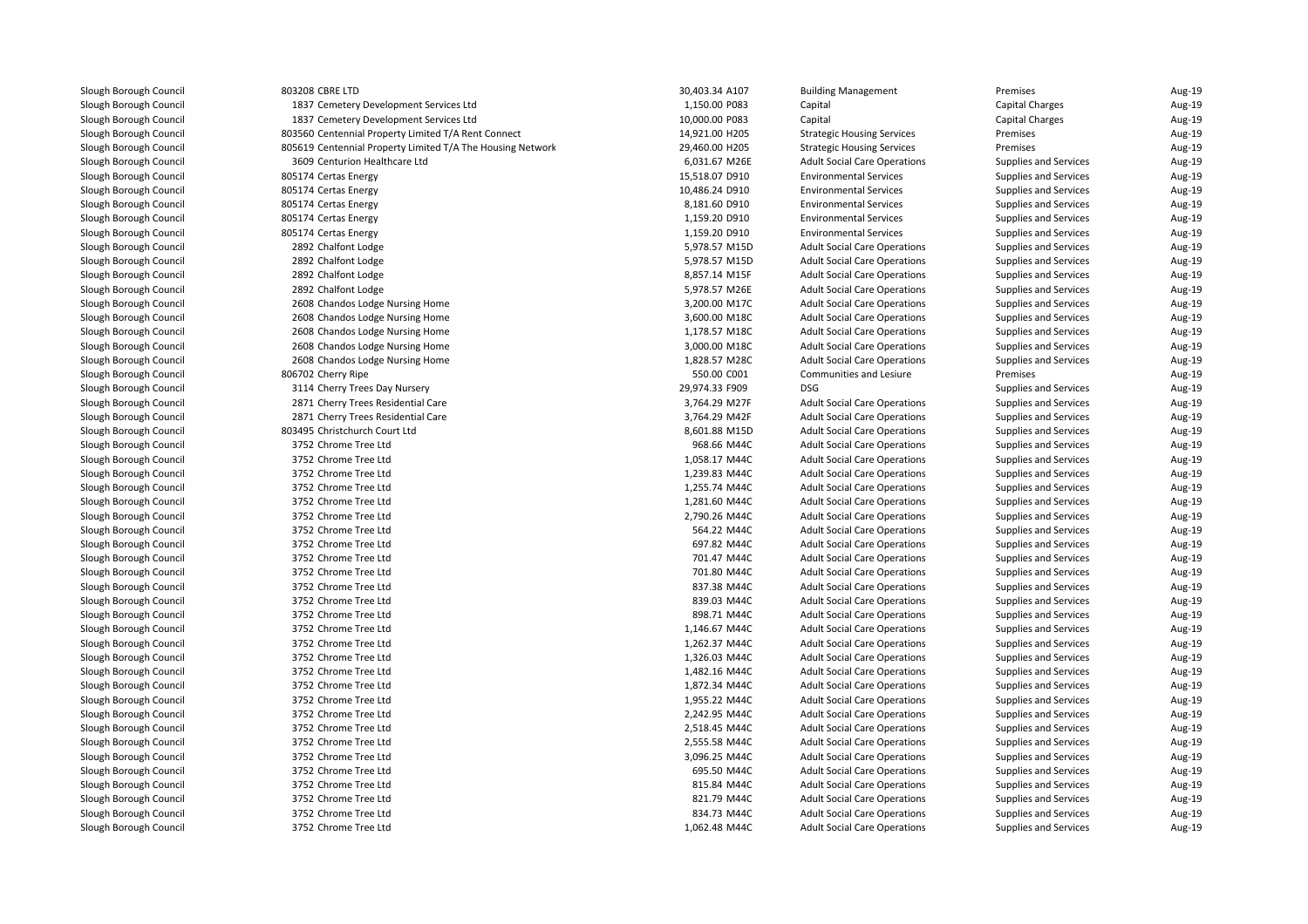| Slough Borough Council | 803208         |
|------------------------|----------------|
| Slough Borough Council | 1837           |
| Slough Borough Council | 1837           |
| Slough Borough Council | 803560         |
| Slough Borough Council | 805619         |
| Slough Borough Council | 3609           |
| Slough Borough Council | 805174         |
| Slough Borough Council | 805174         |
| Slough Borough Council | 805174         |
| Slough Borough Council | 805174         |
| Slough Borough Council | 805174         |
| Slough Borough Council | 2892           |
| Slough Borough Council | 2892           |
| Slough Borough Council | 2892           |
| Slough Borough Council | 2892           |
| Slough Borough Council | 2608           |
| Slough Borough Council | 2608           |
| Slough Borough Council | 2608           |
| Slough Borough Council | 2608           |
|                        | 2608           |
| Slough Borough Council |                |
| Slough Borough Council | 806702<br>3114 |
| Slough Borough Council |                |
| Slough Borough Council | 2871           |
| Slough Borough Council | 2871           |
| Slough Borough Council | 803495         |
| Slough Borough Council | 3752           |
| Slough Borough Council | 3752           |
| Slough Borough Council | 3752           |
| Slough Borough Council | 3752           |
| Slough Borough Council | 3752           |
| Slough Borough Council | 3752           |
| Slough Borough Council | 3752           |
| Slough Borough Council | 3752           |
| Slough Borough Council | 3752           |
| Slough Borough Council | 3752           |
| Slough Borough Council | 3752           |
| Slough Borough Council | 3752           |
| Slough Borough Council | 3752           |
| Slough Borough Council | 3752           |
| Slough Borough Council | 3752           |
| Slough Borough Council | 3752           |
| Slough Borough Council | 3752           |
| Slough Borough Council | 3752           |
| Slough Borough Council | 3752           |
| Slough Borough Council | 3752           |
| Slough Borough Council | 3752           |
| Slough Borough Council | 3752           |
| Slough Borough Council | 3752           |
| Slough Borough Council | 3752           |
| Slough Borough Council | 3752           |
| Slough Borough Council | 3752           |
| Slough Borough Council | 3752           |
| Slough Borough Council | 3752           |

| 3208 CBRE LTD                                            | 30,403.34 A107 | Buil       |
|----------------------------------------------------------|----------------|------------|
| 1837 Cemetery Development Services Ltd                   | 1,150.00 P083  | Cap        |
| 1837 Cemetery Development Services Ltd                   | 10,000.00 P083 | Cap        |
| 3560 Centennial Property Limited T/A Rent Connect        | 14,921.00 H205 | Stra       |
| 5619 Centennial Property Limited T/A The Housing Network | 29,460.00 H205 | Stra       |
| 3609 Centurion Healthcare Ltd                            | 6,031.67 M26E  | Adu        |
| 5174 Certas Energy                                       | 15,518.07 D910 | Envi       |
| 5174 Certas Energy                                       | 10,486.24 D910 | Envi       |
| 5174 Certas Energy                                       | 8,181.60 D910  | Envi       |
| 5174 Certas Energy                                       | 1,159.20 D910  | Envi       |
| 5174 Certas Energy                                       | 1,159.20 D910  | Envi       |
| 2892 Chalfont Lodge                                      | 5,978.57 M15D  | Adu        |
| 2892 Chalfont Lodge                                      | 5,978.57 M15D  | Adu        |
| 2892 Chalfont Lodge                                      | 8,857.14 M15F  | Adu        |
| 2892 Chalfont Lodge                                      | 5,978.57 M26E  | Adu        |
| 2608 Chandos Lodge Nursing Home                          | 3,200.00 M17C  | Adu        |
| 2608 Chandos Lodge Nursing Home                          | 3,600.00 M18C  | Adu        |
| 2608 Chandos Lodge Nursing Home                          | 1,178.57 M18C  | Adu        |
| 2608 Chandos Lodge Nursing Home                          | 3,000.00 M18C  | Adu        |
| 2608 Chandos Lodge Nursing Home                          | 1,828.57 M28C  | Adu        |
| 6702 Cherry Ripe                                         | 550.00 C001    | Con        |
| 3114 Cherry Trees Day Nursery                            | 29,974.33 F909 | <b>DSG</b> |
| 2871 Cherry Trees Residential Care                       | 3,764.29 M27F  | Adu        |
| 2871 Cherry Trees Residential Care                       | 3,764.29 M42F  | Adu        |
| 3495 Christchurch Court Ltd                              | 8,601.88 M15D  | Adu        |
| 3752 Chrome Tree Ltd                                     | 968.66 M44C    | Adu        |
| 3752 Chrome Tree Ltd                                     | 1,058.17 M44C  | Adu        |
| 3752 Chrome Tree Ltd                                     | 1,239.83 M44C  | Adu        |
| 3752 Chrome Tree Ltd                                     | 1,255.74 M44C  | Adu        |
| 3752 Chrome Tree Ltd                                     | 1,281.60 M44C  | Adu        |
| 3752 Chrome Tree Ltd                                     | 2,790.26 M44C  | Adu        |
| 3752 Chrome Tree Ltd                                     | 564.22 M44C    | Adu        |
| 3752 Chrome Tree Ltd                                     | 697.82 M44C    | Adu        |
| 3752 Chrome Tree Ltd                                     | 701.47 M44C    | Adu        |
| 3752 Chrome Tree Ltd                                     | 701.80 M44C    | Adu        |
| 3752 Chrome Tree Ltd                                     | 837.38 M44C    | Adu        |
| 3752 Chrome Tree Ltd                                     | 839.03 M44C    | Adu        |
| 3752 Chrome Tree Ltd                                     | 898.71 M44C    | Adu        |
| 3752 Chrome Tree Ltd                                     | 1,146.67 M44C  | Adu        |
| 3752 Chrome Tree Ltd                                     | 1,262.37 M44C  | Adu        |
| 3752 Chrome Tree Ltd                                     | 1,326.03 M44C  | Adu        |
| 3752 Chrome Tree Ltd                                     | 1,482.16 M44C  | Adu        |
| 3752 Chrome Tree Ltd                                     | 1,872.34 M44C  | Adu        |
| 3752 Chrome Tree Ltd                                     | 1,955.22 M44C  | Adu        |
| 3752 Chrome Tree Ltd                                     | 2,242.95 M44C  | Adu        |
| 3752 Chrome Tree Ltd                                     |                | Adu        |
|                                                          | 2,518.45 M44C  |            |
| 3752 Chrome Tree Ltd                                     | 2,555.58 M44C  | Adu        |
| 3752 Chrome Tree Ltd                                     | 3,096.25 M44C  | Adu        |
| 3752 Chrome Tree Ltd                                     | 695.50 M44C    | Adu        |
| 3752 Chrome Tree Ltd                                     | 815.84 M44C    | Adu        |
| 3752 Chrome Tree Ltd                                     | 821.79 M44C    | Adu        |
| 3752 Chrome Tree Ltd                                     | 834.73 M44C    | Adu        |
| 3752 Chrome Tree Ltd                                     | 1,062.48 M44C  | Adu        |

| 8 CBRE LTD                                            | 30,403.34 A107 | <b>Building Management</b>          | Premises               | Aug-19 |
|-------------------------------------------------------|----------------|-------------------------------------|------------------------|--------|
| 7 Cemetery Development Services Ltd                   | 1,150.00 P083  | Capital                             | Capital Charges        | Aug-19 |
| 7 Cemetery Development Services Ltd                   | 10,000.00 P083 | Capital                             | <b>Capital Charges</b> | Aug-19 |
| 0 Centennial Property Limited T/A Rent Connect        | 14,921.00 H205 | <b>Strategic Housing Services</b>   | Premises               | Aug-19 |
| 9 Centennial Property Limited T/A The Housing Network | 29,460.00 H205 | <b>Strategic Housing Services</b>   | Premises               | Aug-19 |
| 9 Centurion Healthcare Ltd                            | 6,031.67 M26E  | <b>Adult Social Care Operations</b> | Supplies and Services  | Aug-19 |
| 4 Certas Energy                                       | 15,518.07 D910 | <b>Environmental Services</b>       | Supplies and Services  | Aug-19 |
| 4 Certas Energy                                       | 10,486.24 D910 | <b>Environmental Services</b>       | Supplies and Services  | Aug-19 |
| 4 Certas Energy                                       | 8,181.60 D910  | <b>Environmental Services</b>       | Supplies and Services  | Aug-19 |
| 4 Certas Energy                                       | 1,159.20 D910  | <b>Environmental Services</b>       | Supplies and Services  | Aug-19 |
| 4 Certas Energy                                       | 1,159.20 D910  | <b>Environmental Services</b>       | Supplies and Services  | Aug-19 |
| 2 Chalfont Lodge                                      | 5,978.57 M15D  | <b>Adult Social Care Operations</b> | Supplies and Services  | Aug-19 |
| 2 Chalfont Lodge                                      | 5,978.57 M15D  | <b>Adult Social Care Operations</b> | Supplies and Services  | Aug-19 |
| 2 Chalfont Lodge                                      | 8,857.14 M15F  | <b>Adult Social Care Operations</b> | Supplies and Services  | Aug-19 |
| 2 Chalfont Lodge                                      | 5,978.57 M26E  | <b>Adult Social Care Operations</b> | Supplies and Services  | Aug-19 |
| 8 Chandos Lodge Nursing Home                          | 3,200.00 M17C  | <b>Adult Social Care Operations</b> | Supplies and Services  | Aug-19 |
| 8 Chandos Lodge Nursing Home                          | 3,600.00 M18C  | <b>Adult Social Care Operations</b> | Supplies and Services  | Aug-19 |
| 8 Chandos Lodge Nursing Home                          | 1,178.57 M18C  | <b>Adult Social Care Operations</b> | Supplies and Services  | Aug-19 |
| 8 Chandos Lodge Nursing Home                          | 3,000.00 M18C  | <b>Adult Social Care Operations</b> | Supplies and Services  | Aug-19 |
| 8 Chandos Lodge Nursing Home                          | 1,828.57 M28C  | <b>Adult Social Care Operations</b> | Supplies and Services  | Aug-19 |
| 2 Cherry Ripe                                         | 550.00 C001    | Communities and Lesiure             | Premises               | Aug-19 |
| 4 Cherry Trees Day Nursery                            | 29,974.33 F909 | <b>DSG</b>                          | Supplies and Services  | Aug-19 |
| 1 Cherry Trees Residential Care                       | 3,764.29 M27F  | <b>Adult Social Care Operations</b> | Supplies and Services  | Aug-19 |
| 1 Cherry Trees Residential Care                       | 3,764.29 M42F  | <b>Adult Social Care Operations</b> | Supplies and Services  | Aug-19 |
| 5 Christchurch Court Ltd                              | 8,601.88 M15D  | <b>Adult Social Care Operations</b> | Supplies and Services  | Aug-19 |
| 2 Chrome Tree Ltd                                     | 968.66 M44C    | <b>Adult Social Care Operations</b> | Supplies and Services  | Aug-19 |
| 2 Chrome Tree Ltd                                     | 1,058.17 M44C  | <b>Adult Social Care Operations</b> | Supplies and Services  | Aug-19 |
| 2 Chrome Tree Ltd                                     | 1,239.83 M44C  | <b>Adult Social Care Operations</b> | Supplies and Services  | Aug-19 |
| 2 Chrome Tree Ltd                                     | 1,255.74 M44C  | <b>Adult Social Care Operations</b> | Supplies and Services  | Aug-19 |
| 2 Chrome Tree Ltd                                     | 1,281.60 M44C  | <b>Adult Social Care Operations</b> | Supplies and Services  | Aug-19 |
| 2 Chrome Tree Ltd                                     | 2,790.26 M44C  | <b>Adult Social Care Operations</b> | Supplies and Services  | Aug-19 |
| 2 Chrome Tree Ltd                                     | 564.22 M44C    | <b>Adult Social Care Operations</b> | Supplies and Services  | Aug-19 |
| 2 Chrome Tree Ltd                                     | 697.82 M44C    | <b>Adult Social Care Operations</b> | Supplies and Services  | Aug-19 |
| 2 Chrome Tree Ltd                                     | 701.47 M44C    | <b>Adult Social Care Operations</b> | Supplies and Services  | Aug-19 |
| 2 Chrome Tree Ltd                                     | 701.80 M44C    | <b>Adult Social Care Operations</b> | Supplies and Services  | Aug-19 |
| 2 Chrome Tree Ltd                                     | 837.38 M44C    | <b>Adult Social Care Operations</b> | Supplies and Services  | Aug-19 |
| 2 Chrome Tree Ltd                                     | 839.03 M44C    | <b>Adult Social Care Operations</b> | Supplies and Services  | Aug-19 |
| 2 Chrome Tree Ltd                                     | 898.71 M44C    | <b>Adult Social Care Operations</b> | Supplies and Services  | Aug-19 |
| 2 Chrome Tree Ltd                                     | 1,146.67 M44C  | <b>Adult Social Care Operations</b> | Supplies and Services  | Aug-19 |
| 2 Chrome Tree Ltd                                     | 1,262.37 M44C  | <b>Adult Social Care Operations</b> | Supplies and Services  | Aug-19 |
| 2 Chrome Tree Ltd                                     | 1,326.03 M44C  | <b>Adult Social Care Operations</b> | Supplies and Services  | Aug-19 |
| 2 Chrome Tree Ltd                                     | 1,482.16 M44C  | <b>Adult Social Care Operations</b> | Supplies and Services  | Aug-19 |
| 2 Chrome Tree Ltd                                     | 1,872.34 M44C  | <b>Adult Social Care Operations</b> | Supplies and Services  | Aug-19 |
| 2 Chrome Tree Ltd                                     | 1,955.22 M44C  | <b>Adult Social Care Operations</b> | Supplies and Services  | Aug-19 |
| 2 Chrome Tree Ltd                                     | 2,242.95 M44C  | <b>Adult Social Care Operations</b> | Supplies and Services  | Aug-19 |
| 2 Chrome Tree Ltd                                     | 2,518.45 M44C  | <b>Adult Social Care Operations</b> | Supplies and Services  | Aug-19 |
| 2 Chrome Tree Ltd                                     | 2,555.58 M44C  | <b>Adult Social Care Operations</b> | Supplies and Services  | Aug-19 |
| 2 Chrome Tree Ltd                                     | 3,096.25 M44C  | <b>Adult Social Care Operations</b> | Supplies and Services  | Aug-19 |
| 2 Chrome Tree Ltd                                     | 695.50 M44C    | <b>Adult Social Care Operations</b> | Supplies and Services  | Aug-19 |
| 2 Chrome Tree Ltd                                     | 815.84 M44C    | <b>Adult Social Care Operations</b> | Supplies and Services  | Aug-19 |
| 2 Chrome Tree Ltd                                     | 821.79 M44C    | <b>Adult Social Care Operations</b> | Supplies and Services  | Aug-19 |
| 2 Chrome Tree Ltd                                     | 834.73 M44C    | <b>Adult Social Care Operations</b> | Supplies and Services  | Aug-19 |
| 2 Chrome Tree Ltd                                     | 1,062.48 M44C  | <b>Adult Social Care Operations</b> | Supplies and Services  | Aug-19 |
|                                                       |                |                                     |                        |        |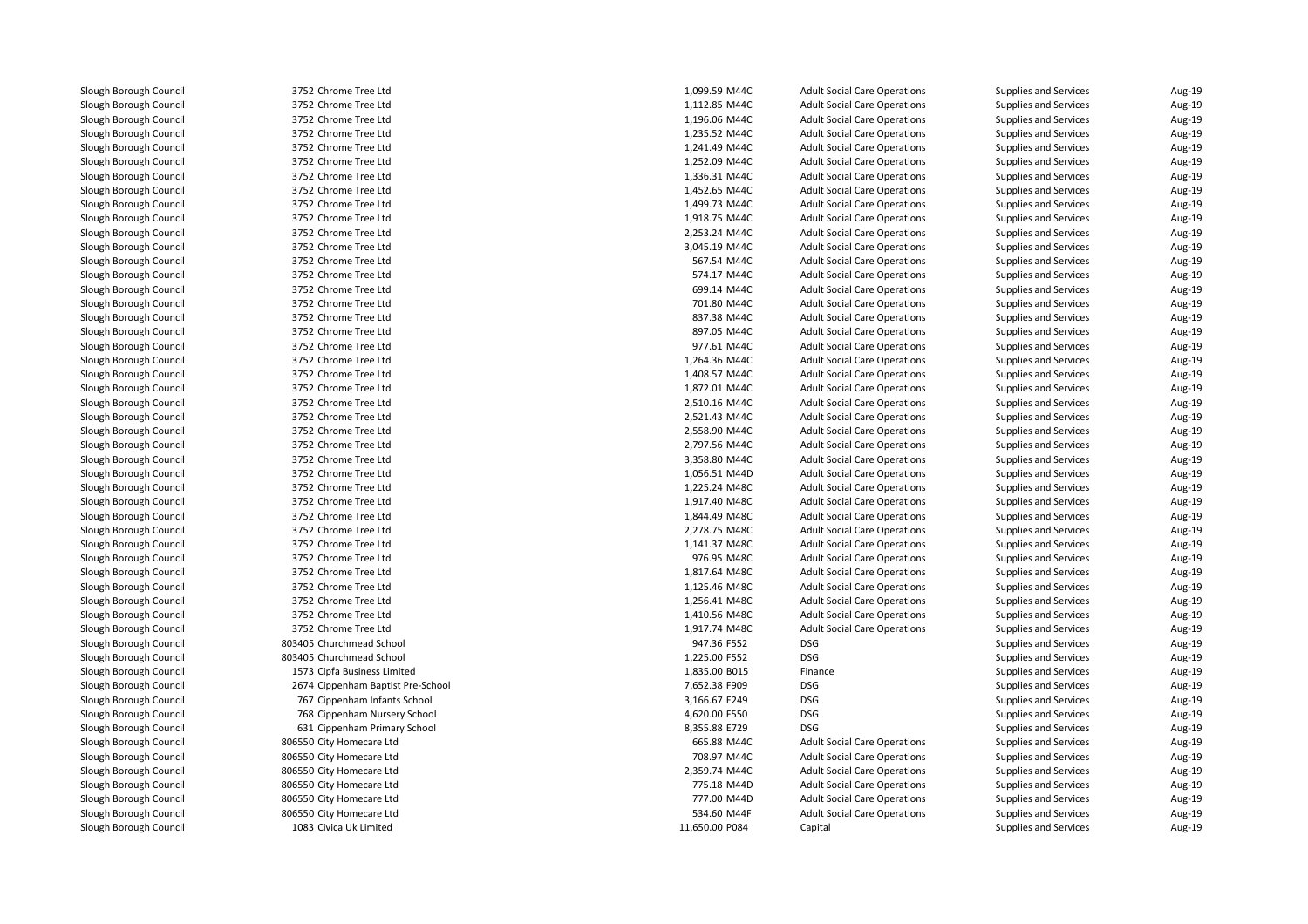| 3752 Chrome Tree Ltd              | 1,099.59 M44C  | <b>Adult Social Care Operations</b> | Supplies and Services        | Aug-19 |
|-----------------------------------|----------------|-------------------------------------|------------------------------|--------|
| 3752 Chrome Tree Ltd              | 1,112.85 M44C  | <b>Adult Social Care Operations</b> | Supplies and Services        | Aug-19 |
| 3752 Chrome Tree Ltd              | 1,196.06 M44C  | <b>Adult Social Care Operations</b> | Supplies and Services        | Aug-19 |
| 3752 Chrome Tree Ltd              | 1,235.52 M44C  | <b>Adult Social Care Operations</b> | Supplies and Services        | Aug-19 |
| 3752 Chrome Tree Ltd              | 1,241.49 M44C  | <b>Adult Social Care Operations</b> | Supplies and Services        | Aug-19 |
| 3752 Chrome Tree Ltd              | 1,252.09 M44C  | <b>Adult Social Care Operations</b> | Supplies and Services        | Aug-19 |
| 3752 Chrome Tree Ltd              | 1,336.31 M44C  | <b>Adult Social Care Operations</b> | <b>Supplies and Services</b> | Aug-19 |
| 3752 Chrome Tree Ltd              | 1,452.65 M44C  | <b>Adult Social Care Operations</b> | Supplies and Services        | Aug-19 |
| 3752 Chrome Tree Ltd              | 1,499.73 M44C  | <b>Adult Social Care Operations</b> | Supplies and Services        | Aug-19 |
| 3752 Chrome Tree Ltd              | 1,918.75 M44C  | <b>Adult Social Care Operations</b> | Supplies and Services        | Aug-19 |
| 3752 Chrome Tree Ltd              | 2,253.24 M44C  | <b>Adult Social Care Operations</b> | Supplies and Services        | Aug-19 |
| 3752 Chrome Tree Ltd              | 3,045.19 M44C  | <b>Adult Social Care Operations</b> | <b>Supplies and Services</b> | Aug-19 |
| 3752 Chrome Tree Ltd              | 567.54 M44C    | <b>Adult Social Care Operations</b> | Supplies and Services        | Aug-19 |
| 3752 Chrome Tree Ltd              | 574.17 M44C    | <b>Adult Social Care Operations</b> | Supplies and Services        | Aug-19 |
| 3752 Chrome Tree Ltd              | 699.14 M44C    | <b>Adult Social Care Operations</b> | Supplies and Services        | Aug-19 |
| 3752 Chrome Tree Ltd              | 701.80 M44C    | <b>Adult Social Care Operations</b> | Supplies and Services        | Aug-19 |
| 3752 Chrome Tree Ltd              | 837.38 M44C    | <b>Adult Social Care Operations</b> | Supplies and Services        | Aug-19 |
| 3752 Chrome Tree Ltd              | 897.05 M44C    | <b>Adult Social Care Operations</b> | Supplies and Services        | Aug-19 |
| 3752 Chrome Tree Ltd              | 977.61 M44C    | <b>Adult Social Care Operations</b> | Supplies and Services        | Aug-19 |
| 3752 Chrome Tree Ltd              | 1,264.36 M44C  | <b>Adult Social Care Operations</b> | Supplies and Services        | Aug-19 |
| 3752 Chrome Tree Ltd              | 1,408.57 M44C  | <b>Adult Social Care Operations</b> | Supplies and Services        | Aug-19 |
| 3752 Chrome Tree Ltd              | 1,872.01 M44C  | <b>Adult Social Care Operations</b> | Supplies and Services        | Aug-19 |
| 3752 Chrome Tree Ltd              | 2,510.16 M44C  | <b>Adult Social Care Operations</b> | Supplies and Services        | Aug-19 |
| 3752 Chrome Tree Ltd              | 2,521.43 M44C  | <b>Adult Social Care Operations</b> | Supplies and Services        | Aug-19 |
| 3752 Chrome Tree Ltd              | 2,558.90 M44C  | <b>Adult Social Care Operations</b> | Supplies and Services        | Aug-19 |
| 3752 Chrome Tree Ltd              | 2,797.56 M44C  | <b>Adult Social Care Operations</b> | Supplies and Services        | Aug-19 |
| 3752 Chrome Tree Ltd              | 3,358.80 M44C  | <b>Adult Social Care Operations</b> | Supplies and Services        | Aug-19 |
| 3752 Chrome Tree Ltd              | 1,056.51 M44D  | <b>Adult Social Care Operations</b> | Supplies and Services        | Aug-19 |
| 3752 Chrome Tree Ltd              | 1,225.24 M48C  | <b>Adult Social Care Operations</b> | Supplies and Services        | Aug-19 |
| 3752 Chrome Tree Ltd              | 1,917.40 M48C  | <b>Adult Social Care Operations</b> | Supplies and Services        | Aug-19 |
| 3752 Chrome Tree Ltd              | 1,844.49 M48C  | <b>Adult Social Care Operations</b> | Supplies and Services        | Aug-19 |
| 3752 Chrome Tree Ltd              | 2,278.75 M48C  | <b>Adult Social Care Operations</b> | Supplies and Services        | Aug-19 |
| 3752 Chrome Tree Ltd              | 1,141.37 M48C  | <b>Adult Social Care Operations</b> | Supplies and Services        | Aug-19 |
| 3752 Chrome Tree Ltd              | 976.95 M48C    | <b>Adult Social Care Operations</b> | Supplies and Services        | Aug-19 |
| 3752 Chrome Tree Ltd              | 1,817.64 M48C  | <b>Adult Social Care Operations</b> | Supplies and Services        | Aug-19 |
| 3752 Chrome Tree Ltd              | 1,125.46 M48C  | <b>Adult Social Care Operations</b> | Supplies and Services        | Aug-19 |
| 3752 Chrome Tree Ltd              | 1,256.41 M48C  | <b>Adult Social Care Operations</b> | Supplies and Services        | Aug-19 |
| 3752 Chrome Tree Ltd              | 1,410.56 M48C  | <b>Adult Social Care Operations</b> | Supplies and Services        | Aug-19 |
| 3752 Chrome Tree Ltd              | 1,917.74 M48C  | <b>Adult Social Care Operations</b> | Supplies and Services        | Aug-19 |
| 803405 Churchmead School          | 947.36 F552    | <b>DSG</b>                          | Supplies and Services        | Aug-19 |
| 803405 Churchmead School          | 1,225.00 F552  | <b>DSG</b>                          | Supplies and Services        | Aug-19 |
| 1573 Cipfa Business Limited       | 1,835.00 B015  | Finance                             | Supplies and Services        | Aug-19 |
| 2674 Cippenham Baptist Pre-School | 7,652.38 F909  | <b>DSG</b>                          | Supplies and Services        | Aug-19 |
| 767 Cippenham Infants School      | 3,166.67 E249  | <b>DSG</b>                          | <b>Supplies and Services</b> | Aug-19 |
| 768 Cippenham Nursery School      | 4,620.00 F550  | <b>DSG</b>                          | Supplies and Services        | Aug-19 |
| 631 Cippenham Primary School      | 8,355.88 E729  | <b>DSG</b>                          | Supplies and Services        | Aug-19 |
| 806550 City Homecare Ltd          | 665.88 M44C    | <b>Adult Social Care Operations</b> | Supplies and Services        | Aug-19 |
| 806550 City Homecare Ltd          | 708.97 M44C    | <b>Adult Social Care Operations</b> | Supplies and Services        | Aug-19 |
| 806550 City Homecare Ltd          | 2,359.74 M44C  | <b>Adult Social Care Operations</b> | Supplies and Services        | Aug-19 |
| 806550 City Homecare Ltd          | 775.18 M44D    | <b>Adult Social Care Operations</b> | Supplies and Services        | Aug-19 |
| 806550 City Homecare Ltd          | 777.00 M44D    | <b>Adult Social Care Operations</b> | Supplies and Services        | Aug-19 |
| 806550 City Homecare Ltd          | 534.60 M44F    | <b>Adult Social Care Operations</b> | Supplies and Services        | Aug-19 |
| 1083 Civica Uk Limited            | 11,650.00 P084 | Capital                             | Supplies and Services        | Aug-19 |
|                                   |                |                                     |                              |        |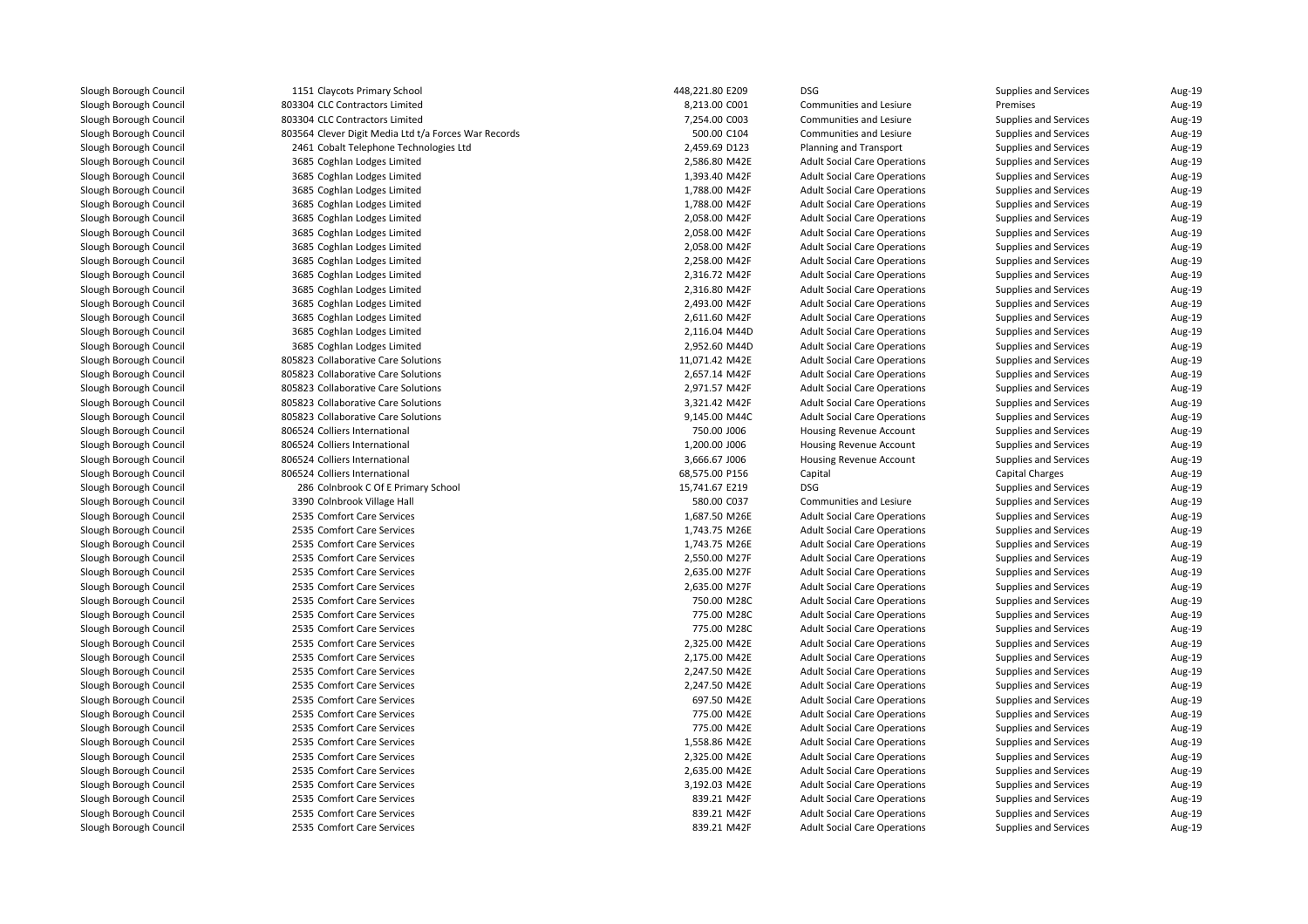| 1151 Claycots Primary School                         | 448,221.80 E209                | <b>DSG</b>                          | Supplies and Services  | Aug-19           |
|------------------------------------------------------|--------------------------------|-------------------------------------|------------------------|------------------|
| 803304 CLC Contractors Limited                       | 8,213.00 C001                  | Communities and Lesiure             | Premises               | Aug-19           |
| 803304 CLC Contractors Limited                       | 7,254.00 C003                  | Communities and Lesiure             | Supplies and Services  | Aug-19           |
| 803564 Clever Digit Media Ltd t/a Forces War Records | 500.00 C104                    | Communities and Lesiure             | Supplies and Services  | Aug-19           |
| 2461 Cobalt Telephone Technologies Ltd               | 2,459.69 D123                  | Planning and Transport              | Supplies and Services  | Aug-19           |
| 3685 Coghlan Lodges Limited                          | 2,586.80 M42E                  | <b>Adult Social Care Operations</b> | Supplies and Services  | Aug-19           |
| 3685 Coghlan Lodges Limited                          | 1,393.40 M42F                  | <b>Adult Social Care Operations</b> | Supplies and Services  | Aug-19           |
| 3685 Coghlan Lodges Limited                          | 1,788.00 M42F                  | <b>Adult Social Care Operations</b> | Supplies and Services  | Aug-19           |
| 3685 Coghlan Lodges Limited                          | 1,788.00 M42F                  | <b>Adult Social Care Operations</b> | Supplies and Services  | Aug-19           |
| 3685 Coghlan Lodges Limited                          | 2,058.00 M42F                  | <b>Adult Social Care Operations</b> | Supplies and Services  | Aug-19           |
| 3685 Coghlan Lodges Limited                          | 2,058.00 M42F                  | <b>Adult Social Care Operations</b> | Supplies and Services  | Aug-19           |
| 3685 Coghlan Lodges Limited                          | 2,058.00 M42F                  | <b>Adult Social Care Operations</b> | Supplies and Services  | Aug-19           |
| 3685 Coghlan Lodges Limited                          | 2,258.00 M42F                  | <b>Adult Social Care Operations</b> | Supplies and Services  | Aug-19           |
| 3685 Coghlan Lodges Limited                          | 2,316.72 M42F                  | <b>Adult Social Care Operations</b> | Supplies and Services  | Aug-19           |
| 3685 Coghlan Lodges Limited                          | 2,316.80 M42F                  | <b>Adult Social Care Operations</b> | Supplies and Services  | Aug-19           |
| 3685 Coghlan Lodges Limited                          | 2,493.00 M42F                  | <b>Adult Social Care Operations</b> | Supplies and Services  | Aug-19           |
| 3685 Coghlan Lodges Limited                          | 2,611.60 M42F                  | <b>Adult Social Care Operations</b> | Supplies and Services  | Aug-19           |
| 3685 Coghlan Lodges Limited                          | 2,116.04 M44D                  | <b>Adult Social Care Operations</b> | Supplies and Services  | Aug-19           |
| 3685 Coghlan Lodges Limited                          | 2,952.60 M44D                  | <b>Adult Social Care Operations</b> | Supplies and Services  | Aug-19           |
| 805823 Collaborative Care Solutions                  | 11,071.42 M42E                 | <b>Adult Social Care Operations</b> | Supplies and Services  | Aug-19           |
| 805823 Collaborative Care Solutions                  | 2,657.14 M42F                  | <b>Adult Social Care Operations</b> | Supplies and Services  | Aug-19           |
| 805823 Collaborative Care Solutions                  | 2,971.57 M42F                  | <b>Adult Social Care Operations</b> | Supplies and Services  | Aug-19           |
| 805823 Collaborative Care Solutions                  | 3,321.42 M42F                  | <b>Adult Social Care Operations</b> | Supplies and Services  | Aug-19           |
| 805823 Collaborative Care Solutions                  | 9,145.00 M44C                  | <b>Adult Social Care Operations</b> | Supplies and Services  | Aug-19           |
| 806524 Colliers International                        | 750.00 J006                    | <b>Housing Revenue Account</b>      | Supplies and Services  | Aug-19           |
| 806524 Colliers International                        | 1,200.00 J006                  | Housing Revenue Account             | Supplies and Services  | Aug-19           |
| 806524 Colliers International                        | 3,666.67 J006                  | Housing Revenue Account             | Supplies and Services  | Aug-19           |
| 806524 Colliers International                        | 68,575.00 P156                 | Capital                             | <b>Capital Charges</b> | Aug-19           |
| 286 Colnbrook C Of E Primary School                  | 15,741.67 E219                 | DSG                                 | Supplies and Services  | Aug-19           |
| 3390 Colnbrook Village Hall                          | 580.00 C037                    | Communities and Lesiure             | Supplies and Services  | Aug-19           |
| 2535 Comfort Care Services                           | 1,687.50 M26E                  | <b>Adult Social Care Operations</b> | Supplies and Services  | Aug-19           |
| 2535 Comfort Care Services                           |                                |                                     |                        |                  |
| 2535 Comfort Care Services                           | 1,743.75 M26E<br>1,743.75 M26E | <b>Adult Social Care Operations</b> | Supplies and Services  | Aug-19<br>Aug-19 |
|                                                      |                                | <b>Adult Social Care Operations</b> | Supplies and Services  |                  |
| 2535 Comfort Care Services                           | 2,550.00 M27F                  | <b>Adult Social Care Operations</b> | Supplies and Services  | Aug-19           |
| 2535 Comfort Care Services                           | 2,635.00 M27F                  | <b>Adult Social Care Operations</b> | Supplies and Services  | Aug-19           |
| 2535 Comfort Care Services                           | 2,635.00 M27F                  | <b>Adult Social Care Operations</b> | Supplies and Services  | Aug-19           |
| 2535 Comfort Care Services                           | 750.00 M28C                    | <b>Adult Social Care Operations</b> | Supplies and Services  | Aug-19           |
| 2535 Comfort Care Services                           | 775.00 M28C                    | <b>Adult Social Care Operations</b> | Supplies and Services  | Aug-19           |
| 2535 Comfort Care Services                           | 775.00 M28C                    | <b>Adult Social Care Operations</b> | Supplies and Services  | Aug-19           |
| 2535 Comfort Care Services                           | 2,325.00 M42E                  | <b>Adult Social Care Operations</b> | Supplies and Services  | Aug-19           |
| 2535 Comfort Care Services                           | 2,175.00 M42E                  | <b>Adult Social Care Operations</b> | Supplies and Services  | Aug-19           |
| 2535 Comfort Care Services                           | 2,247.50 M42E                  | <b>Adult Social Care Operations</b> | Supplies and Services  | Aug-19           |
| 2535 Comfort Care Services                           | 2,247.50 M42E                  | <b>Adult Social Care Operations</b> | Supplies and Services  | Aug-19           |
| 2535 Comfort Care Services                           | 697.50 M42E                    | <b>Adult Social Care Operations</b> | Supplies and Services  | Aug-19           |
| 2535 Comfort Care Services                           | 775.00 M42E                    | <b>Adult Social Care Operations</b> | Supplies and Services  | Aug-19           |
| 2535 Comfort Care Services                           | 775.00 M42E                    | <b>Adult Social Care Operations</b> | Supplies and Services  | Aug-19           |
| 2535 Comfort Care Services                           | 1,558.86 M42E                  | <b>Adult Social Care Operations</b> | Supplies and Services  | Aug-19           |
| 2535 Comfort Care Services                           | 2,325.00 M42E                  | <b>Adult Social Care Operations</b> | Supplies and Services  | Aug-19           |
| 2535 Comfort Care Services                           | 2,635.00 M42E                  | <b>Adult Social Care Operations</b> | Supplies and Services  | Aug-19           |
| 2535 Comfort Care Services                           | 3,192.03 M42E                  | <b>Adult Social Care Operations</b> | Supplies and Services  | Aug-19           |
| 2535 Comfort Care Services                           | 839.21 M42F                    | <b>Adult Social Care Operations</b> | Supplies and Services  | Aug-19           |
| 2535 Comfort Care Services                           | 839.21 M42F                    | <b>Adult Social Care Operations</b> | Supplies and Services  | Aug-19           |
| 2535 Comfort Care Services                           | 839.21 M42F                    | <b>Adult Social Care Operations</b> | Supplies and Services  | Aug-19           |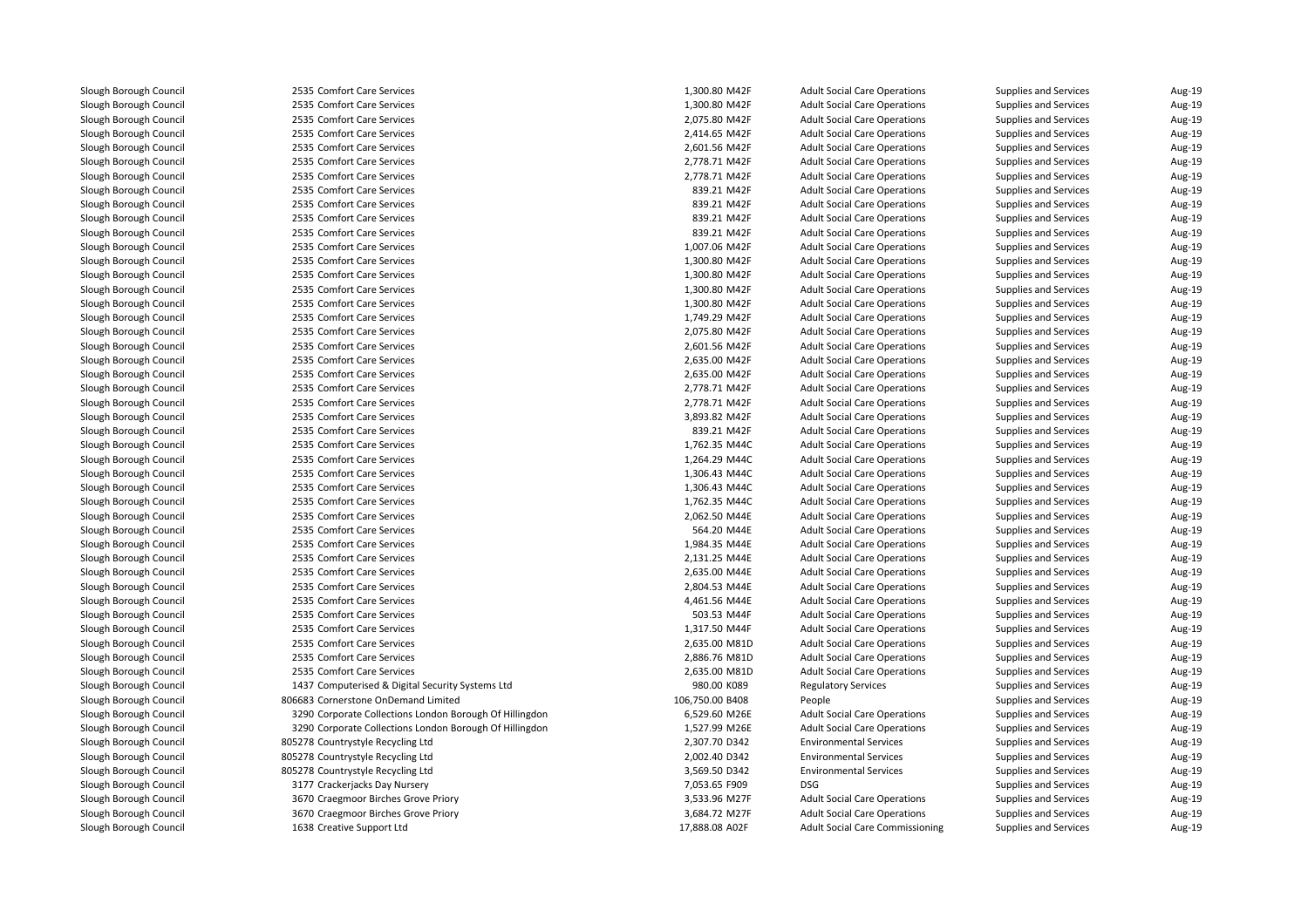| 2535 Comfort Care Services                               | 1,300.80 M42F                  | <b>Adult Social Care Operations</b>                                        | Supplies and Services                          | Aug-19           |
|----------------------------------------------------------|--------------------------------|----------------------------------------------------------------------------|------------------------------------------------|------------------|
| 2535 Comfort Care Services                               | 1,300.80 M42F                  | <b>Adult Social Care Operations</b>                                        | Supplies and Services                          | Aug-19           |
| 2535 Comfort Care Services                               | 2,075.80 M42F                  | <b>Adult Social Care Operations</b>                                        | Supplies and Services                          | Aug-19           |
| 2535 Comfort Care Services                               | 2,414.65 M42F                  | <b>Adult Social Care Operations</b>                                        | Supplies and Services                          | Aug-19           |
| 2535 Comfort Care Services                               | 2,601.56 M42F                  | <b>Adult Social Care Operations</b>                                        | Supplies and Services                          | Aug-19           |
| 2535 Comfort Care Services                               | 2,778.71 M42F                  | <b>Adult Social Care Operations</b>                                        | Supplies and Services                          | Aug-19           |
| 2535 Comfort Care Services                               | 2,778.71 M42F                  | <b>Adult Social Care Operations</b>                                        | Supplies and Services                          | Aug-19           |
| 2535 Comfort Care Services                               | 839.21 M42F                    | <b>Adult Social Care Operations</b>                                        | Supplies and Services                          | Aug-19           |
| 2535 Comfort Care Services                               | 839.21 M42F                    | <b>Adult Social Care Operations</b>                                        | Supplies and Services                          | Aug-19           |
| 2535 Comfort Care Services                               | 839.21 M42F                    | <b>Adult Social Care Operations</b>                                        | Supplies and Services                          | Aug-19           |
| 2535 Comfort Care Services                               | 839.21 M42F                    | <b>Adult Social Care Operations</b>                                        | Supplies and Services                          | Aug-19           |
| 2535 Comfort Care Services                               | 1,007.06 M42F                  | <b>Adult Social Care Operations</b>                                        | Supplies and Services                          | Aug-19           |
| 2535 Comfort Care Services                               | 1,300.80 M42F                  | <b>Adult Social Care Operations</b>                                        | Supplies and Services                          | Aug-19           |
| 2535 Comfort Care Services                               | 1,300.80 M42F                  | <b>Adult Social Care Operations</b>                                        | Supplies and Services                          | Aug-19           |
| 2535 Comfort Care Services                               | 1,300.80 M42F                  | <b>Adult Social Care Operations</b>                                        | Supplies and Services                          | Aug-19           |
| 2535 Comfort Care Services                               | 1,300.80 M42F                  | <b>Adult Social Care Operations</b>                                        | Supplies and Services                          | Aug-19           |
| 2535 Comfort Care Services                               | 1,749.29 M42F                  | <b>Adult Social Care Operations</b>                                        | Supplies and Services                          | Aug-19           |
| 2535 Comfort Care Services                               | 2,075.80 M42F                  | <b>Adult Social Care Operations</b>                                        | Supplies and Services                          | Aug-19           |
| 2535 Comfort Care Services                               | 2,601.56 M42F                  | <b>Adult Social Care Operations</b>                                        | Supplies and Services                          | Aug-19           |
| 2535 Comfort Care Services                               | 2,635.00 M42F                  | <b>Adult Social Care Operations</b>                                        | Supplies and Services                          | Aug-19           |
| 2535 Comfort Care Services                               | 2,635.00 M42F                  | <b>Adult Social Care Operations</b>                                        | Supplies and Services                          | Aug-19           |
| 2535 Comfort Care Services                               | 2,778.71 M42F                  | <b>Adult Social Care Operations</b>                                        | Supplies and Services                          | Aug-19           |
| 2535 Comfort Care Services                               | 2,778.71 M42F                  | <b>Adult Social Care Operations</b>                                        | Supplies and Services                          | Aug-19           |
| 2535 Comfort Care Services                               | 3,893.82 M42F                  | <b>Adult Social Care Operations</b>                                        | Supplies and Services                          | Aug-19           |
| 2535 Comfort Care Services                               | 839.21 M42F                    | <b>Adult Social Care Operations</b>                                        | Supplies and Services                          | Aug-19           |
| 2535 Comfort Care Services                               | 1,762.35 M44C                  | <b>Adult Social Care Operations</b>                                        | Supplies and Services                          | Aug-19           |
| 2535 Comfort Care Services                               | 1,264.29 M44C                  | <b>Adult Social Care Operations</b>                                        | Supplies and Services                          | Aug-19           |
| 2535 Comfort Care Services                               | 1,306.43 M44C                  | <b>Adult Social Care Operations</b>                                        | Supplies and Services                          | Aug-19           |
| 2535 Comfort Care Services                               | 1,306.43 M44C                  | <b>Adult Social Care Operations</b>                                        | Supplies and Services                          | Aug-19           |
| 2535 Comfort Care Services                               | 1,762.35 M44C                  | <b>Adult Social Care Operations</b>                                        | Supplies and Services                          | Aug-19           |
| 2535 Comfort Care Services                               | 2,062.50 M44E                  | <b>Adult Social Care Operations</b>                                        | Supplies and Services                          | Aug-19           |
| 2535 Comfort Care Services                               | 564.20 M44E                    |                                                                            |                                                | Aug-19           |
| 2535 Comfort Care Services                               |                                | <b>Adult Social Care Operations</b>                                        | Supplies and Services                          | Aug-19           |
| 2535 Comfort Care Services                               | 1,984.35 M44E<br>2,131.25 M44E | <b>Adult Social Care Operations</b><br><b>Adult Social Care Operations</b> | Supplies and Services<br>Supplies and Services | Aug-19           |
|                                                          |                                |                                                                            |                                                |                  |
| 2535 Comfort Care Services                               | 2,635.00 M44E                  | <b>Adult Social Care Operations</b>                                        | Supplies and Services                          | Aug-19           |
| 2535 Comfort Care Services<br>2535 Comfort Care Services | 2,804.53 M44E                  | <b>Adult Social Care Operations</b>                                        | Supplies and Services                          | Aug-19<br>Aug-19 |
|                                                          | 4,461.56 M44E                  | <b>Adult Social Care Operations</b>                                        | Supplies and Services                          |                  |
| 2535 Comfort Care Services                               | 503.53 M44F                    | <b>Adult Social Care Operations</b>                                        | Supplies and Services                          | Aug-19           |
| 2535 Comfort Care Services                               | 1,317.50 M44F                  | <b>Adult Social Care Operations</b>                                        | Supplies and Services                          | Aug-19           |
| 2535 Comfort Care Services                               | 2,635.00 M81D                  | <b>Adult Social Care Operations</b>                                        | Supplies and Services                          | Aug-19           |
| 2535 Comfort Care Services                               | 2,886.76 M81D                  | <b>Adult Social Care Operations</b>                                        | Supplies and Services                          | Aug-19           |
| 2535 Comfort Care Services                               | 2,635.00 M81D                  | <b>Adult Social Care Operations</b>                                        | Supplies and Services                          | Aug-19           |
| 1437 Computerised & Digital Security Systems Ltd         | 980.00 K089                    | <b>Regulatory Services</b>                                                 | Supplies and Services                          | Aug-19           |
| 806683 Cornerstone OnDemand Limited                      | 106,750.00 B408                | People                                                                     | Supplies and Services                          | Aug-19           |
| 3290 Corporate Collections London Borough Of Hillingdon  | 6,529.60 M26E                  | <b>Adult Social Care Operations</b>                                        | Supplies and Services                          | Aug-19           |
| 3290 Corporate Collections London Borough Of Hillingdon  | 1,527.99 M26E                  | <b>Adult Social Care Operations</b>                                        | Supplies and Services                          | Aug-19           |
| 805278 Countrystyle Recycling Ltd                        | 2,307.70 D342                  | <b>Environmental Services</b>                                              | Supplies and Services                          | Aug-19           |
| 805278 Countrystyle Recycling Ltd                        | 2,002.40 D342                  | <b>Environmental Services</b>                                              | Supplies and Services                          | Aug-19           |
| 805278 Countrystyle Recycling Ltd                        | 3,569.50 D342                  | <b>Environmental Services</b>                                              | Supplies and Services                          | Aug-19           |
| 3177 Crackerjacks Day Nursery                            | 7,053.65 F909                  | <b>DSG</b>                                                                 | Supplies and Services                          | Aug-19           |
| 3670 Craegmoor Birches Grove Priory                      | 3,533.96 M27F                  | <b>Adult Social Care Operations</b>                                        | Supplies and Services                          | Aug-19           |
| 3670 Craegmoor Birches Grove Priory                      | 3,684.72 M27F                  | <b>Adult Social Care Operations</b>                                        | Supplies and Services                          | Aug-19           |
| 1638 Creative Support Ltd                                | 17,888.08 A02F                 | <b>Adult Social Care Commissioning</b>                                     | Supplies and Services                          | Aug-19           |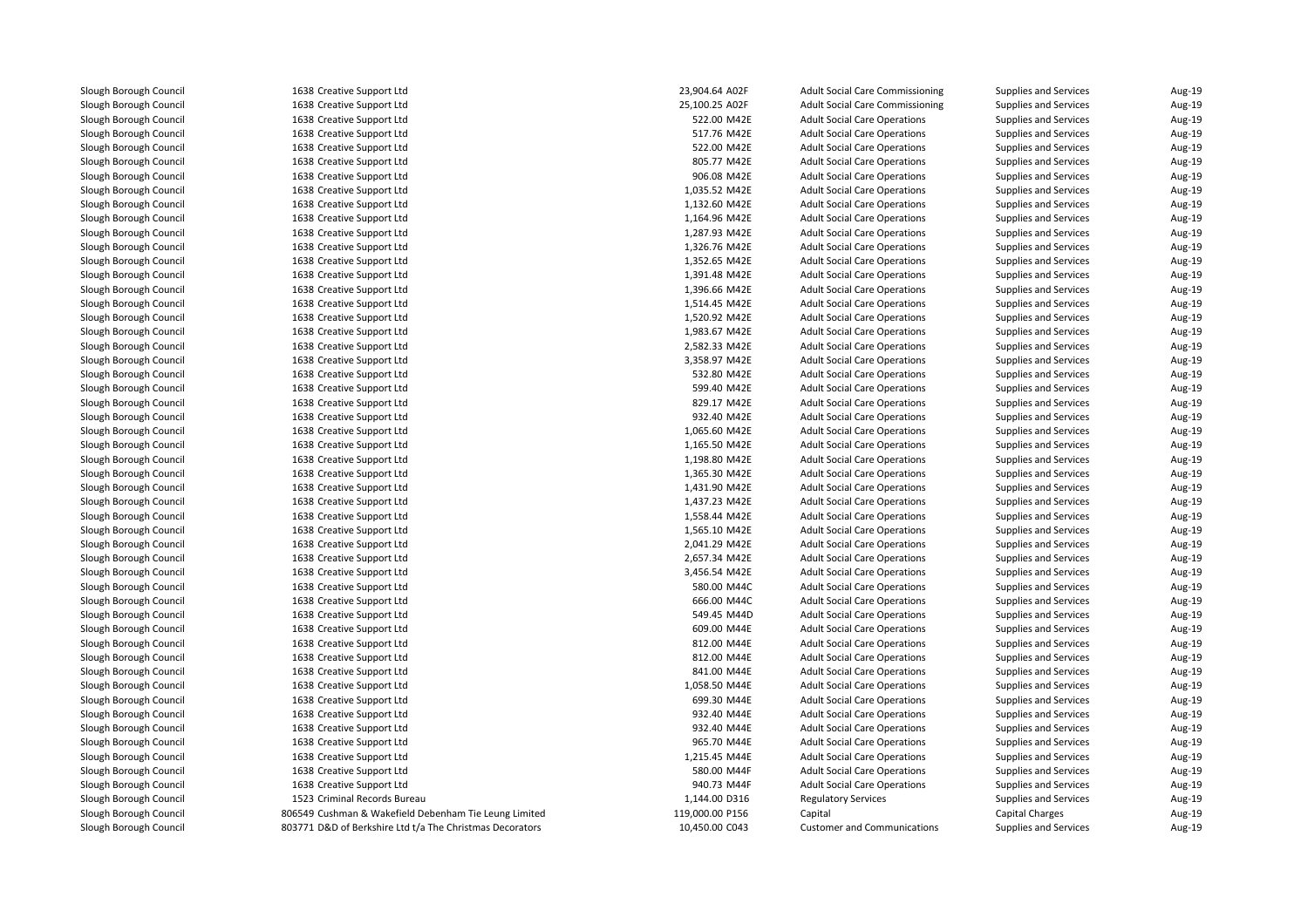| 1638 Creative Support Ltd                                | 23,904.64 A02F  | <b>Adult Social Care Commissioning</b> | Supplies and Services        | Aug-19           |
|----------------------------------------------------------|-----------------|----------------------------------------|------------------------------|------------------|
| 1638 Creative Support Ltd                                | 25,100.25 A02F  | <b>Adult Social Care Commissioning</b> | Supplies and Services        | Aug-19           |
| 1638 Creative Support Ltd                                | 522.00 M42E     | <b>Adult Social Care Operations</b>    | Supplies and Services        | Aug-19           |
| 1638 Creative Support Ltd                                | 517.76 M42E     | <b>Adult Social Care Operations</b>    | Supplies and Services        | Aug-19           |
| 1638 Creative Support Ltd                                | 522.00 M42E     | <b>Adult Social Care Operations</b>    | Supplies and Services        | Aug-19           |
| 1638 Creative Support Ltd                                | 805.77 M42E     | <b>Adult Social Care Operations</b>    | Supplies and Services        | Aug-19           |
| 1638 Creative Support Ltd                                | 906.08 M42E     | <b>Adult Social Care Operations</b>    | <b>Supplies and Services</b> | Aug-19           |
| 1638 Creative Support Ltd                                | 1,035.52 M42E   | <b>Adult Social Care Operations</b>    | Supplies and Services        | Aug-19           |
| 1638 Creative Support Ltd                                | 1,132.60 M42E   | <b>Adult Social Care Operations</b>    | Supplies and Services        | Aug-19           |
| 1638 Creative Support Ltd                                | 1,164.96 M42E   | <b>Adult Social Care Operations</b>    | Supplies and Services        | Aug-19           |
| 1638 Creative Support Ltd                                | 1,287.93 M42E   | <b>Adult Social Care Operations</b>    | Supplies and Services        | Aug-19           |
| 1638 Creative Support Ltd                                | 1,326.76 M42E   | <b>Adult Social Care Operations</b>    | Supplies and Services        | Aug-19           |
| 1638 Creative Support Ltd                                | 1,352.65 M42E   | <b>Adult Social Care Operations</b>    | Supplies and Services        | Aug-19           |
| 1638 Creative Support Ltd                                | 1,391.48 M42E   | <b>Adult Social Care Operations</b>    | Supplies and Services        | Aug-19           |
| 1638 Creative Support Ltd                                | 1,396.66 M42E   | <b>Adult Social Care Operations</b>    | Supplies and Services        | Aug-19           |
| 1638 Creative Support Ltd                                | 1,514.45 M42E   | <b>Adult Social Care Operations</b>    | Supplies and Services        | Aug-19           |
| 1638 Creative Support Ltd                                | 1,520.92 M42E   | <b>Adult Social Care Operations</b>    | Supplies and Services        | Aug-19           |
| 1638 Creative Support Ltd                                | 1,983.67 M42E   | <b>Adult Social Care Operations</b>    |                              |                  |
|                                                          | 2,582.33 M42E   |                                        | Supplies and Services        | Aug-19<br>Aug-19 |
| 1638 Creative Support Ltd                                |                 | <b>Adult Social Care Operations</b>    | Supplies and Services        |                  |
| 1638 Creative Support Ltd                                | 3,358.97 M42E   | <b>Adult Social Care Operations</b>    | Supplies and Services        | Aug-19           |
| 1638 Creative Support Ltd                                | 532.80 M42E     | <b>Adult Social Care Operations</b>    | Supplies and Services        | Aug-19           |
| 1638 Creative Support Ltd                                | 599.40 M42E     | <b>Adult Social Care Operations</b>    | Supplies and Services        | Aug-19           |
| 1638 Creative Support Ltd                                | 829.17 M42E     | <b>Adult Social Care Operations</b>    | Supplies and Services        | Aug-19           |
| 1638 Creative Support Ltd                                | 932.40 M42E     | <b>Adult Social Care Operations</b>    | Supplies and Services        | Aug-19           |
| 1638 Creative Support Ltd                                | 1,065.60 M42E   | <b>Adult Social Care Operations</b>    | Supplies and Services        | Aug-19           |
| 1638 Creative Support Ltd                                | 1,165.50 M42E   | <b>Adult Social Care Operations</b>    | <b>Supplies and Services</b> | Aug-19           |
| 1638 Creative Support Ltd                                | 1,198.80 M42E   | <b>Adult Social Care Operations</b>    | Supplies and Services        | Aug-19           |
| 1638 Creative Support Ltd                                | 1,365.30 M42E   | <b>Adult Social Care Operations</b>    | Supplies and Services        | Aug-19           |
| 1638 Creative Support Ltd                                | 1,431.90 M42E   | <b>Adult Social Care Operations</b>    | Supplies and Services        | Aug-19           |
| 1638 Creative Support Ltd                                | 1,437.23 M42E   | <b>Adult Social Care Operations</b>    | Supplies and Services        | Aug-19           |
| 1638 Creative Support Ltd                                | 1,558.44 M42E   | <b>Adult Social Care Operations</b>    | Supplies and Services        | Aug-19           |
| 1638 Creative Support Ltd                                | 1,565.10 M42E   | <b>Adult Social Care Operations</b>    | Supplies and Services        | Aug-19           |
| 1638 Creative Support Ltd                                | 2,041.29 M42E   | <b>Adult Social Care Operations</b>    | Supplies and Services        | Aug-19           |
| 1638 Creative Support Ltd                                | 2,657.34 M42E   | <b>Adult Social Care Operations</b>    | Supplies and Services        | Aug-19           |
| 1638 Creative Support Ltd                                | 3,456.54 M42E   | <b>Adult Social Care Operations</b>    | Supplies and Services        | Aug-19           |
| 1638 Creative Support Ltd                                | 580.00 M44C     | <b>Adult Social Care Operations</b>    | Supplies and Services        | Aug-19           |
| 1638 Creative Support Ltd                                | 666.00 M44C     | <b>Adult Social Care Operations</b>    | Supplies and Services        | Aug-19           |
| 1638 Creative Support Ltd                                | 549.45 M44D     | <b>Adult Social Care Operations</b>    | Supplies and Services        | Aug-19           |
| 1638 Creative Support Ltd                                | 609.00 M44E     | <b>Adult Social Care Operations</b>    | Supplies and Services        | Aug-19           |
| 1638 Creative Support Ltd                                | 812.00 M44E     | <b>Adult Social Care Operations</b>    | Supplies and Services        | Aug-19           |
| 1638 Creative Support Ltd                                | 812.00 M44E     | <b>Adult Social Care Operations</b>    | Supplies and Services        | Aug-19           |
| 1638 Creative Support Ltd                                | 841.00 M44E     | <b>Adult Social Care Operations</b>    | Supplies and Services        | Aug-19           |
| 1638 Creative Support Ltd                                | 1,058.50 M44E   | <b>Adult Social Care Operations</b>    | Supplies and Services        | Aug-19           |
| 1638 Creative Support Ltd                                | 699.30 M44E     | <b>Adult Social Care Operations</b>    | Supplies and Services        | Aug-19           |
| 1638 Creative Support Ltd                                | 932.40 M44E     | <b>Adult Social Care Operations</b>    | Supplies and Services        | Aug-19           |
| 1638 Creative Support Ltd                                | 932.40 M44E     | <b>Adult Social Care Operations</b>    | Supplies and Services        | Aug-19           |
| 1638 Creative Support Ltd                                | 965.70 M44E     | <b>Adult Social Care Operations</b>    | Supplies and Services        | Aug-19           |
| 1638 Creative Support Ltd                                | 1,215.45 M44E   | <b>Adult Social Care Operations</b>    | Supplies and Services        | Aug-19           |
| 1638 Creative Support Ltd                                | 580.00 M44F     | <b>Adult Social Care Operations</b>    | Supplies and Services        | Aug-19           |
| 1638 Creative Support Ltd                                | 940.73 M44F     | <b>Adult Social Care Operations</b>    | Supplies and Services        | Aug-19           |
| 1523 Criminal Records Bureau                             | 1,144.00 D316   | <b>Regulatory Services</b>             | Supplies and Services        | Aug-19           |
| 806549 Cushman & Wakefield Debenham Tie Leung Limited    | 119,000.00 P156 | Capital                                | <b>Capital Charges</b>       | Aug-19           |
| 803771 D&D of Berkshire Ltd t/a The Christmas Decorators | 10,450.00 C043  | <b>Customer and Communications</b>     | Supplies and Services        | Aug-19           |
|                                                          |                 |                                        |                              |                  |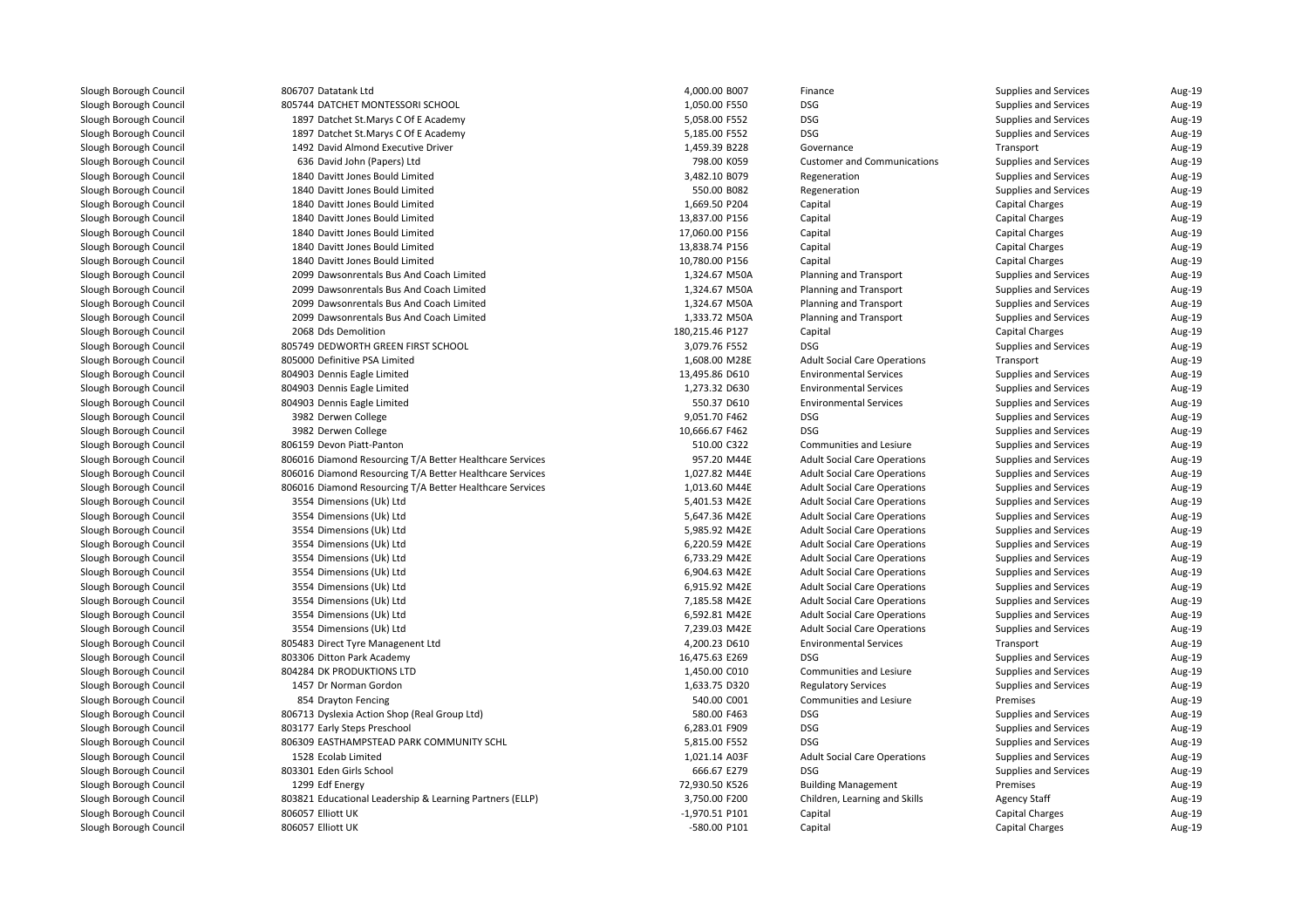| 806707 Datatank Ltd                                                           | 4,000.00 B007   | Finance                             | Supplies and Services  | Aug-19           |
|-------------------------------------------------------------------------------|-----------------|-------------------------------------|------------------------|------------------|
| 805744 DATCHET MONTESSORI SCHOOL                                              | 1,050.00 F550   | <b>DSG</b>                          | Supplies and Services  | Aug-19           |
| 1897 Datchet St.Marys C Of E Academy                                          | 5,058.00 F552   | <b>DSG</b>                          | Supplies and Services  | Aug-19           |
| 1897 Datchet St.Marys C Of E Academy                                          | 5,185.00 F552   | <b>DSG</b>                          | Supplies and Services  | Aug-19           |
| 1492 David Almond Executive Driver                                            | 1,459.39 B228   | Governance                          | Transport              | Aug-19           |
| 636 David John (Papers) Ltd                                                   | 798.00 K059     | <b>Customer and Communications</b>  | Supplies and Services  | Aug-19           |
| 1840 Davitt Jones Bould Limited                                               | 3,482.10 B079   | Regeneration                        | Supplies and Services  | Aug-19           |
| 1840 Davitt Jones Bould Limited                                               | 550.00 B082     | Regeneration                        | Supplies and Services  | Aug-19           |
| 1840 Davitt Jones Bould Limited                                               | 1,669.50 P204   | Capital                             | <b>Capital Charges</b> | Aug-19           |
| 1840 Davitt Jones Bould Limited                                               | 13,837.00 P156  | Capital                             | <b>Capital Charges</b> | Aug-19           |
| 1840 Davitt Jones Bould Limited                                               | 17,060.00 P156  | Capital                             | <b>Capital Charges</b> | Aug-19           |
| 1840 Davitt Jones Bould Limited                                               | 13,838.74 P156  | Capital                             | <b>Capital Charges</b> | Aug-19           |
| 1840 Davitt Jones Bould Limited                                               | 10,780.00 P156  | Capital                             | <b>Capital Charges</b> | Aug-19           |
| 2099 Dawsonrentals Bus And Coach Limited                                      | 1,324.67 M50A   | <b>Planning and Transport</b>       | Supplies and Services  | Aug-19           |
| 2099 Dawsonrentals Bus And Coach Limited                                      | 1,324.67 M50A   | Planning and Transport              | Supplies and Services  | Aug-19           |
| 2099 Dawsonrentals Bus And Coach Limited                                      | 1,324.67 M50A   | Planning and Transport              | Supplies and Services  | Aug-19           |
| 2099 Dawsonrentals Bus And Coach Limited                                      | 1,333.72 M50A   | Planning and Transport              | Supplies and Services  | Aug-19           |
| 2068 Dds Demolition                                                           | 180,215.46 P127 | Capital                             | <b>Capital Charges</b> | Aug-19           |
| 805749 DEDWORTH GREEN FIRST SCHOOL                                            | 3,079.76 F552   | <b>DSG</b>                          | Supplies and Services  | Aug-19           |
| 805000 Definitive PSA Limited                                                 | 1,608.00 M28E   | <b>Adult Social Care Operations</b> | Transport              | Aug-19           |
| 804903 Dennis Eagle Limited                                                   | 13,495.86 D610  | <b>Environmental Services</b>       | Supplies and Services  | Aug-19           |
| 804903 Dennis Eagle Limited                                                   | 1,273.32 D630   | <b>Environmental Services</b>       | Supplies and Services  | Aug-19           |
| 804903 Dennis Eagle Limited                                                   | 550.37 D610     | <b>Environmental Services</b>       | Supplies and Services  | Aug-19           |
| 3982 Derwen College                                                           | 9,051.70 F462   | <b>DSG</b>                          | Supplies and Services  | Aug-19           |
| 3982 Derwen College                                                           | 10,666.67 F462  | <b>DSG</b>                          | Supplies and Services  | Aug-19           |
| 806159 Devon Piatt-Panton                                                     | 510.00 C322     | Communities and Lesiure             | Supplies and Services  | Aug-19           |
| 806016 Diamond Resourcing T/A Better Healthcare Services                      | 957.20 M44E     | <b>Adult Social Care Operations</b> | Supplies and Services  | Aug-19           |
| 806016 Diamond Resourcing T/A Better Healthcare Services                      | 1,027.82 M44E   | <b>Adult Social Care Operations</b> | Supplies and Services  | Aug-19           |
| 806016 Diamond Resourcing T/A Better Healthcare Services                      | 1,013.60 M44E   | <b>Adult Social Care Operations</b> | Supplies and Services  | Aug-19           |
| 3554 Dimensions (Uk) Ltd                                                      | 5,401.53 M42E   | <b>Adult Social Care Operations</b> | Supplies and Services  | Aug-19           |
| 3554 Dimensions (Uk) Ltd                                                      | 5,647.36 M42E   | <b>Adult Social Care Operations</b> | Supplies and Services  | Aug-19           |
| 3554 Dimensions (Uk) Ltd                                                      | 5,985.92 M42E   | <b>Adult Social Care Operations</b> | Supplies and Services  | Aug-19           |
| 3554 Dimensions (Uk) Ltd                                                      | 6,220.59 M42E   | <b>Adult Social Care Operations</b> | Supplies and Services  | Aug-19           |
| 3554 Dimensions (Uk) Ltd                                                      | 6,733.29 M42E   | <b>Adult Social Care Operations</b> | Supplies and Services  | Aug-19           |
| 3554 Dimensions (Uk) Ltd                                                      | 6,904.63 M42E   | <b>Adult Social Care Operations</b> | Supplies and Services  | Aug-19           |
| 3554 Dimensions (Uk) Ltd                                                      | 6,915.92 M42E   | <b>Adult Social Care Operations</b> | Supplies and Services  | Aug-19           |
| 3554 Dimensions (Uk) Ltd                                                      | 7,185.58 M42E   | <b>Adult Social Care Operations</b> | Supplies and Services  | Aug-19           |
| 3554 Dimensions (Uk) Ltd                                                      | 6,592.81 M42E   | <b>Adult Social Care Operations</b> | Supplies and Services  | Aug-19           |
| 3554 Dimensions (Uk) Ltd                                                      | 7,239.03 M42E   | <b>Adult Social Care Operations</b> | Supplies and Services  | Aug-19           |
| 805483 Direct Tyre Managenent Ltd                                             | 4,200.23 D610   | <b>Environmental Services</b>       | Transport              | Aug-19           |
| 803306 Ditton Park Academy                                                    | 16,475.63 E269  | <b>DSG</b>                          | Supplies and Services  | Aug-19           |
| 804284 DK PRODUKTIONS LTD                                                     | 1,450.00 C010   | Communities and Lesiure             | Supplies and Services  | Aug-19           |
| 1457 Dr Norman Gordon                                                         | 1,633.75 D320   | <b>Regulatory Services</b>          | Supplies and Services  | Aug-19           |
|                                                                               | 540.00 C001     | Communities and Lesiure             | Premises               |                  |
| 854 Drayton Fencing<br>806713 Dyslexia Action Shop (Real Group Ltd)           | 580.00 F463     | <b>DSG</b>                          | Supplies and Services  | Aug-19<br>Aug-19 |
|                                                                               | 6,283.01 F909   | <b>DSG</b>                          | Supplies and Services  | Aug-19           |
| 803177 Early Steps Preschool<br>806309 EASTHAMPSTEAD PARK COMMUNITY SCHL      | 5,815.00 F552   | <b>DSG</b>                          |                        | Aug-19           |
|                                                                               |                 |                                     | Supplies and Services  |                  |
| 1528 Ecolab Limited                                                           | 1,021.14 A03F   | <b>Adult Social Care Operations</b> | Supplies and Services  | Aug-19           |
| 803301 Eden Girls School                                                      | 666.67 E279     | <b>DSG</b>                          | Supplies and Services  | Aug-19           |
| 1299 Edf Energy                                                               | 72,930.50 K526  | <b>Building Management</b>          | Premises               | Aug-19           |
| 803821 Educational Leadership & Learning Partners (ELLP)<br>806057 Elliott UK | 3,750.00 F200   | Children, Learning and Skills       | <b>Agency Staff</b>    | Aug-19           |
|                                                                               | -1,970.51 P101  | Capital                             | <b>Capital Charges</b> | Aug-19           |
| 806057 Elliott UK                                                             | -580.00 P101    | Capital                             | <b>Capital Charges</b> | Aug-19           |
|                                                                               |                 |                                     |                        |                  |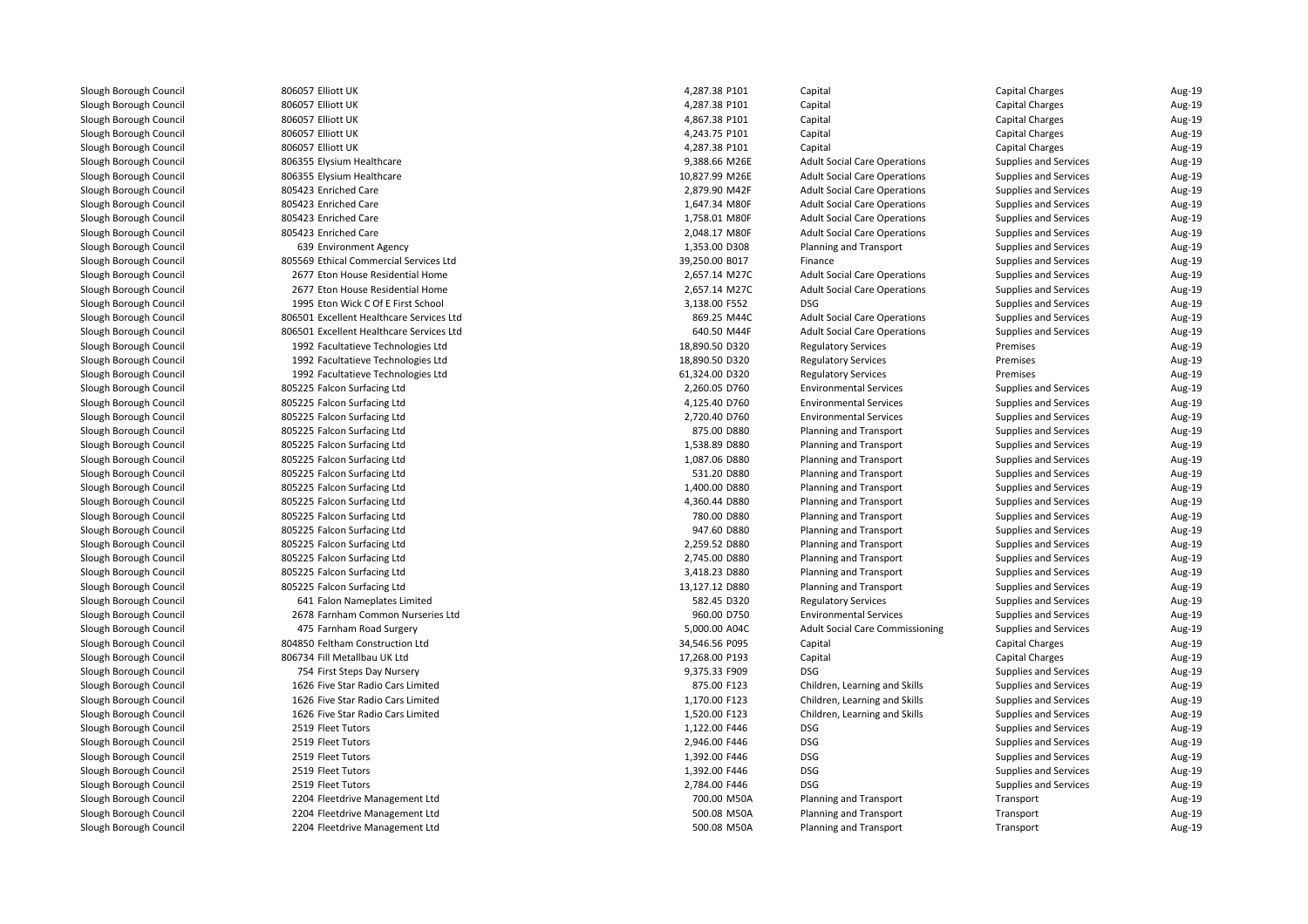806057 Elliott UK 806057 Elliott UK 806057 Elliott UK 806057 Elliott UK 806057 Elliott UK806355 Elysium Healthcare 806355 Elvsium Healthcare 805423 Enriched Care 805423 Enriched Care 805423 Enriched Care 805423 Enriched Care 639 Environment Agency 805569 Ethical Commercial Services Ltd 2677 Eton House Residential Home 2,657.14 M27C 2677 Eton House Residential Home 2,657.14 M27C 1995 Eton Wick C Of E First School 3,138.00 F552 DSG 806501 Excellent Healthcare Services Ltd 806501 Excellent Healthcare Services Ltd 1992 Facultatieve Technologies Ltd 1992 Facultatieve Technologies Ltd 1992 Facultatieve Technologies Ltd 805225 Falcon Surfacing Ltd 805225 Falcon Surfacing Ltd 805225 Falcon Surfacing Ltd 805225 Falcon Surfacing Ltd 805225 Falcon Surfacing Ltd 805225 Falcon Surfacing Ltd 805225 Falcon Surfacing Ltd 805225 Falcon Surfacing Ltd 805225 Falcon Surfacing Ltd 805225 Falcon Surfacing Ltd 805225 Falcon Surfacing Ltd 805225 Falcon Surfacing Ltd 805225 Falcon Surfacing Ltd 805225 Falcon Surfacing Ltd 805225 Falcon Surfacing Ltd 641 Falon Nameplates Limited 2678 Farnham Common Nurseries Ltd 475 Farnham Road Surgery 5,000.00 A04C 804850 Feltham Construction Ltd 806734 Fill Metallbau UK Ltd 754 First Steps Day Nursery 9,375.33 F909 DSG 1626 Five Star Radio Cars Limited 1626 Five Star Radio Cars Limited 1626 Five Star Radio Cars Limited2519 Fleet Tutors Fleet Tutors 1,122.00 F446 DSG2519 Fleet Tutors Fleet Tutors 2,946.00 F446 DSG2519 Fleet Tutors Fleet Tutors 1,392.00 F446 DSG2519 Fleet Tutors Fleet Tutors 1,392.00 F446 DSG2519 Fleet Tutors Fleet Tutors 2,784.00 F446 DSG 2204 Fleetdrive Management Ltd 2204 Fleetdrive Management Ltd2204 Fleetdrive Management Ltd

| 7 Elliott UK                        | 4,287.38 P101  | Capital                                | <b>Capital Charges</b>       | Aug-19 |
|-------------------------------------|----------------|----------------------------------------|------------------------------|--------|
| 7 Elliott UK                        | 4,287.38 P101  | Capital                                | <b>Capital Charges</b>       | Aug-19 |
| 7 Elliott UK                        | 4,867.38 P101  | Capital                                | <b>Capital Charges</b>       | Aug-19 |
| 7 Elliott UK                        | 4,243.75 P101  | Capital                                | <b>Capital Charges</b>       | Aug-19 |
| 7 Elliott UK                        | 4,287.38 P101  | Capital                                | Capital Charges              | Aug-19 |
| 5 Elysium Healthcare                | 9,388.66 M26E  | <b>Adult Social Care Operations</b>    | Supplies and Services        | Aug-19 |
| 5 Elysium Healthcare                | 10,827.99 M26E | <b>Adult Social Care Operations</b>    | Supplies and Services        | Aug-19 |
| 3 Enriched Care                     | 2,879.90 M42F  | <b>Adult Social Care Operations</b>    | Supplies and Services        | Aug-19 |
| 3 Enriched Care                     | 1,647.34 M80F  | <b>Adult Social Care Operations</b>    | Supplies and Services        | Aug-19 |
| 3 Enriched Care                     | 1,758.01 M80F  | <b>Adult Social Care Operations</b>    | Supplies and Services        | Aug-19 |
| 3 Enriched Care                     | 2,048.17 M80F  | <b>Adult Social Care Operations</b>    | Supplies and Services        | Aug-19 |
| 9 Environment Agency                | 1,353.00 D308  | Planning and Transport                 | Supplies and Services        | Aug-19 |
| 9 Ethical Commercial Services Ltd   | 39,250.00 B017 | Finance                                | Supplies and Services        | Aug-19 |
| 7 Eton House Residential Home       | 2,657.14 M27C  | <b>Adult Social Care Operations</b>    | Supplies and Services        | Aug-19 |
| 7 Eton House Residential Home       | 2,657.14 M27C  | <b>Adult Social Care Operations</b>    | Supplies and Services        | Aug-19 |
| 5 Eton Wick C Of E First School     | 3,138.00 F552  | <b>DSG</b>                             | Supplies and Services        | Aug-19 |
| 1 Excellent Healthcare Services Ltd | 869.25 M44C    | <b>Adult Social Care Operations</b>    | Supplies and Services        | Aug-19 |
| 1 Excellent Healthcare Services Ltd | 640.50 M44F    | <b>Adult Social Care Operations</b>    | Supplies and Services        | Aug-19 |
| 2 Facultatieve Technologies Ltd     | 18,890.50 D320 | <b>Regulatory Services</b>             | Premises                     | Aug-19 |
| 2 Facultatieve Technologies Ltd     | 18,890.50 D320 | <b>Regulatory Services</b>             | Premises                     | Aug-19 |
| 2 Facultatieve Technologies Ltd     | 61,324.00 D320 | <b>Regulatory Services</b>             | Premises                     | Aug-19 |
| 5 Falcon Surfacing Ltd              | 2,260.05 D760  | <b>Environmental Services</b>          | Supplies and Services        | Aug-19 |
| 5 Falcon Surfacing Ltd              | 4,125.40 D760  | <b>Environmental Services</b>          | Supplies and Services        | Aug-19 |
| 5 Falcon Surfacing Ltd              | 2,720.40 D760  | <b>Environmental Services</b>          | Supplies and Services        | Aug-19 |
| 5 Falcon Surfacing Ltd              | 875.00 D880    | Planning and Transport                 | Supplies and Services        | Aug-19 |
| 5 Falcon Surfacing Ltd              | 1,538.89 D880  | Planning and Transport                 | Supplies and Services        | Aug-19 |
| 5 Falcon Surfacing Ltd              | 1,087.06 D880  | Planning and Transport                 | Supplies and Services        | Aug-19 |
| 5 Falcon Surfacing Ltd              | 531.20 D880    | Planning and Transport                 | Supplies and Services        | Aug-19 |
| 5 Falcon Surfacing Ltd              | 1,400.00 D880  | Planning and Transport                 | Supplies and Services        | Aug-19 |
| 5 Falcon Surfacing Ltd              | 4,360.44 D880  | Planning and Transport                 | Supplies and Services        | Aug-19 |
| 5 Falcon Surfacing Ltd              | 780.00 D880    | Planning and Transport                 | Supplies and Services        | Aug-19 |
| 5 Falcon Surfacing Ltd              | 947.60 D880    | <b>Planning and Transport</b>          | Supplies and Services        | Aug-19 |
| 5 Falcon Surfacing Ltd              | 2,259.52 D880  | Planning and Transport                 | Supplies and Services        | Aug-19 |
| 5 Falcon Surfacing Ltd              | 2,745.00 D880  | Planning and Transport                 | Supplies and Services        | Aug-19 |
| 5 Falcon Surfacing Ltd              | 3,418.23 D880  | Planning and Transport                 | Supplies and Services        | Aug-19 |
| 5 Falcon Surfacing Ltd              | 13,127.12 D880 | Planning and Transport                 | <b>Supplies and Services</b> | Aug-19 |
| 1 Falon Nameplates Limited          | 582.45 D320    | <b>Regulatory Services</b>             | Supplies and Services        | Aug-19 |
| 8 Farnham Common Nurseries Ltd      | 960.00 D750    | <b>Environmental Services</b>          | Supplies and Services        | Aug-19 |
| 5 Farnham Road Surgery              | 5,000.00 A04C  | <b>Adult Social Care Commissioning</b> | Supplies and Services        | Aug-19 |
| 0 Feltham Construction Ltd          | 34,546.56 P095 | Capital                                | <b>Capital Charges</b>       | Aug-19 |
| 4 Fill Metallbau UK Ltd             | 17,268.00 P193 | Capital                                | <b>Capital Charges</b>       | Aug-19 |
| 4 First Steps Day Nursery           | 9,375.33 F909  | <b>DSG</b>                             | Supplies and Services        | Aug-19 |
| 6 Five Star Radio Cars Limited      | 875.00 F123    |                                        |                              | Aug-19 |
| 6 Five Star Radio Cars Limited      | 1,170.00 F123  | Children, Learning and Skills          | Supplies and Services        | Aug-19 |
|                                     |                | Children, Learning and Skills          | Supplies and Services        |        |
| 6 Five Star Radio Cars Limited      | 1,520.00 F123  | Children, Learning and Skills          | Supplies and Services        | Aug-19 |
| 9 Fleet Tutors                      | 1,122.00 F446  | <b>DSG</b>                             | Supplies and Services        | Aug-19 |
| 9 Fleet Tutors                      | 2,946.00 F446  | <b>DSG</b>                             | Supplies and Services        | Aug-19 |
| 9 Fleet Tutors                      | 1,392.00 F446  | <b>DSG</b>                             | Supplies and Services        | Aug-19 |
| 9 Fleet Tutors                      | 1,392.00 F446  | <b>DSG</b>                             | Supplies and Services        | Aug-19 |
| 9 Fleet Tutors                      | 2,784.00 F446  | <b>DSG</b>                             | Supplies and Services        | Aug-19 |
| 4 Fleetdrive Management Ltd         | 700.00 M50A    | <b>Planning and Transport</b>          | Transport                    | Aug-19 |
| 4 Fleetdrive Management Ltd         | 500.08 M50A    | Planning and Transport                 | Transport                    | Aug-19 |
| 4 Fleetdrive Management Ltd         | 500.08 M50A    | Planning and Transport                 | Transport                    | Aug-19 |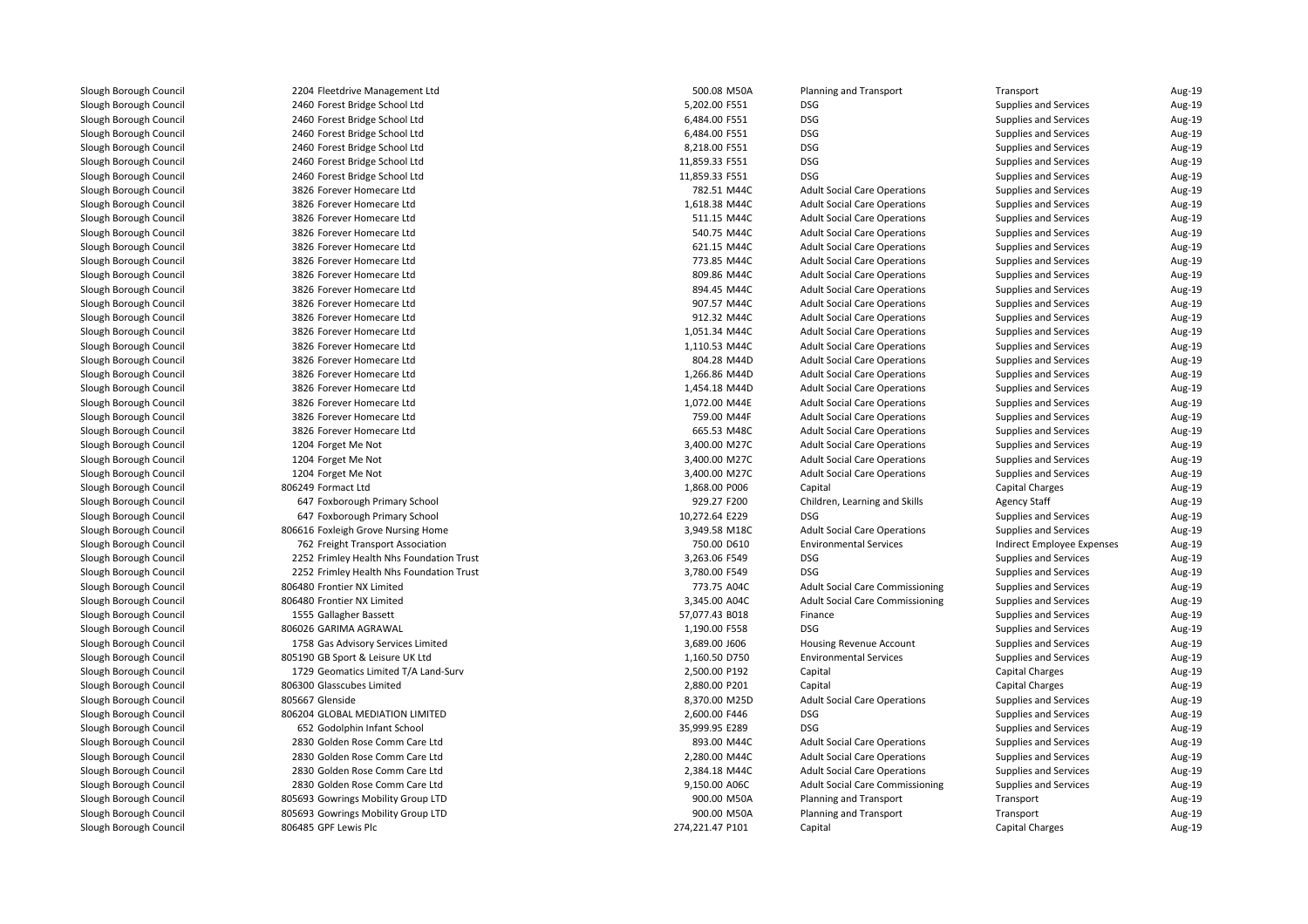2204 Fleetdrive Management Ltd 2460 Forest Bridge School Ltd 2460 Forest Bridge School Ltd 2460 Forest Bridge School Ltd 2460 Forest Bridge School Ltd 2460 Forest Bridge School Ltd 2460 Forest Bridge School Ltd 3826 Forever Homecare Ltd 3826 Forever Homecare Ltd 3826 Forever Homecare Ltd 3826 Forever Homecare Ltd 3826 Forever Homecare Ltd 3826 Forever Homecare Ltd 3826 Forever Homecare Ltd 3826 Forever Homecare Ltd 3826 Forever Homecare Ltd 3826 Forever Homecare Ltd 3826 Forever Homecare Ltd 3826 Forever Homecare Ltd 3826 Forever Homecare Ltd 3826 Forever Homecare Ltd 3826 Forever Homecare Ltd 3826 Forever Homecare Ltd 3826 Forever Homecare Ltd 3826 Forever Homecare Ltd1204 Forget Me Not 3,400.00 M27C 3,400.00 M27C 1204 Forget Me Not 4 Forget Me Not 3,400.00 M27C 1204 Forget Me Not 3,400.00 M27C 3,400.00 M27C 806249 Formact Ltd647 Foxborough Primary School 647 Foxborough Primary School 10,272.64 E229 DSG**1** 3,949.58 M18C 806616 Foxleigh Grove Nursing Home 3,949.58 M2C 3,949.58 M18C 762 Freight Transport Association 2252 Frimley Health Nhs Foundation Trust 3,263.06 F549 DSG 2252 Frimley Health Nhs Foundation Trust 3,780.00 F549 DSG 806480 Frontier NX Limited 806480 Frontier NX Limited1555 Gallagher Bassett l 1,190.00 F558 BSG BOO26 GARIMA AGRAWAL 1,190.00 F558 BSG BSG BOO26 GARIMA AGRAWAL 20 BSG BOO26 BSG BSG BOO26 1758 Gas Advisory Services Limited 805190 GB Sport & Leisure UK Ltd1729 Geomatics Limited T/A Land-Surv 806300 Glasscubes Limited805667 Glenside Glenside 8,370.00 M25D 806204 GLOBAL MEDIATION LIMITED 652 Godolphin Infant School 35,999.95 E289 DSG 2830 Golden Rose Comm Care Ltd 2830 Golden Rose Comm Care Ltd 2830 Golden Rose Comm Care Ltd 2830 Golden Rose Comm Care Ltd 805693 Gowrings Mobility Group LTD 805693 Gowrings Mobility Group LTD806485 GPF Lewis Plc

| 4 Fleetdrive Management Ltd           | 500.08 M50A     | Planning and Transport                 | Transport                    | Aug-19 |
|---------------------------------------|-----------------|----------------------------------------|------------------------------|--------|
| 0 Forest Bridge School Ltd            | 5,202.00 F551   | <b>DSG</b>                             | Supplies and Services        | Aug-19 |
| 0 Forest Bridge School Ltd            | 6,484.00 F551   | <b>DSG</b>                             | Supplies and Services        | Aug-19 |
| 0 Forest Bridge School Ltd            | 6,484.00 F551   | <b>DSG</b>                             | Supplies and Services        | Aug-19 |
| 0 Forest Bridge School Ltd            | 8,218.00 F551   | <b>DSG</b>                             | Supplies and Services        | Aug-19 |
| 0 Forest Bridge School Ltd            | 11,859.33 F551  | <b>DSG</b>                             | Supplies and Services        | Aug-19 |
| 0 Forest Bridge School Ltd            | 11,859.33 F551  | <b>DSG</b>                             | Supplies and Services        | Aug-19 |
| 6 Forever Homecare Ltd                | 782.51 M44C     | <b>Adult Social Care Operations</b>    | Supplies and Services        | Aug-19 |
| 6 Forever Homecare Ltd                | 1,618.38 M44C   | <b>Adult Social Care Operations</b>    | Supplies and Services        | Aug-19 |
| 6 Forever Homecare Ltd                | 511.15 M44C     | <b>Adult Social Care Operations</b>    | Supplies and Services        | Aug-19 |
| 6 Forever Homecare Ltd                | 540.75 M44C     | <b>Adult Social Care Operations</b>    | Supplies and Services        | Aug-19 |
| 6 Forever Homecare Ltd                | 621.15 M44C     | <b>Adult Social Care Operations</b>    | Supplies and Services        | Aug-19 |
| 6 Forever Homecare Ltd                | 773.85 M44C     | <b>Adult Social Care Operations</b>    | Supplies and Services        | Aug-19 |
| 6 Forever Homecare Ltd                | 809.86 M44C     | <b>Adult Social Care Operations</b>    | Supplies and Services        | Aug-19 |
| 6 Forever Homecare Ltd                | 894.45 M44C     | <b>Adult Social Care Operations</b>    | Supplies and Services        | Aug-19 |
| 6 Forever Homecare Ltd                | 907.57 M44C     | <b>Adult Social Care Operations</b>    | Supplies and Services        | Aug-19 |
| 6 Forever Homecare Ltd                | 912.32 M44C     | <b>Adult Social Care Operations</b>    | Supplies and Services        | Aug-19 |
| 6 Forever Homecare Ltd                | 1,051.34 M44C   | <b>Adult Social Care Operations</b>    | Supplies and Services        | Aug-19 |
| 6 Forever Homecare Ltd                | 1,110.53 M44C   | <b>Adult Social Care Operations</b>    | Supplies and Services        | Aug-19 |
| 6 Forever Homecare Ltd                | 804.28 M44D     | <b>Adult Social Care Operations</b>    | Supplies and Services        | Aug-19 |
| 6 Forever Homecare Ltd                | 1,266.86 M44D   | <b>Adult Social Care Operations</b>    | Supplies and Services        | Aug-19 |
| 6 Forever Homecare Ltd                | 1,454.18 M44D   | <b>Adult Social Care Operations</b>    | Supplies and Services        | Aug-19 |
| 6 Forever Homecare Ltd                | 1,072.00 M44E   | <b>Adult Social Care Operations</b>    | Supplies and Services        | Aug-19 |
| 6 Forever Homecare Ltd                | 759.00 M44F     | <b>Adult Social Care Operations</b>    | Supplies and Services        | Aug-19 |
| 6 Forever Homecare Ltd                | 665.53 M48C     | <b>Adult Social Care Operations</b>    | Supplies and Services        | Aug-19 |
| 4 Forget Me Not                       | 3,400.00 M27C   | <b>Adult Social Care Operations</b>    | Supplies and Services        | Aug-19 |
| 4 Forget Me Not                       | 3,400.00 M27C   | <b>Adult Social Care Operations</b>    | Supplies and Services        | Aug-19 |
| 4 Forget Me Not                       | 3,400.00 M27C   | <b>Adult Social Care Operations</b>    | Supplies and Services        | Aug-19 |
| 9 Formact Ltd                         | 1,868.00 P006   | Capital                                | Capital Charges              | Aug-19 |
| 7 Foxborough Primary School           | 929.27 F200     | Children, Learning and Skills          | <b>Agency Staff</b>          | Aug-19 |
| 7 Foxborough Primary School           | 10,272.64 E229  | <b>DSG</b>                             | Supplies and Services        | Aug-19 |
| 6 Foxleigh Grove Nursing Home         | 3,949.58 M18C   | <b>Adult Social Care Operations</b>    | <b>Supplies and Services</b> | Aug-19 |
| 2 Freight Transport Association       | 750.00 D610     | <b>Environmental Services</b>          | Indirect Employee Expenses   | Aug-19 |
| 2 Frimley Health Nhs Foundation Trust | 3,263.06 F549   | <b>DSG</b>                             | Supplies and Services        | Aug-19 |
| 2 Frimley Health Nhs Foundation Trust | 3,780.00 F549   | <b>DSG</b>                             | <b>Supplies and Services</b> | Aug-19 |
| 0 Frontier NX Limited                 | 773.75 A04C     | <b>Adult Social Care Commissioning</b> | Supplies and Services        | Aug-19 |
| 0 Frontier NX Limited                 | 3,345.00 A04C   | <b>Adult Social Care Commissioning</b> | Supplies and Services        | Aug-19 |
| 5 Gallagher Bassett                   | 57,077.43 B018  | Finance                                | Supplies and Services        | Aug-19 |
| 6 GARIMA AGRAWAL                      | 1,190.00 F558   | <b>DSG</b>                             | Supplies and Services        | Aug-19 |
| 8 Gas Advisory Services Limited       | 3,689.00 J606   | <b>Housing Revenue Account</b>         | Supplies and Services        | Aug-19 |
| 0 GB Sport & Leisure UK Ltd           | 1,160.50 D750   | <b>Environmental Services</b>          | Supplies and Services        | Aug-19 |
| 9 Geomatics Limited T/A Land-Surv     | 2,500.00 P192   | Capital                                | <b>Capital Charges</b>       | Aug-19 |
| 0 Glasscubes Limited                  | 2,880.00 P201   | Capital                                | <b>Capital Charges</b>       | Aug-19 |
| 7 Glenside                            | 8,370.00 M25D   | <b>Adult Social Care Operations</b>    | Supplies and Services        | Aug-19 |
| 4 GLOBAL MEDIATION LIMITED            | 2,600.00 F446   | <b>DSG</b>                             | Supplies and Services        | Aug-19 |
| 2 Godolphin Infant School             | 35,999.95 E289  | <b>DSG</b>                             | Supplies and Services        | Aug-19 |
| 0 Golden Rose Comm Care Ltd           | 893.00 M44C     | <b>Adult Social Care Operations</b>    | Supplies and Services        | Aug-19 |
| 0 Golden Rose Comm Care Ltd           | 2,280.00 M44C   | <b>Adult Social Care Operations</b>    | Supplies and Services        | Aug-19 |
| 0 Golden Rose Comm Care Ltd           | 2,384.18 M44C   | <b>Adult Social Care Operations</b>    | Supplies and Services        | Aug-19 |
| 0 Golden Rose Comm Care Ltd           | 9,150.00 A06C   | <b>Adult Social Care Commissioning</b> | Supplies and Services        | Aug-19 |
| 3 Gowrings Mobility Group LTD         | 900.00 M50A     | Planning and Transport                 | Transport                    | Aug-19 |
| 3 Gowrings Mobility Group LTD         | 900.00 M50A     | Planning and Transport                 | Transport                    | Aug-19 |
| 5 GPF Lewis Plc                       | 274,221.47 P101 | Capital                                | <b>Capital Charges</b>       | Aug-19 |
|                                       |                 |                                        |                              |        |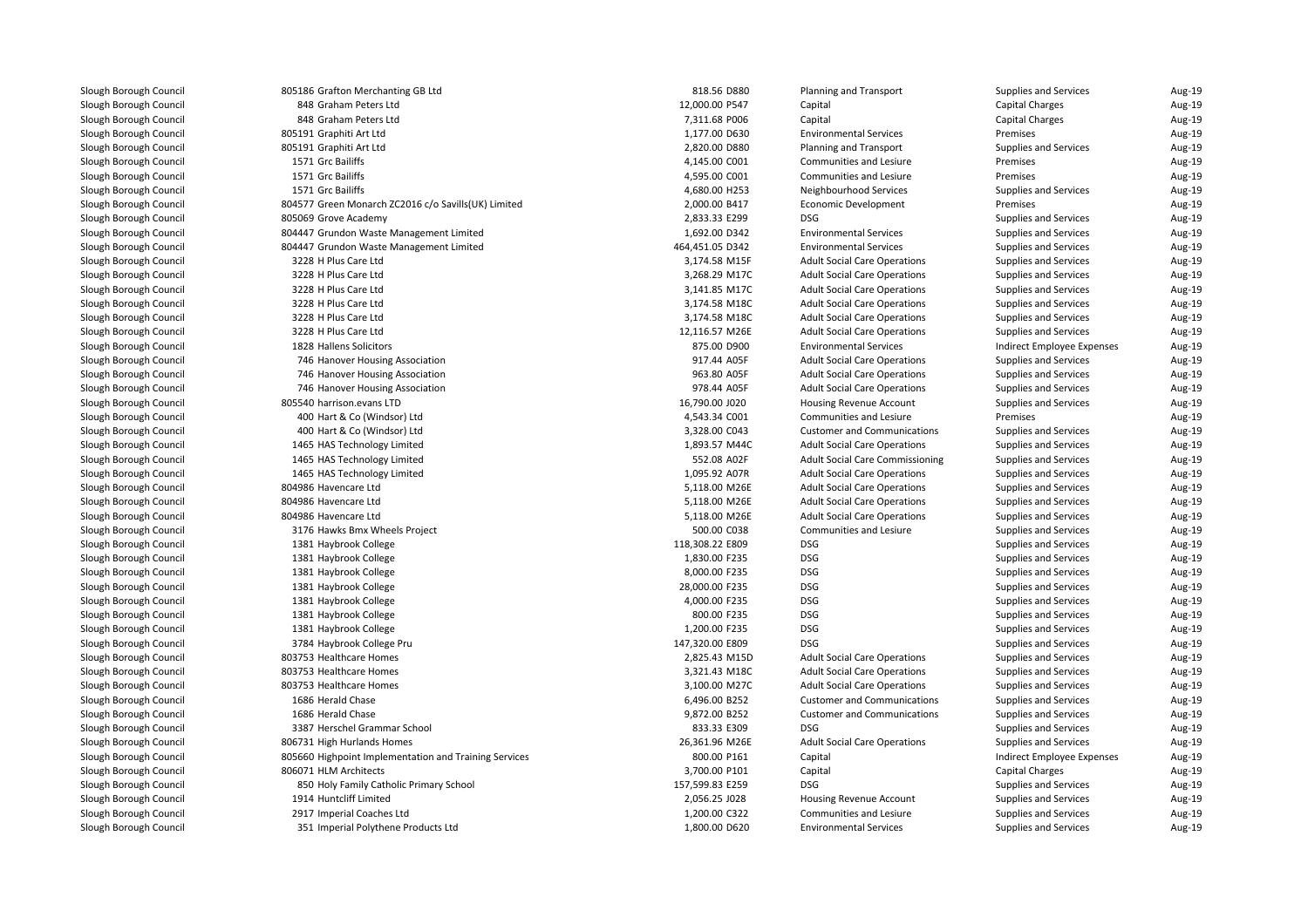| 805186 Grafton Merchanting GB Ltd                     | 818.56 D880     | <b>Planning and Transport</b>          | Supplies and Services        | Aug-19 |
|-------------------------------------------------------|-----------------|----------------------------------------|------------------------------|--------|
| 848 Graham Peters Ltd                                 | 12,000.00 P547  | Capital                                | <b>Capital Charges</b>       | Aug-19 |
| 848 Graham Peters Ltd                                 | 7,311.68 P006   | Capital                                | <b>Capital Charges</b>       | Aug-19 |
| 805191 Graphiti Art Ltd                               | 1,177.00 D630   | <b>Environmental Services</b>          | Premises                     | Aug-19 |
| 805191 Graphiti Art Ltd                               | 2,820.00 D880   | <b>Planning and Transport</b>          | Supplies and Services        | Aug-19 |
| 1571 Grc Bailiffs                                     | 4,145.00 C001   | Communities and Lesiure                | Premises                     | Aug-19 |
| 1571 Grc Bailiffs                                     | 4,595.00 C001   | Communities and Lesiure                | Premises                     | Aug-19 |
| 1571 Grc Bailiffs                                     | 4,680.00 H253   | Neighbourhood Services                 | Supplies and Services        | Aug-19 |
| 804577 Green Monarch ZC2016 c/o Savills(UK) Limited   | 2,000.00 B417   | Economic Development                   | Premises                     | Aug-19 |
| 805069 Grove Academy                                  | 2,833.33 E299   | <b>DSG</b>                             | Supplies and Services        | Aug-19 |
| 804447 Grundon Waste Management Limited               | 1,692.00 D342   | <b>Environmental Services</b>          | Supplies and Services        | Aug-19 |
| 804447 Grundon Waste Management Limited               | 464,451.05 D342 | <b>Environmental Services</b>          | Supplies and Services        | Aug-19 |
| 3228 H Plus Care Ltd                                  | 3,174.58 M15F   | <b>Adult Social Care Operations</b>    | Supplies and Services        | Aug-19 |
| 3228 H Plus Care Ltd                                  | 3,268.29 M17C   | <b>Adult Social Care Operations</b>    | Supplies and Services        | Aug-19 |
| 3228 H Plus Care Ltd                                  | 3,141.85 M17C   | <b>Adult Social Care Operations</b>    | Supplies and Services        | Aug-19 |
| 3228 H Plus Care Ltd                                  | 3,174.58 M18C   | <b>Adult Social Care Operations</b>    | Supplies and Services        | Aug-19 |
| 3228 H Plus Care Ltd                                  | 3,174.58 M18C   | <b>Adult Social Care Operations</b>    | <b>Supplies and Services</b> | Aug-19 |
| 3228 H Plus Care Ltd                                  | 12,116.57 M26E  | <b>Adult Social Care Operations</b>    | Supplies and Services        | Aug-19 |
| 1828 Hallens Solicitors                               | 875.00 D900     | <b>Environmental Services</b>          | Indirect Employee Expenses   | Aug-19 |
| 746 Hanover Housing Association                       | 917.44 A05F     | <b>Adult Social Care Operations</b>    | Supplies and Services        | Aug-19 |
| 746 Hanover Housing Association                       | 963.80 A05F     | <b>Adult Social Care Operations</b>    | Supplies and Services        | Aug-19 |
| 746 Hanover Housing Association                       | 978.44 A05F     | <b>Adult Social Care Operations</b>    | Supplies and Services        | Aug-19 |
| 805540 harrison.evans LTD                             | 16,790.00 J020  | Housing Revenue Account                | Supplies and Services        | Aug-19 |
| 400 Hart & Co (Windsor) Ltd                           | 4,543.34 C001   | Communities and Lesiure                | Premises                     | Aug-19 |
| 400 Hart & Co (Windsor) Ltd                           | 3,328.00 C043   | <b>Customer and Communications</b>     | Supplies and Services        | Aug-19 |
| 1465 HAS Technology Limited                           | 1,893.57 M44C   | <b>Adult Social Care Operations</b>    | Supplies and Services        | Aug-19 |
| 1465 HAS Technology Limited                           | 552.08 A02F     | <b>Adult Social Care Commissioning</b> | Supplies and Services        | Aug-19 |
| 1465 HAS Technology Limited                           | 1,095.92 A07R   | <b>Adult Social Care Operations</b>    | Supplies and Services        | Aug-19 |
| 804986 Havencare Ltd                                  | 5,118.00 M26E   | <b>Adult Social Care Operations</b>    | Supplies and Services        | Aug-19 |
| 804986 Havencare Ltd                                  | 5,118.00 M26E   | <b>Adult Social Care Operations</b>    | Supplies and Services        | Aug-19 |
| 804986 Havencare Ltd                                  | 5,118.00 M26E   | <b>Adult Social Care Operations</b>    | Supplies and Services        | Aug-19 |
| 3176 Hawks Bmx Wheels Project                         | 500.00 C038     | Communities and Lesiure                | Supplies and Services        | Aug-19 |
| 1381 Haybrook College                                 | 118,308.22 E809 | <b>DSG</b>                             | Supplies and Services        | Aug-19 |
| 1381 Haybrook College                                 | 1,830.00 F235   | <b>DSG</b>                             | Supplies and Services        | Aug-19 |
| 1381 Haybrook College                                 | 8,000.00 F235   | <b>DSG</b>                             | Supplies and Services        | Aug-19 |
| 1381 Haybrook College                                 | 28,000.00 F235  | <b>DSG</b>                             | Supplies and Services        | Aug-19 |
| 1381 Haybrook College                                 | 4,000.00 F235   | <b>DSG</b>                             | Supplies and Services        | Aug-19 |
| 1381 Haybrook College                                 | 800.00 F235     | <b>DSG</b>                             | Supplies and Services        | Aug-19 |
| 1381 Haybrook College                                 | 1,200.00 F235   | <b>DSG</b>                             | Supplies and Services        | Aug-19 |
| 3784 Haybrook College Pru                             | 147,320.00 E809 | <b>DSG</b>                             | Supplies and Services        | Aug-19 |
| 803753 Healthcare Homes                               | 2,825.43 M15D   | <b>Adult Social Care Operations</b>    | Supplies and Services        | Aug-19 |
| 803753 Healthcare Homes                               | 3,321.43 M18C   | <b>Adult Social Care Operations</b>    | Supplies and Services        | Aug-19 |
| 803753 Healthcare Homes                               | 3,100.00 M27C   | <b>Adult Social Care Operations</b>    | Supplies and Services        | Aug-19 |
| 1686 Herald Chase                                     | 6,496.00 B252   | <b>Customer and Communications</b>     | Supplies and Services        | Aug-19 |
| 1686 Herald Chase                                     | 9,872.00 B252   | <b>Customer and Communications</b>     | Supplies and Services        | Aug-19 |
| 3387 Herschel Grammar School                          | 833.33 E309     | <b>DSG</b>                             | Supplies and Services        | Aug-19 |
| 806731 High Hurlands Homes                            | 26,361.96 M26E  | <b>Adult Social Care Operations</b>    | Supplies and Services        | Aug-19 |
| 805660 Highpoint Implementation and Training Services | 800.00 P161     | Capital                                | Indirect Employee Expenses   | Aug-19 |
| 806071 HLM Architects                                 | 3,700.00 P101   | Capital                                | <b>Capital Charges</b>       | Aug-19 |
| 850 Holy Family Catholic Primary School               | 157,599.83 E259 | <b>DSG</b>                             | Supplies and Services        | Aug-19 |
| 1914 Huntcliff Limited                                | 2,056.25 J028   | Housing Revenue Account                | Supplies and Services        | Aug-19 |
| 2917 Imperial Coaches Ltd                             | 1,200.00 C322   | Communities and Lesiure                | Supplies and Services        | Aug-19 |
|                                                       |                 |                                        |                              |        |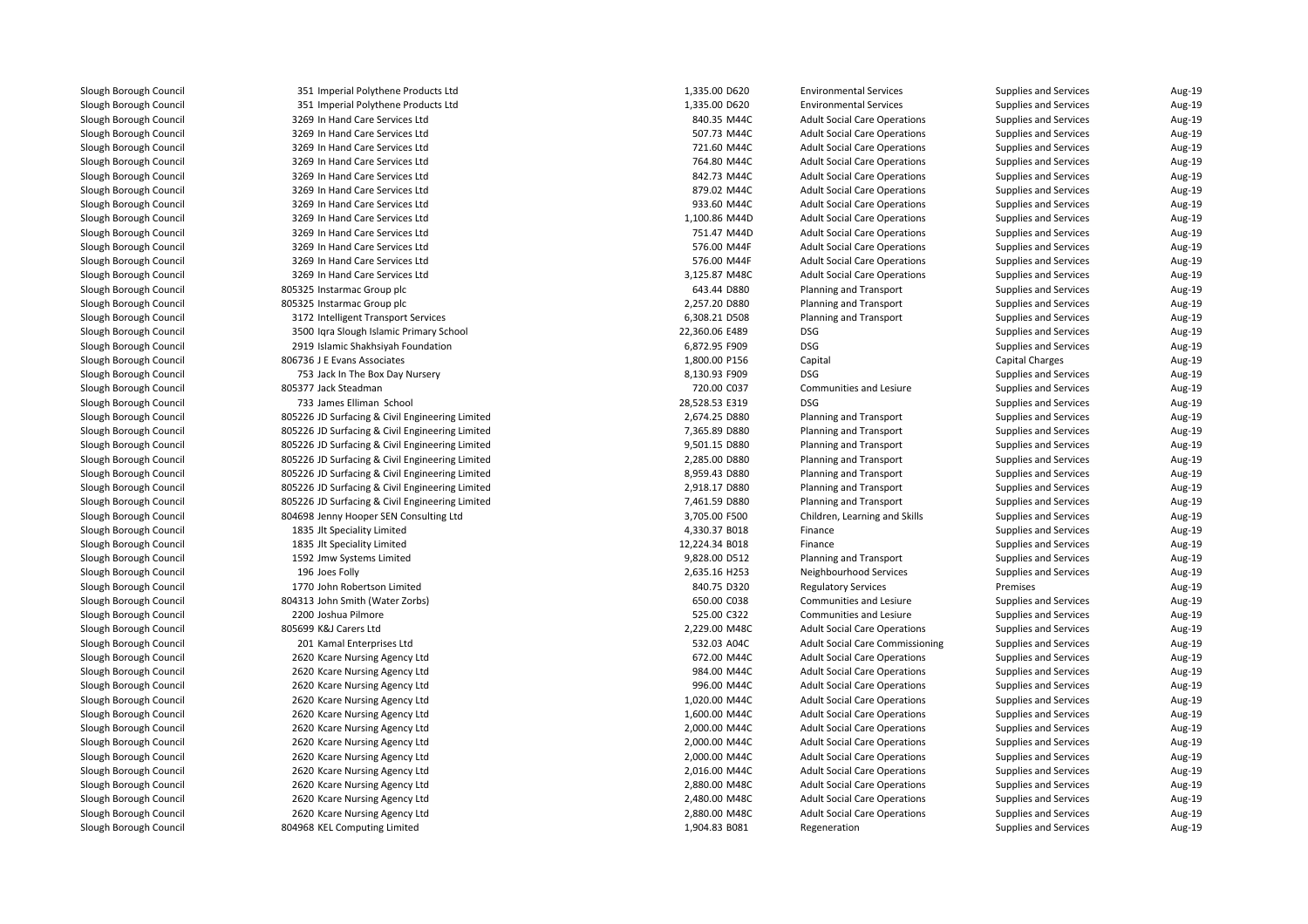| 351 Imperial Polythene Products Ltd             | 1,335.00 D620  | <b>Environmental Services</b>          | <b>Supplies and Services</b> | Aug-19 |
|-------------------------------------------------|----------------|----------------------------------------|------------------------------|--------|
| 351 Imperial Polythene Products Ltd             | 1,335.00 D620  | <b>Environmental Services</b>          | Supplies and Services        | Aug-19 |
| 3269 In Hand Care Services Ltd                  | 840.35 M44C    | <b>Adult Social Care Operations</b>    | Supplies and Services        | Aug-19 |
| 3269 In Hand Care Services Ltd                  | 507.73 M44C    | <b>Adult Social Care Operations</b>    | Supplies and Services        | Aug-19 |
| 3269 In Hand Care Services Ltd                  | 721.60 M44C    | <b>Adult Social Care Operations</b>    | Supplies and Services        | Aug-19 |
| 3269 In Hand Care Services Ltd                  | 764.80 M44C    | <b>Adult Social Care Operations</b>    | Supplies and Services        | Aug-19 |
| 3269 In Hand Care Services Ltd                  | 842.73 M44C    | <b>Adult Social Care Operations</b>    | Supplies and Services        | Aug-19 |
| 3269 In Hand Care Services Ltd                  | 879.02 M44C    | <b>Adult Social Care Operations</b>    | Supplies and Services        | Aug-19 |
| 3269 In Hand Care Services Ltd                  | 933.60 M44C    | <b>Adult Social Care Operations</b>    | Supplies and Services        | Aug-19 |
| 3269 In Hand Care Services Ltd                  | 1,100.86 M44D  | <b>Adult Social Care Operations</b>    | Supplies and Services        | Aug-19 |
| 3269 In Hand Care Services Ltd                  | 751.47 M44D    | <b>Adult Social Care Operations</b>    | Supplies and Services        | Aug-19 |
| 3269 In Hand Care Services Ltd                  | 576.00 M44F    | <b>Adult Social Care Operations</b>    | Supplies and Services        | Aug-19 |
| 3269 In Hand Care Services Ltd                  | 576.00 M44F    | <b>Adult Social Care Operations</b>    | Supplies and Services        | Aug-19 |
| 3269 In Hand Care Services Ltd                  | 3,125.87 M48C  | <b>Adult Social Care Operations</b>    | Supplies and Services        | Aug-19 |
| 805325 Instarmac Group plc                      | 643.44 D880    | Planning and Transport                 | Supplies and Services        | Aug-19 |
| 805325 Instarmac Group plc                      | 2,257.20 D880  | <b>Planning and Transport</b>          | Supplies and Services        | Aug-19 |
| 3172 Intelligent Transport Services             | 6,308.21 D508  | <b>Planning and Transport</b>          | Supplies and Services        | Aug-19 |
| 3500 Igra Slough Islamic Primary School         | 22,360.06 E489 | <b>DSG</b>                             | Supplies and Services        | Aug-19 |
| 2919 Islamic Shakhsiyah Foundation              | 6,872.95 F909  | <b>DSG</b>                             | Supplies and Services        | Aug-19 |
| 806736 J E Evans Associates                     | 1,800.00 P156  | Capital                                | <b>Capital Charges</b>       | Aug-19 |
| 753 Jack In The Box Day Nursery                 | 8,130.93 F909  | <b>DSG</b>                             | Supplies and Services        | Aug-19 |
| 805377 Jack Steadman                            | 720.00 C037    | Communities and Lesiure                | Supplies and Services        | Aug-19 |
| 733 James Elliman School                        | 28,528.53 E319 | <b>DSG</b>                             | Supplies and Services        | Aug-19 |
| 805226 JD Surfacing & Civil Engineering Limited | 2,674.25 D880  | <b>Planning and Transport</b>          | Supplies and Services        | Aug-19 |
| 805226 JD Surfacing & Civil Engineering Limited | 7,365.89 D880  | <b>Planning and Transport</b>          | Supplies and Services        | Aug-19 |
| 805226 JD Surfacing & Civil Engineering Limited | 9,501.15 D880  | <b>Planning and Transport</b>          | Supplies and Services        | Aug-19 |
| 805226 JD Surfacing & Civil Engineering Limited | 2,285.00 D880  | <b>Planning and Transport</b>          | Supplies and Services        | Aug-19 |
| 805226 JD Surfacing & Civil Engineering Limited | 8,959.43 D880  | <b>Planning and Transport</b>          | Supplies and Services        | Aug-19 |
| 805226 JD Surfacing & Civil Engineering Limited | 2,918.17 D880  | <b>Planning and Transport</b>          | Supplies and Services        | Aug-19 |
| 805226 JD Surfacing & Civil Engineering Limited | 7,461.59 D880  | <b>Planning and Transport</b>          | Supplies and Services        | Aug-19 |
| 804698 Jenny Hooper SEN Consulting Ltd          | 3,705.00 F500  | Children, Learning and Skills          | Supplies and Services        | Aug-19 |
| 1835 Jlt Speciality Limited                     | 4,330.37 B018  | Finance                                | Supplies and Services        | Aug-19 |
| 1835 Jlt Speciality Limited                     | 12,224.34 B018 | Finance                                | Supplies and Services        | Aug-19 |
| 1592 Jmw Systems Limited                        | 9,828.00 D512  | Planning and Transport                 | Supplies and Services        | Aug-19 |
| 196 Joes Folly                                  | 2,635.16 H253  | Neighbourhood Services                 | Supplies and Services        | Aug-19 |
| 1770 John Robertson Limited                     | 840.75 D320    | <b>Regulatory Services</b>             | Premises                     | Aug-19 |
| 804313 John Smith (Water Zorbs)                 | 650.00 C038    | Communities and Lesiure                | Supplies and Services        | Aug-19 |
| 2200 Joshua Pilmore                             | 525.00 C322    | Communities and Lesiure                | Supplies and Services        | Aug-19 |
| 805699 K&J Carers Ltd                           | 2,229.00 M48C  | <b>Adult Social Care Operations</b>    | Supplies and Services        | Aug-19 |
| 201 Kamal Enterprises Ltd                       | 532.03 A04C    | <b>Adult Social Care Commissioning</b> | Supplies and Services        | Aug-19 |
| 2620 Kcare Nursing Agency Ltd                   | 672.00 M44C    | <b>Adult Social Care Operations</b>    | Supplies and Services        | Aug-19 |
| 2620 Kcare Nursing Agency Ltd                   | 984.00 M44C    | <b>Adult Social Care Operations</b>    | Supplies and Services        | Aug-19 |
|                                                 | 996.00 M44C    | <b>Adult Social Care Operations</b>    |                              |        |
| 2620 Kcare Nursing Agency Ltd                   |                |                                        | Supplies and Services        | Aug-19 |
| 2620 Kcare Nursing Agency Ltd                   | 1,020.00 M44C  | <b>Adult Social Care Operations</b>    | Supplies and Services        | Aug-19 |
| 2620 Kcare Nursing Agency Ltd                   | 1,600.00 M44C  | <b>Adult Social Care Operations</b>    | Supplies and Services        | Aug-19 |
| 2620 Kcare Nursing Agency Ltd                   | 2,000.00 M44C  | <b>Adult Social Care Operations</b>    | Supplies and Services        | Aug-19 |
| 2620 Kcare Nursing Agency Ltd                   | 2,000.00 M44C  | <b>Adult Social Care Operations</b>    | Supplies and Services        | Aug-19 |
| 2620 Kcare Nursing Agency Ltd                   | 2,000.00 M44C  | <b>Adult Social Care Operations</b>    | Supplies and Services        | Aug-19 |
| 2620 Kcare Nursing Agency Ltd                   | 2,016.00 M44C  | <b>Adult Social Care Operations</b>    | Supplies and Services        | Aug-19 |
| 2620 Kcare Nursing Agency Ltd                   | 2,880.00 M48C  | <b>Adult Social Care Operations</b>    | Supplies and Services        | Aug-19 |
| 2620 Kcare Nursing Agency Ltd                   | 2,480.00 M48C  | <b>Adult Social Care Operations</b>    | Supplies and Services        | Aug-19 |
| 2620 Kcare Nursing Agency Ltd                   | 2,880.00 M48C  | <b>Adult Social Care Operations</b>    | Supplies and Services        | Aug-19 |
| 804968 KEL Computing Limited                    | 1,904.83 B081  | Regeneration                           | Supplies and Services        | Aug-19 |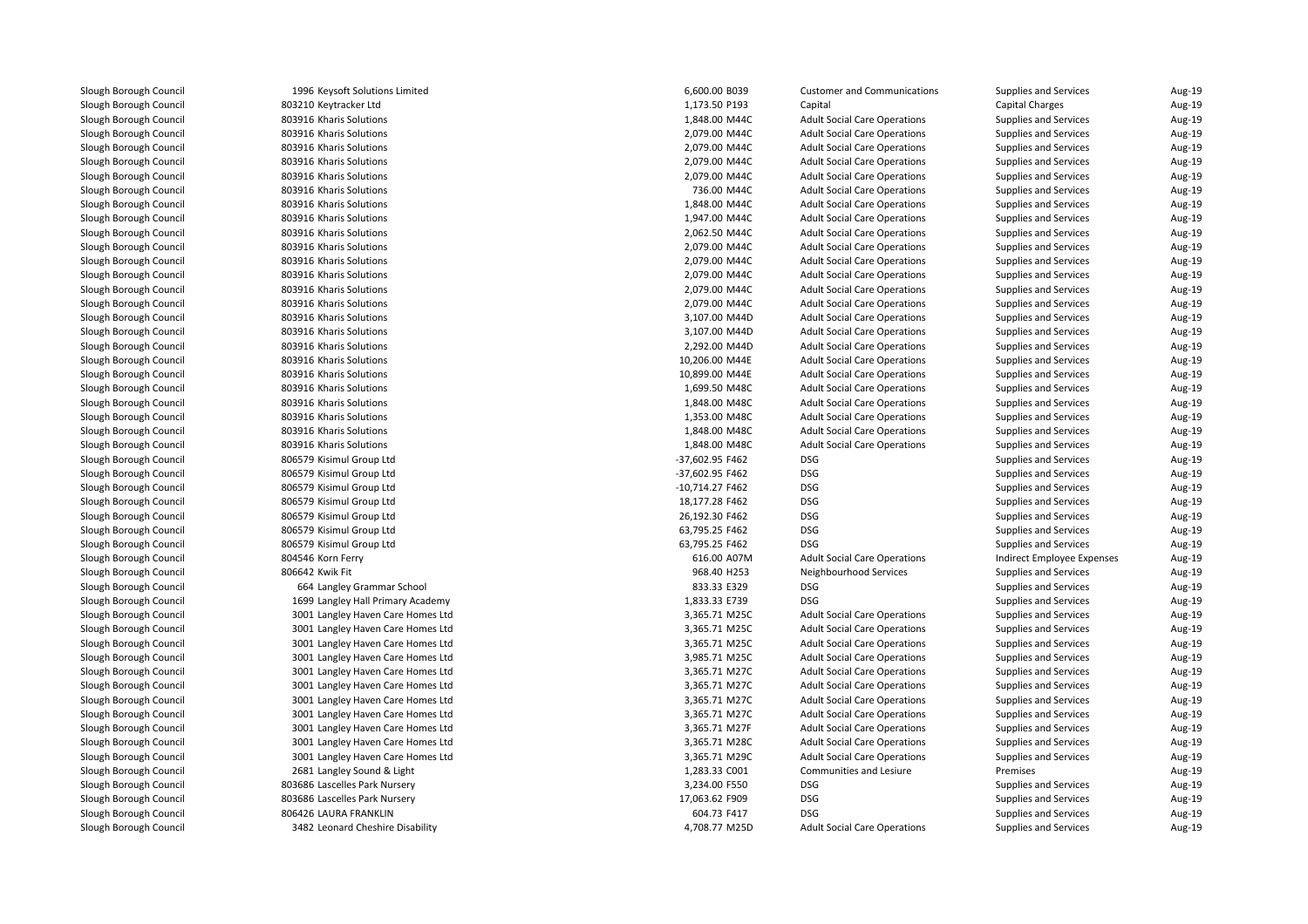1996 Keysoft Solutions Limited 803210 Keytracker Ltd**803916 Kharis Solutions 1,848.00 M44C** 1,848.00 M44C 803916 Kharis Solutions 2,079.00 M44C 803916 Kharis Solutions 2,079.00 M44C 803916 Kharis Solutions 2,079.00 M44C803916 Kharis Solutions 6 Kharis Solutions 2,079.00 M44C 803916 Kharis Solutions 736.00 M44C**803916 Kharis Solutions 1,848.00 M44C** 1,848.00 M44C 803916 Kharis Solutions 1,947.00 M44C 803916 Kharis Solutions 2,062.50 M44C 803916 Kharis Solutions 2,079.00 M44C803916 Kharis Solutions 6 Kharis Solutions 2,079.00 M44C 803916 Kharis Solutions 2,079.00 M44C 803916 Kharis Solutions 2,079.00 M44C 803916 Kharis Solutions 2,079.00 M44C 803916 Kharis Solutions 3,107.00 M44D 803916 Kharis Solutions 3,107.00 M44D803916 Kharis Solutions 6 Kharis Solutions 2,292.00 M44D 803916 Kharis Solutions 803916 Kharis Solutions **803916 Kharis Solutions 1,699.50 M48C** 2,699.50 M48C 2,699.50 M48C 2,699.50 M48C 2,699.50 M48C 2,699.50 M48C 2,699 **1** 803916 Kharis Solutions **1,848.00 M48C** 803916 Kharis Solutions 6 Kharis Solutions 2012 1,353.00 M48C 803916 Kharis Solutions 6 Kharis Solutions 2012 1,848.00 M48C **1** 803916 Kharis Solutions **1,848.00 M48C**  806579 Kisimul Group Ltd 806579 Kisimul Group Ltd 806579 Kisimul Group Ltd 806579 Kisimul Group Ltd 806579 Kisimul Group Ltd 806579 Kisimul Group Ltd 806579 Kisimul Group Ltd804546 Korn Ferry Korn Ferry 616.00 A07M806642 Kwik Fit 664 Langley Grammar School 833.33 E329 DSG 1699 Langley Hall Primary Academy 1,833.33 E739 DSG 3001 Langley Haven Care Homes Ltd 3001 Langley Haven Care Homes Ltd 3001 Langley Haven Care Homes Ltd 3001 Langley Haven Care Homes Ltd 3001 Langley Haven Care Homes Ltd 3001 Langley Haven Care Homes Ltd 3001 Langley Haven Care Homes Ltd 3001 Langley Haven Care Homes Ltd 3001 Langley Haven Care Homes Ltd 3001 Langley Haven Care Homes Ltd 3001 Langley Haven Care Homes Ltd2681 Langley Sound & Light 803686 Lascelles Park Nursery 3,234.00 F550 DSG 803686 Lascelles Park Nursery 17,063.62 F909 DSG 806426 LAURA FRANKLIN1 **3482 Leonard Cheshire Disability** 4,708.77 M25D

| 6 Keysoft Solutions Limited    | 6,600.00 B039                  | <b>Customer and Communications</b>                             | <b>Supplies and Services</b>             | Aug-19           |
|--------------------------------|--------------------------------|----------------------------------------------------------------|------------------------------------------|------------------|
| 0 Keytracker Ltd               | 1,173.50 P193                  | Capital                                                        | Capital Charges                          | Aug-19           |
| 6 Kharis Solutions             | 1,848.00 M44C                  | <b>Adult Social Care Operations</b>                            | Supplies and Services                    | Aug-19           |
| 6 Kharis Solutions             | 2,079.00 M44C                  | <b>Adult Social Care Operations</b>                            | Supplies and Services                    | Aug-19           |
| 6 Kharis Solutions             | 2,079.00 M44C                  | <b>Adult Social Care Operations</b>                            | <b>Supplies and Services</b>             | Aug-19           |
| 6 Kharis Solutions             | 2,079.00 M44C                  | <b>Adult Social Care Operations</b>                            | Supplies and Services                    | Aug-19           |
| 6 Kharis Solutions             | 2,079.00 M44C                  | <b>Adult Social Care Operations</b>                            | Supplies and Services                    | Aug-19           |
| 6 Kharis Solutions             | 736.00 M44C                    | <b>Adult Social Care Operations</b>                            | Supplies and Services                    | Aug-19           |
| 6 Kharis Solutions             | 1,848.00 M44C                  | <b>Adult Social Care Operations</b>                            | Supplies and Services                    | Aug-19           |
| 6 Kharis Solutions             | 1,947.00 M44C                  | <b>Adult Social Care Operations</b>                            | Supplies and Services                    | Aug-19           |
| 6 Kharis Solutions             | 2,062.50 M44C                  | <b>Adult Social Care Operations</b>                            | Supplies and Services                    | Aug-19           |
| 6 Kharis Solutions             | 2,079.00 M44C                  | <b>Adult Social Care Operations</b>                            | Supplies and Services                    | Aug-19           |
| 6 Kharis Solutions             | 2,079.00 M44C                  | <b>Adult Social Care Operations</b>                            | Supplies and Services                    | Aug-19           |
| 6 Kharis Solutions             | 2,079.00 M44C                  | <b>Adult Social Care Operations</b>                            | Supplies and Services                    | Aug-19           |
| 6 Kharis Solutions             | 2,079.00 M44C                  | <b>Adult Social Care Operations</b>                            | Supplies and Services                    | Aug-19           |
| 6 Kharis Solutions             | 2,079.00 M44C                  | <b>Adult Social Care Operations</b>                            | Supplies and Services                    | Aug-19           |
| 6 Kharis Solutions             | 3,107.00 M44D                  | <b>Adult Social Care Operations</b>                            | Supplies and Services                    | Aug-19           |
| 6 Kharis Solutions             | 3,107.00 M44D                  | <b>Adult Social Care Operations</b>                            | <b>Supplies and Services</b>             | Aug-19           |
| 6 Kharis Solutions             | 2,292.00 M44D                  | <b>Adult Social Care Operations</b>                            | Supplies and Services                    | Aug-19           |
| 6 Kharis Solutions             | 10,206.00 M44E                 | <b>Adult Social Care Operations</b>                            | Supplies and Services                    | Aug-19           |
| 6 Kharis Solutions             | 10,899.00 M44E                 | <b>Adult Social Care Operations</b>                            | Supplies and Services                    | Aug-19           |
| 6 Kharis Solutions             | 1,699.50 M48C                  | <b>Adult Social Care Operations</b>                            | Supplies and Services                    | Aug-19           |
| 6 Kharis Solutions             | 1,848.00 M48C                  | <b>Adult Social Care Operations</b>                            | Supplies and Services                    | Aug-19           |
| 6 Kharis Solutions             | 1,353.00 M48C                  | <b>Adult Social Care Operations</b>                            | Supplies and Services                    | Aug-19           |
| 6 Kharis Solutions             | 1,848.00 M48C                  | <b>Adult Social Care Operations</b>                            | Supplies and Services                    | Aug-19           |
| 6 Kharis Solutions             | 1,848.00 M48C                  | <b>Adult Social Care Operations</b>                            | Supplies and Services                    | Aug-19           |
| 9 Kisimul Group Ltd            | -37,602.95 F462                | <b>DSG</b>                                                     | Supplies and Services                    | Aug-19           |
| 9 Kisimul Group Ltd            | -37,602.95 F462                | <b>DSG</b>                                                     | <b>Supplies and Services</b>             | Aug-19           |
| 9 Kisimul Group Ltd            | -10,714.27 F462                | <b>DSG</b>                                                     | Supplies and Services                    | Aug-19           |
| 9 Kisimul Group Ltd            | 18,177.28 F462                 | <b>DSG</b>                                                     | Supplies and Services                    | Aug-19           |
| 9 Kisimul Group Ltd            | 26,192.30 F462                 | <b>DSG</b>                                                     | Supplies and Services                    | Aug-19           |
| 9 Kisimul Group Ltd            | 63,795.25 F462                 | <b>DSG</b>                                                     | Supplies and Services                    | Aug-19           |
| 9 Kisimul Group Ltd            | 63,795.25 F462                 | <b>DSG</b>                                                     | Supplies and Services                    | Aug-19           |
| 6 Korn Ferry                   | 616.00 A07M                    | <b>Adult Social Care Operations</b>                            | Indirect Employee Expenses               | Aug-19           |
| 2 Kwik Fit                     | 968.40 H253                    | Neighbourhood Services                                         | Supplies and Services                    | Aug-19           |
| 4 Langley Grammar School       | 833.33 E329                    | <b>DSG</b>                                                     | Supplies and Services                    | Aug-19           |
| 9 Langley Hall Primary Academy | 1,833.33 E739                  | <b>DSG</b>                                                     | Supplies and Services                    | Aug-19           |
| 1 Langley Haven Care Homes Ltd | 3,365.71 M25C                  | <b>Adult Social Care Operations</b>                            | Supplies and Services                    | Aug-19           |
| 1 Langley Haven Care Homes Ltd | 3,365.71 M25C                  | <b>Adult Social Care Operations</b>                            | Supplies and Services                    | Aug-19           |
| 1 Langley Haven Care Homes Ltd | 3,365.71 M25C                  | <b>Adult Social Care Operations</b>                            | Supplies and Services                    | Aug-19           |
| 1 Langley Haven Care Homes Ltd | 3,985.71 M25C                  | <b>Adult Social Care Operations</b>                            | Supplies and Services                    | Aug-19           |
| 1 Langley Haven Care Homes Ltd | 3,365.71 M27C                  | <b>Adult Social Care Operations</b>                            | Supplies and Services                    | Aug-19           |
| 1 Langley Haven Care Homes Ltd | 3,365.71 M27C                  | <b>Adult Social Care Operations</b>                            | Supplies and Services                    | Aug-19           |
| 1 Langley Haven Care Homes Ltd | 3,365.71 M27C                  | <b>Adult Social Care Operations</b>                            | Supplies and Services                    | Aug-19           |
|                                |                                |                                                                |                                          |                  |
| 1 Langley Haven Care Homes Ltd | 3,365.71 M27C<br>3,365.71 M27F | <b>Adult Social Care Operations</b>                            | Supplies and Services                    | Aug-19<br>Aug-19 |
| 1 Langley Haven Care Homes Ltd |                                | <b>Adult Social Care Operations</b>                            | Supplies and Services                    |                  |
| 1 Langley Haven Care Homes Ltd | 3,365.71 M28C                  | <b>Adult Social Care Operations</b>                            | Supplies and Services                    | Aug-19           |
| 1 Langley Haven Care Homes Ltd | 3,365.71 M29C                  | <b>Adult Social Care Operations</b><br>Communities and Lesiure | <b>Supplies and Services</b><br>Premises | Aug-19           |
| 1 Langley Sound & Light        | 1,283.33 CO01                  |                                                                |                                          | Aug-19           |
| 6 Lascelles Park Nursery       | 3,234.00 F550                  | <b>DSG</b>                                                     | Supplies and Services                    | Aug-19           |
| 6 Lascelles Park Nursery       | 17,063.62 F909                 | <b>DSG</b>                                                     | <b>Supplies and Services</b>             | Aug-19           |
| 6 LAURA FRANKLIN               | 604.73 F417                    | <b>DSG</b>                                                     | Supplies and Services                    | Aug-19           |
| 2 Leonard Cheshire Disability  | 4,708.77 M25D                  | <b>Adult Social Care Operations</b>                            | <b>Supplies and Services</b>             | Aug-19           |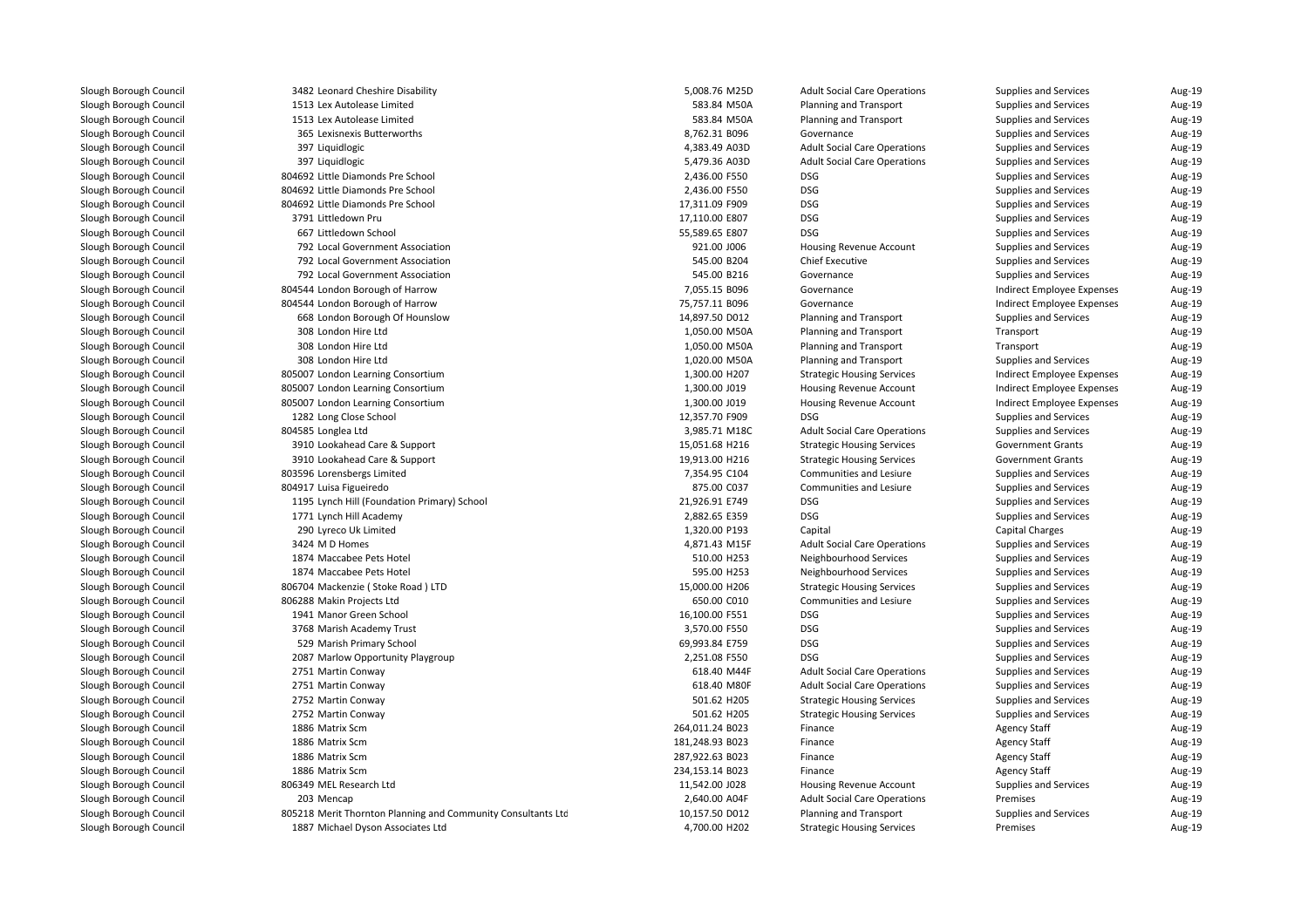| 3482 Leonard Cheshire Disability                             | 5,008.76 M25D   | <b>Adult Social Care Operations</b> | Supplies and Services      | Aug-19 |
|--------------------------------------------------------------|-----------------|-------------------------------------|----------------------------|--------|
| 1513 Lex Autolease Limited                                   | 583.84 M50A     | <b>Planning and Transport</b>       | Supplies and Services      | Aug-19 |
| 1513 Lex Autolease Limited                                   | 583.84 M50A     | <b>Planning and Transport</b>       | Supplies and Services      | Aug-19 |
| 365 Lexisnexis Butterworths                                  | 8,762.31 B096   | Governance                          | Supplies and Services      | Aug-19 |
| 397 Liquidlogic                                              | 4,383.49 A03D   | <b>Adult Social Care Operations</b> | Supplies and Services      | Aug-19 |
| 397 Liquidlogic                                              | 5,479.36 A03D   | <b>Adult Social Care Operations</b> | Supplies and Services      | Aug-19 |
| 804692 Little Diamonds Pre School                            | 2,436.00 F550   | <b>DSG</b>                          | Supplies and Services      | Aug-19 |
| 804692 Little Diamonds Pre School                            | 2,436.00 F550   | <b>DSG</b>                          | Supplies and Services      | Aug-19 |
| 804692 Little Diamonds Pre School                            | 17,311.09 F909  | <b>DSG</b>                          | Supplies and Services      | Aug-19 |
| 3791 Littledown Pru                                          | 17,110.00 E807  | <b>DSG</b>                          | Supplies and Services      | Aug-19 |
| 667 Littledown School                                        | 55,589.65 E807  | <b>DSG</b>                          | Supplies and Services      | Aug-19 |
| 792 Local Government Association                             | 921.00 J006     | Housing Revenue Account             | Supplies and Services      | Aug-19 |
| 792 Local Government Association                             | 545.00 B204     | <b>Chief Executive</b>              | Supplies and Services      | Aug-19 |
| 792 Local Government Association                             | 545.00 B216     | Governance                          | Supplies and Services      | Aug-19 |
| 804544 London Borough of Harrow                              | 7,055.15 B096   | Governance                          | Indirect Employee Expenses | Aug-19 |
| 804544 London Borough of Harrow                              | 75,757.11 B096  | Governance                          | Indirect Employee Expenses | Aug-19 |
| 668 London Borough Of Hounslow                               | 14,897.50 D012  | <b>Planning and Transport</b>       | Supplies and Services      | Aug-19 |
| 308 London Hire Ltd                                          | 1,050.00 M50A   | <b>Planning and Transport</b>       | Transport                  | Aug-19 |
| 308 London Hire Ltd                                          | 1,050.00 M50A   | Planning and Transport              | Transport                  | Aug-19 |
| 308 London Hire Ltd                                          | 1,020.00 M50A   | <b>Planning and Transport</b>       | Supplies and Services      | Aug-19 |
| 805007 London Learning Consortium                            | 1,300.00 H207   | <b>Strategic Housing Services</b>   | Indirect Employee Expenses | Aug-19 |
| 805007 London Learning Consortium                            | 1,300.00 J019   | Housing Revenue Account             | Indirect Employee Expenses | Aug-19 |
| 805007 London Learning Consortium                            | 1,300.00 J019   | Housing Revenue Account             | Indirect Employee Expenses | Aug-19 |
| 1282 Long Close School                                       | 12,357.70 F909  | <b>DSG</b>                          | Supplies and Services      | Aug-19 |
| 804585 Longlea Ltd                                           | 3,985.71 M18C   | <b>Adult Social Care Operations</b> | Supplies and Services      | Aug-19 |
| 3910 Lookahead Care & Support                                | 15,051.68 H216  | <b>Strategic Housing Services</b>   | <b>Government Grants</b>   | Aug-19 |
| 3910 Lookahead Care & Support                                | 19,913.00 H216  | <b>Strategic Housing Services</b>   | <b>Government Grants</b>   | Aug-19 |
| 803596 Lorensbergs Limited                                   | 7,354.95 C104   | Communities and Lesiure             | Supplies and Services      | Aug-19 |
| 804917 Luisa Figueiredo                                      | 875.00 C037     | Communities and Lesiure             | Supplies and Services      | Aug-19 |
| 1195 Lynch Hill (Foundation Primary) School                  | 21,926.91 E749  | <b>DSG</b>                          | Supplies and Services      | Aug-19 |
| 1771 Lynch Hill Academy                                      | 2,882.65 E359   | <b>DSG</b>                          | Supplies and Services      | Aug-19 |
| 290 Lyreco Uk Limited                                        | 1,320.00 P193   | Capital                             | <b>Capital Charges</b>     | Aug-19 |
| 3424 M D Homes                                               | 4,871.43 M15F   | <b>Adult Social Care Operations</b> | Supplies and Services      | Aug-19 |
| 1874 Maccabee Pets Hotel                                     | 510.00 H253     | Neighbourhood Services              | Supplies and Services      | Aug-19 |
| 1874 Maccabee Pets Hotel                                     | 595.00 H253     | Neighbourhood Services              | Supplies and Services      | Aug-19 |
| 806704 Mackenzie (Stoke Road) LTD                            | 15,000.00 H206  | <b>Strategic Housing Services</b>   | Supplies and Services      | Aug-19 |
| 806288 Makin Projects Ltd                                    | 650.00 C010     | Communities and Lesiure             | Supplies and Services      | Aug-19 |
| 1941 Manor Green School                                      | 16,100.00 F551  | <b>DSG</b>                          | Supplies and Services      | Aug-19 |
| 3768 Marish Academy Trust                                    | 3,570.00 F550   | <b>DSG</b>                          | Supplies and Services      | Aug-19 |
| 529 Marish Primary School                                    | 69,993.84 E759  | <b>DSG</b>                          | Supplies and Services      | Aug-19 |
| 2087 Marlow Opportunity Playgroup                            | 2,251.08 F550   | <b>DSG</b>                          | Supplies and Services      | Aug-19 |
| 2751 Martin Conway                                           | 618.40 M44F     | <b>Adult Social Care Operations</b> | Supplies and Services      | Aug-19 |
| 2751 Martin Conway                                           | 618.40 M80F     | <b>Adult Social Care Operations</b> | Supplies and Services      | Aug-19 |
| 2752 Martin Conway                                           | 501.62 H205     | <b>Strategic Housing Services</b>   | Supplies and Services      | Aug-19 |
| 2752 Martin Conway                                           | 501.62 H205     | <b>Strategic Housing Services</b>   | Supplies and Services      | Aug-19 |
| 1886 Matrix Scm                                              | 264,011.24 B023 | Finance                             | <b>Agency Staff</b>        | Aug-19 |
| 1886 Matrix Scm                                              | 181,248.93 B023 | Finance                             | <b>Agency Staff</b>        | Aug-19 |
| 1886 Matrix Scm                                              | 287,922.63 B023 | Finance                             | <b>Agency Staff</b>        | Aug-19 |
| 1886 Matrix Scm                                              | 234,153.14 B023 | Finance                             | <b>Agency Staff</b>        | Aug-19 |
| 806349 MEL Research Ltd                                      | 11,542.00 J028  | Housing Revenue Account             | Supplies and Services      | Aug-19 |
| 203 Mencap                                                   | 2,640.00 A04F   | <b>Adult Social Care Operations</b> | Premises                   | Aug-19 |
| 805218 Merit Thornton Planning and Community Consultants Ltd | 10,157.50 D012  | <b>Planning and Transport</b>       | Supplies and Services      | Aug-19 |
| 1887 Michael Dyson Associates Ltd                            | 4,700.00 H202   | <b>Strategic Housing Services</b>   | Premises                   | Aug-19 |
|                                                              |                 |                                     |                            |        |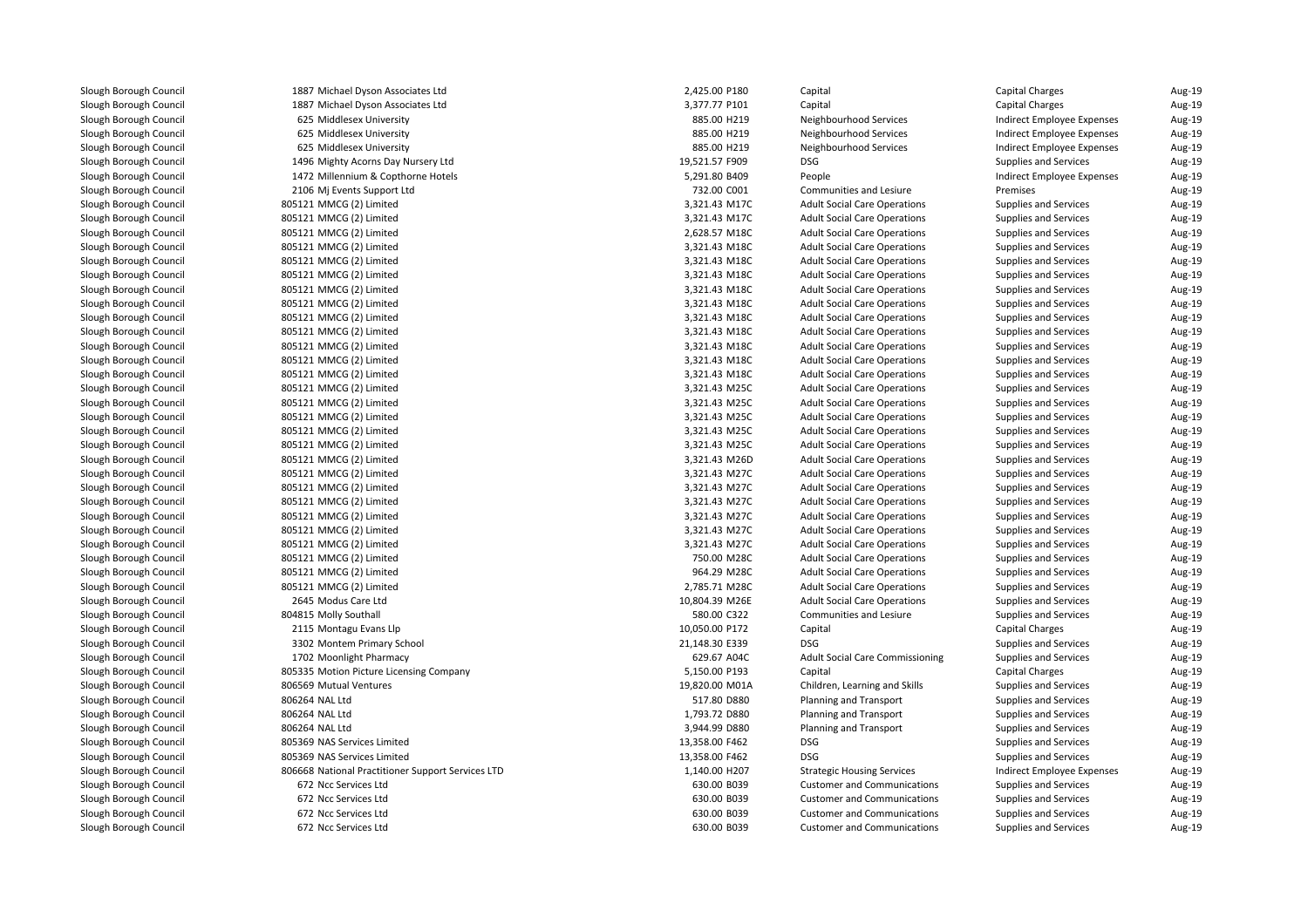1887 Michael Dyson Associates Ltd 1887 Michael Dyson Associates Ltd625 Middlesex University 625 Middlesex University 625 Middlesex University 1496 Mighty Acorns Day Nursery Ltd1472 Millennium & Conthorne Hotels 2106 Mj Events Support Ltd 805121 MMCG (2) Limitedd  $3,321.43 \text{ M}$  805121 MMCG (2) Limitedd 3,321.43 M17C 805121 MMCG (2) Limitedd 2,628.57 M18C 805121 MMCG (2) Limitedd  $3,321.43 \text{ M}180$  805121 MMCG (2) Limitedd  $3,321.43 \text{ M}180$  805121 MMCG (2) Limitedd 3,321.43 M18C 805121 MMCG (2) Limitedd  $3,321.43 \text{ M}180$  805121 MMCG (2) Limitedd  $3,321.43 \text{ M}180$  805121 MMCG (2) Limitedd 3,321.43 M18C 805121 MMCG (2) Limitedd  $3,321.43 \text{ M}180$  805121 MMCG (2) Limitedd  $3,321.43 \text{ M}180$  805121 MMCG (2) Limitedd 3,321.43 M18C 805121 MMCG (2) Limitedd  $3,321.43 \text{ M}180$  805121 MMCG (2) Limitedd  $3,321.43 \text{ M}250$  805121 MMCG (2) Limited 3,321.43 M25C 805121 MMCG (2) Limitedd  $3,321.43 \text{ M}250$  805121 MMCG (2) Limitedd  $3,321.43 \text{ M}250$  805121 MMCG (2) Limited 3,321.43 M25C 805121 MMCG (2) Limited 3,321.43 M26D 805121 MMCG (2) Limitedd  $3,321.43 \text{ M}$  805121 MMCG (2) Limited 3,321.43 M27C 805121 MMCG (2) Limitedd  $3,321.43 \text{ M}$  805121 MMCG (2) Limitedd  $3,321.43 \text{ M}$  805121 MMCG (2) Limited 3,321.43 M27C 805121 MMCG (2) Limitedd  $3,321.43 \text{ M}$  805121 MMCG (2) Limited 750.00 M28C 805121 MMCG (2) Limitedd 964.29 M28C 805121 MMCG (2) Limited 2,785.71 M28C 2645 Modus Care Ltd804815 Molly Southall 2115 Montagu Evans Llp 3302 Montem Primary School 21,148.30 E339 DSG 1702 Moonlight Pharmacy 629.67 A04C805335 Motion Picture Licensing Company 806569 Mutual Ventures 9 Mutual Ventures 2008 and 2008 and 2008 and 2008 and 2008 and 2010 and 2010 and 2010 and 2010 and 2010 and 20 806264 NAL Ltd 806264 NAL Ltd 806264 NAL Ltd 805369 NAS Services Limited 805369 NAS Services Limited 806668 National Practitioner Support Services LTD 672 Ncc Services Ltd 672 Ncc Services Ltd672 Ncc Services Ltd

| 7 Michael Dyson Associates Ltd               | 2,425.00 P180  | Capital                                | <b>Capital Charges</b>       | Aug-19 |
|----------------------------------------------|----------------|----------------------------------------|------------------------------|--------|
| 7 Michael Dyson Associates Ltd               | 3,377.77 P101  | Capital                                | <b>Capital Charges</b>       | Aug-19 |
| 5 Middlesex University                       | 885.00 H219    | Neighbourhood Services                 | Indirect Employee Expenses   | Aug-19 |
| 5 Middlesex University                       | 885.00 H219    | Neighbourhood Services                 | Indirect Employee Expenses   | Aug-19 |
| 5 Middlesex University                       | 885.00 H219    | Neighbourhood Services                 | Indirect Employee Expenses   | Aug-19 |
| 6 Mighty Acorns Day Nursery Ltd              | 19,521.57 F909 | <b>DSG</b>                             | Supplies and Services        | Aug-19 |
| 2 Millennium & Copthorne Hotels              | 5,291.80 B409  | People                                 | Indirect Employee Expenses   | Aug-19 |
| 6 Mj Events Support Ltd                      | 732.00 C001    | Communities and Lesiure                | Premises                     | Aug-19 |
| 1 MMCG (2) Limited                           | 3,321.43 M17C  | <b>Adult Social Care Operations</b>    | Supplies and Services        | Aug-19 |
| 1 MMCG (2) Limited                           | 3,321.43 M17C  | <b>Adult Social Care Operations</b>    | Supplies and Services        | Aug-19 |
| 1 MMCG (2) Limited                           | 2,628.57 M18C  | <b>Adult Social Care Operations</b>    | Supplies and Services        | Aug-19 |
| 1 MMCG (2) Limited                           | 3,321.43 M18C  | <b>Adult Social Care Operations</b>    | Supplies and Services        | Aug-19 |
| 1 MMCG (2) Limited                           | 3,321.43 M18C  | <b>Adult Social Care Operations</b>    | Supplies and Services        | Aug-19 |
| 1 MMCG (2) Limited                           | 3,321.43 M18C  | <b>Adult Social Care Operations</b>    | Supplies and Services        | Aug-19 |
| 1 MMCG (2) Limited                           | 3,321.43 M18C  | <b>Adult Social Care Operations</b>    | Supplies and Services        | Aug-19 |
| 1 MMCG (2) Limited                           | 3,321.43 M18C  | <b>Adult Social Care Operations</b>    | Supplies and Services        | Aug-19 |
| 1 MMCG (2) Limited                           | 3,321.43 M18C  | <b>Adult Social Care Operations</b>    | Supplies and Services        | Aug-19 |
| 1 MMCG (2) Limited                           | 3,321.43 M18C  | <b>Adult Social Care Operations</b>    | Supplies and Services        | Aug-19 |
| 1 MMCG (2) Limited                           | 3,321.43 M18C  | <b>Adult Social Care Operations</b>    | Supplies and Services        | Aug-19 |
| 1 MMCG (2) Limited                           | 3,321.43 M18C  | <b>Adult Social Care Operations</b>    | Supplies and Services        | Aug-19 |
| 1 MMCG (2) Limited                           | 3,321.43 M18C  | <b>Adult Social Care Operations</b>    | Supplies and Services        | Aug-19 |
| 1 MMCG (2) Limited                           | 3,321.43 M25C  | <b>Adult Social Care Operations</b>    | Supplies and Services        | Aug-19 |
| 1 MMCG (2) Limited                           | 3,321.43 M25C  | <b>Adult Social Care Operations</b>    | Supplies and Services        | Aug-19 |
| 1 MMCG (2) Limited                           | 3,321.43 M25C  | <b>Adult Social Care Operations</b>    | Supplies and Services        | Aug-19 |
| 1 MMCG (2) Limited                           | 3,321.43 M25C  | <b>Adult Social Care Operations</b>    | Supplies and Services        | Aug-19 |
| 1 MMCG (2) Limited                           | 3,321.43 M25C  | <b>Adult Social Care Operations</b>    | Supplies and Services        | Aug-19 |
| 1 MMCG (2) Limited                           | 3,321.43 M26D  | <b>Adult Social Care Operations</b>    | Supplies and Services        | Aug-19 |
| 1 MMCG (2) Limited                           | 3,321.43 M27C  | <b>Adult Social Care Operations</b>    | Supplies and Services        | Aug-19 |
| 1 MMCG (2) Limited                           | 3,321.43 M27C  | <b>Adult Social Care Operations</b>    | Supplies and Services        | Aug-19 |
| 1 MMCG (2) Limited                           | 3,321.43 M27C  | <b>Adult Social Care Operations</b>    | Supplies and Services        | Aug-19 |
| 1 MMCG (2) Limited                           | 3,321.43 M27C  | <b>Adult Social Care Operations</b>    | Supplies and Services        | Aug-19 |
| 1 MMCG (2) Limited                           | 3,321.43 M27C  | <b>Adult Social Care Operations</b>    | Supplies and Services        | Aug-19 |
| 1 MMCG (2) Limited                           | 3,321.43 M27C  | <b>Adult Social Care Operations</b>    | Supplies and Services        | Aug-19 |
| 1 MMCG (2) Limited                           | 750.00 M28C    | <b>Adult Social Care Operations</b>    | Supplies and Services        | Aug-19 |
| 1 MMCG (2) Limited                           | 964.29 M28C    | <b>Adult Social Care Operations</b>    | Supplies and Services        | Aug-19 |
| 1 MMCG (2) Limited                           | 2,785.71 M28C  | <b>Adult Social Care Operations</b>    | Supplies and Services        | Aug-19 |
| 5 Modus Care Ltd                             | 10,804.39 M26E | <b>Adult Social Care Operations</b>    | Supplies and Services        | Aug-19 |
| 5 Molly Southall                             | 580.00 C322    | Communities and Lesiure                |                              | Aug-19 |
|                                              |                |                                        | Supplies and Services        |        |
| 5 Montagu Evans Llp                          | 10,050.00 P172 | Capital<br><b>DSG</b>                  | Capital Charges              | Aug-19 |
| 2 Montem Primary School                      | 21,148.30 E339 |                                        | Supplies and Services        | Aug-19 |
| 2 Moonlight Pharmacy                         | 629.67 A04C    | <b>Adult Social Care Commissioning</b> | <b>Supplies and Services</b> | Aug-19 |
| 5 Motion Picture Licensing Company           | 5,150.00 P193  | Capital                                | Capital Charges              | Aug-19 |
| 9 Mutual Ventures                            | 19,820.00 M01A | Children, Learning and Skills          | Supplies and Services        | Aug-19 |
| 4 NAL Ltd                                    | 517.80 D880    | Planning and Transport                 | Supplies and Services        | Aug-19 |
| 4 NAL Ltd                                    | 1,793.72 D880  | Planning and Transport                 | Supplies and Services        | Aug-19 |
| 4 NAL Ltd                                    | 3,944.99 D880  | Planning and Transport                 | Supplies and Services        | Aug-19 |
| 9 NAS Services Limited                       | 13,358.00 F462 | <b>DSG</b>                             | Supplies and Services        | Aug-19 |
| 9 NAS Services Limited                       | 13,358.00 F462 | <b>DSG</b>                             | Supplies and Services        | Aug-19 |
| 8 National Practitioner Support Services LTD | 1,140.00 H207  | <b>Strategic Housing Services</b>      | Indirect Employee Expenses   | Aug-19 |
| 2 Ncc Services Ltd                           | 630.00 B039    | <b>Customer and Communications</b>     | Supplies and Services        | Aug-19 |
| 2 Ncc Services Ltd                           | 630.00 B039    | <b>Customer and Communications</b>     | Supplies and Services        | Aug-19 |
| 2 Ncc Services Ltd                           | 630.00 B039    | <b>Customer and Communications</b>     | Supplies and Services        | Aug-19 |
| 2 Ncc Services Ltd                           | 630.00 B039    | <b>Customer and Communications</b>     | <b>Supplies and Services</b> | Aug-19 |
|                                              |                |                                        |                              |        |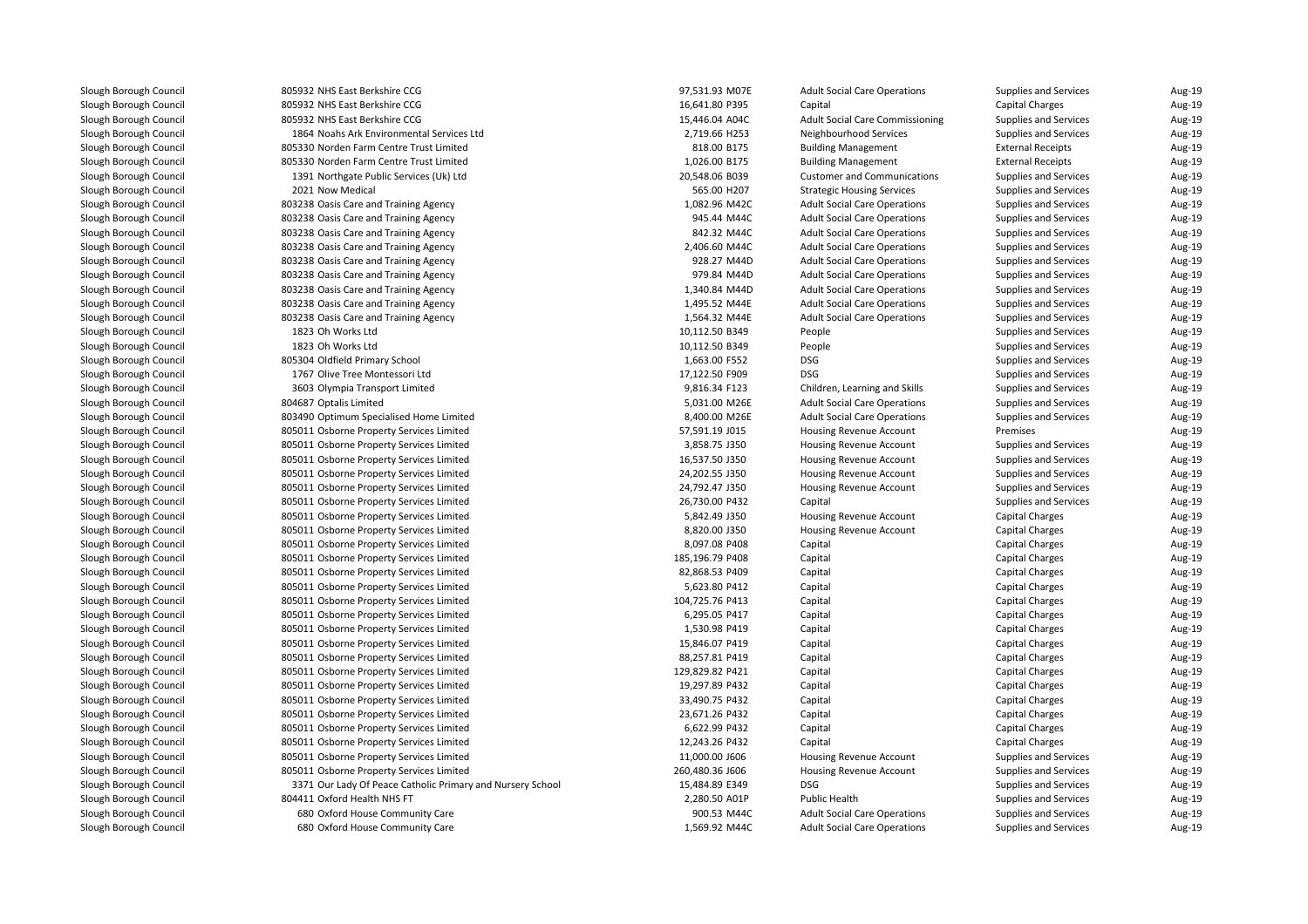| 805932 NHS East Berkshire CCG                              | 97,531.93 M07E  | <b>Adult Social Care Operations</b>    | <b>Supplies and Services</b> | Aug-19 |
|------------------------------------------------------------|-----------------|----------------------------------------|------------------------------|--------|
| 805932 NHS East Berkshire CCG                              | 16,641.80 P395  | Capital                                | <b>Capital Charges</b>       | Aug-19 |
| 805932 NHS East Berkshire CCG                              | 15,446.04 A04C  | <b>Adult Social Care Commissioning</b> | Supplies and Services        | Aug-19 |
| 1864 Noahs Ark Environmental Services Ltd                  | 2,719.66 H253   | Neighbourhood Services                 | Supplies and Services        | Aug-19 |
| 805330 Norden Farm Centre Trust Limited                    | 818.00 B175     | <b>Building Management</b>             | <b>External Receipts</b>     | Aug-19 |
| 805330 Norden Farm Centre Trust Limited                    | 1,026.00 B175   | <b>Building Management</b>             | <b>External Receipts</b>     | Aug-19 |
| 1391 Northgate Public Services (Uk) Ltd                    | 20,548.06 B039  | <b>Customer and Communications</b>     | Supplies and Services        | Aug-19 |
| 2021 Now Medical                                           | 565.00 H207     | <b>Strategic Housing Services</b>      | Supplies and Services        | Aug-19 |
| 803238 Oasis Care and Training Agency                      | 1,082.96 M42C   | <b>Adult Social Care Operations</b>    | Supplies and Services        | Aug-19 |
| 803238 Oasis Care and Training Agency                      | 945.44 M44C     | <b>Adult Social Care Operations</b>    | Supplies and Services        | Aug-19 |
| 803238 Oasis Care and Training Agency                      | 842.32 M44C     | <b>Adult Social Care Operations</b>    | Supplies and Services        | Aug-19 |
| 803238 Oasis Care and Training Agency                      | 2,406.60 M44C   | <b>Adult Social Care Operations</b>    | Supplies and Services        | Aug-19 |
| 803238 Oasis Care and Training Agency                      | 928.27 M44D     | <b>Adult Social Care Operations</b>    | Supplies and Services        | Aug-19 |
| 803238 Oasis Care and Training Agency                      | 979.84 M44D     | <b>Adult Social Care Operations</b>    | Supplies and Services        | Aug-19 |
| 803238 Oasis Care and Training Agency                      | 1,340.84 M44D   | <b>Adult Social Care Operations</b>    | Supplies and Services        | Aug-19 |
| 803238 Oasis Care and Training Agency                      | 1,495.52 M44E   | <b>Adult Social Care Operations</b>    | Supplies and Services        | Aug-19 |
| 803238 Oasis Care and Training Agency                      | 1,564.32 M44E   | <b>Adult Social Care Operations</b>    | Supplies and Services        | Aug-19 |
| 1823 Oh Works Ltd                                          | 10,112.50 B349  | People                                 | Supplies and Services        | Aug-19 |
| 1823 Oh Works Ltd                                          | 10,112.50 B349  | People                                 | Supplies and Services        | Aug-19 |
| 805304 Oldfield Primary School                             | 1,663.00 F552   | <b>DSG</b>                             | Supplies and Services        | Aug-19 |
| 1767 Olive Tree Montessori Ltd                             | 17,122.50 F909  | <b>DSG</b>                             | Supplies and Services        | Aug-19 |
| 3603 Olympia Transport Limited                             | 9,816.34 F123   | Children, Learning and Skills          | Supplies and Services        | Aug-19 |
| 804687 Optalis Limited                                     | 5,031.00 M26E   | <b>Adult Social Care Operations</b>    | Supplies and Services        | Aug-19 |
| 803490 Optimum Specialised Home Limited                    | 8,400.00 M26E   | <b>Adult Social Care Operations</b>    | Supplies and Services        | Aug-19 |
|                                                            | 57,591.19 J015  | <b>Housing Revenue Account</b>         | Premises                     |        |
| 805011 Osborne Property Services Limited                   |                 |                                        |                              | Aug-19 |
| 805011 Osborne Property Services Limited                   | 3,858.75 J350   | Housing Revenue Account                | Supplies and Services        | Aug-19 |
| 805011 Osborne Property Services Limited                   | 16,537.50 J350  | Housing Revenue Account                | Supplies and Services        | Aug-19 |
| 805011 Osborne Property Services Limited                   | 24,202.55 J350  | Housing Revenue Account                | Supplies and Services        | Aug-19 |
| 805011 Osborne Property Services Limited                   | 24,792.47 J350  | Housing Revenue Account                | Supplies and Services        | Aug-19 |
| 805011 Osborne Property Services Limited                   | 26,730.00 P432  | Capital                                | Supplies and Services        | Aug-19 |
| 805011 Osborne Property Services Limited                   | 5,842.49 J350   | Housing Revenue Account                | <b>Capital Charges</b>       | Aug-19 |
| 805011 Osborne Property Services Limited                   | 8,820.00 J350   | Housing Revenue Account                | <b>Capital Charges</b>       | Aug-19 |
| 805011 Osborne Property Services Limited                   | 8,097.08 P408   | Capital                                | <b>Capital Charges</b>       | Aug-19 |
| 805011 Osborne Property Services Limited                   | 185,196.79 P408 | Capital                                | <b>Capital Charges</b>       | Aug-19 |
| 805011 Osborne Property Services Limited                   | 82,868.53 P409  | Capital                                | <b>Capital Charges</b>       | Aug-19 |
| 805011 Osborne Property Services Limited                   | 5,623.80 P412   | Capital                                | <b>Capital Charges</b>       | Aug-19 |
| 805011 Osborne Property Services Limited                   | 104,725.76 P413 | Capital                                | <b>Capital Charges</b>       | Aug-19 |
| 805011 Osborne Property Services Limited                   | 6,295.05 P417   | Capital                                | <b>Capital Charges</b>       | Aug-19 |
| 805011 Osborne Property Services Limited                   | 1,530.98 P419   | Capital                                | <b>Capital Charges</b>       | Aug-19 |
| 805011 Osborne Property Services Limited                   | 15,846.07 P419  | Capital                                | <b>Capital Charges</b>       | Aug-19 |
| 805011 Osborne Property Services Limited                   | 88,257.81 P419  | Capital                                | <b>Capital Charges</b>       | Aug-19 |
| 805011 Osborne Property Services Limited                   | 129,829.82 P421 | Capital                                | <b>Capital Charges</b>       | Aug-19 |
| 805011 Osborne Property Services Limited                   | 19,297.89 P432  | Capital                                | <b>Capital Charges</b>       | Aug-19 |
| 805011 Osborne Property Services Limited                   | 33,490.75 P432  | Capital                                | <b>Capital Charges</b>       | Aug-19 |
| 805011 Osborne Property Services Limited                   | 23,671.26 P432  | Capital                                | <b>Capital Charges</b>       | Aug-19 |
| 805011 Osborne Property Services Limited                   | 6,622.99 P432   | Capital                                | <b>Capital Charges</b>       | Aug-19 |
| 805011 Osborne Property Services Limited                   | 12,243.26 P432  | Capital                                | <b>Capital Charges</b>       | Aug-19 |
| 805011 Osborne Property Services Limited                   | 11,000.00 J606  | Housing Revenue Account                | Supplies and Services        | Aug-19 |
| 805011 Osborne Property Services Limited                   | 260,480.36 J606 | Housing Revenue Account                | Supplies and Services        | Aug-19 |
| 3371 Our Lady Of Peace Catholic Primary and Nursery School | 15,484.89 E349  | <b>DSG</b>                             | Supplies and Services        | Aug-19 |
| 804411 Oxford Health NHS FT                                | 2,280.50 A01P   | Public Health                          | Supplies and Services        | Aug-19 |
| 680 Oxford House Community Care                            | 900.53 M44C     | <b>Adult Social Care Operations</b>    | Supplies and Services        | Aug-19 |
| 680 Oxford House Community Care                            | 1,569.92 M44C   | <b>Adult Social Care Operations</b>    | Supplies and Services        | Aug-19 |
|                                                            |                 |                                        |                              |        |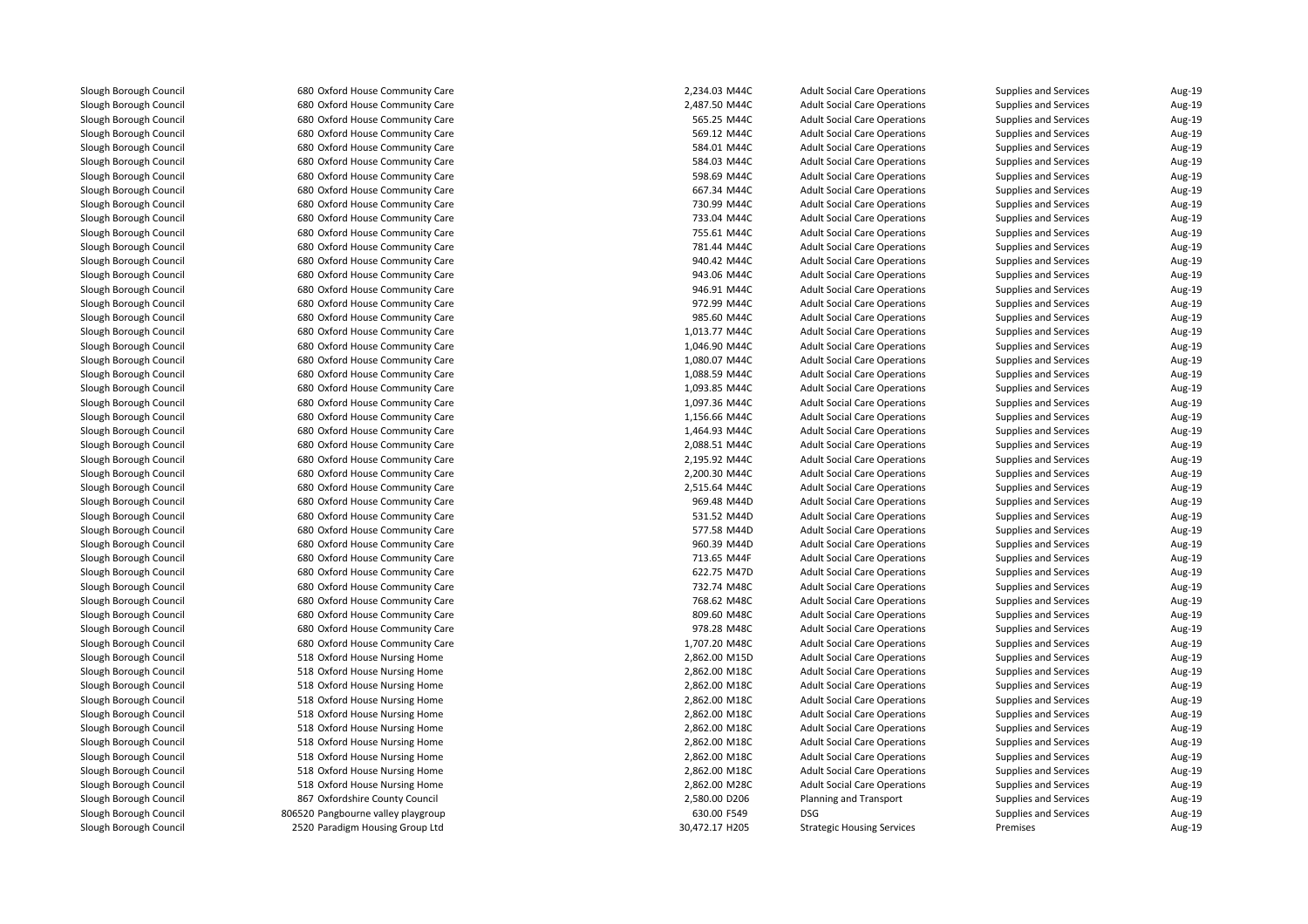| 680 Oxford House Community Care    | 2,234.03 M44C  | <b>Adult Social Care Operations</b> | Supplies and Services        | Aug-19 |
|------------------------------------|----------------|-------------------------------------|------------------------------|--------|
| 680 Oxford House Community Care    | 2,487.50 M44C  | <b>Adult Social Care Operations</b> | <b>Supplies and Services</b> | Aug-19 |
| 680 Oxford House Community Care    | 565.25 M44C    | <b>Adult Social Care Operations</b> | Supplies and Services        | Aug-19 |
| 680 Oxford House Community Care    | 569.12 M44C    | <b>Adult Social Care Operations</b> | Supplies and Services        | Aug-19 |
| 680 Oxford House Community Care    | 584.01 M44C    | <b>Adult Social Care Operations</b> | Supplies and Services        | Aug-19 |
| 680 Oxford House Community Care    | 584.03 M44C    | <b>Adult Social Care Operations</b> | Supplies and Services        | Aug-19 |
| 680 Oxford House Community Care    | 598.69 M44C    | <b>Adult Social Care Operations</b> | Supplies and Services        | Aug-19 |
| 680 Oxford House Community Care    | 667.34 M44C    | <b>Adult Social Care Operations</b> | Supplies and Services        | Aug-19 |
| 680 Oxford House Community Care    | 730.99 M44C    | <b>Adult Social Care Operations</b> | Supplies and Services        | Aug-19 |
| 680 Oxford House Community Care    | 733.04 M44C    | <b>Adult Social Care Operations</b> | Supplies and Services        | Aug-19 |
| 680 Oxford House Community Care    | 755.61 M44C    | <b>Adult Social Care Operations</b> | Supplies and Services        | Aug-19 |
| 680 Oxford House Community Care    | 781.44 M44C    | <b>Adult Social Care Operations</b> | Supplies and Services        | Aug-19 |
| 680 Oxford House Community Care    | 940.42 M44C    | <b>Adult Social Care Operations</b> | Supplies and Services        | Aug-19 |
| 680 Oxford House Community Care    | 943.06 M44C    | <b>Adult Social Care Operations</b> | Supplies and Services        | Aug-19 |
| 680 Oxford House Community Care    | 946.91 M44C    | <b>Adult Social Care Operations</b> | Supplies and Services        | Aug-19 |
| 680 Oxford House Community Care    | 972.99 M44C    | <b>Adult Social Care Operations</b> | Supplies and Services        | Aug-19 |
| 680 Oxford House Community Care    | 985.60 M44C    | <b>Adult Social Care Operations</b> | Supplies and Services        | Aug-19 |
| 680 Oxford House Community Care    | 1,013.77 M44C  | <b>Adult Social Care Operations</b> | Supplies and Services        | Aug-19 |
| 680 Oxford House Community Care    | 1,046.90 M44C  | <b>Adult Social Care Operations</b> | Supplies and Services        | Aug-19 |
| 680 Oxford House Community Care    | 1,080.07 M44C  | <b>Adult Social Care Operations</b> | Supplies and Services        | Aug-19 |
| 680 Oxford House Community Care    | 1,088.59 M44C  | <b>Adult Social Care Operations</b> | Supplies and Services        | Aug-19 |
| 680 Oxford House Community Care    | 1,093.85 M44C  | <b>Adult Social Care Operations</b> | Supplies and Services        | Aug-19 |
| 680 Oxford House Community Care    | 1,097.36 M44C  | <b>Adult Social Care Operations</b> | Supplies and Services        | Aug-19 |
| 680 Oxford House Community Care    | 1,156.66 M44C  | <b>Adult Social Care Operations</b> | Supplies and Services        | Aug-19 |
| 680 Oxford House Community Care    | 1,464.93 M44C  | <b>Adult Social Care Operations</b> | Supplies and Services        | Aug-19 |
| 680 Oxford House Community Care    | 2,088.51 M44C  | <b>Adult Social Care Operations</b> | Supplies and Services        | Aug-19 |
| 680 Oxford House Community Care    | 2,195.92 M44C  | <b>Adult Social Care Operations</b> | Supplies and Services        | Aug-19 |
| 680 Oxford House Community Care    | 2,200.30 M44C  | <b>Adult Social Care Operations</b> | Supplies and Services        | Aug-19 |
| 680 Oxford House Community Care    | 2,515.64 M44C  | <b>Adult Social Care Operations</b> | Supplies and Services        | Aug-19 |
| 680 Oxford House Community Care    | 969.48 M44D    | <b>Adult Social Care Operations</b> | Supplies and Services        | Aug-19 |
| 680 Oxford House Community Care    | 531.52 M44D    | <b>Adult Social Care Operations</b> | Supplies and Services        | Aug-19 |
| 680 Oxford House Community Care    | 577.58 M44D    | <b>Adult Social Care Operations</b> | Supplies and Services        | Aug-19 |
| 680 Oxford House Community Care    | 960.39 M44D    | <b>Adult Social Care Operations</b> | Supplies and Services        | Aug-19 |
| 680 Oxford House Community Care    | 713.65 M44F    | <b>Adult Social Care Operations</b> | Supplies and Services        | Aug-19 |
| 680 Oxford House Community Care    | 622.75 M47D    | <b>Adult Social Care Operations</b> | Supplies and Services        | Aug-19 |
| 680 Oxford House Community Care    | 732.74 M48C    | <b>Adult Social Care Operations</b> | Supplies and Services        | Aug-19 |
| 680 Oxford House Community Care    | 768.62 M48C    | <b>Adult Social Care Operations</b> | Supplies and Services        | Aug-19 |
| 680 Oxford House Community Care    | 809.60 M48C    | <b>Adult Social Care Operations</b> | <b>Supplies and Services</b> | Aug-19 |
| 680 Oxford House Community Care    | 978.28 M48C    | <b>Adult Social Care Operations</b> | Supplies and Services        | Aug-19 |
| 680 Oxford House Community Care    | 1,707.20 M48C  | <b>Adult Social Care Operations</b> | Supplies and Services        | Aug-19 |
| 518 Oxford House Nursing Home      | 2,862.00 M15D  | <b>Adult Social Care Operations</b> | Supplies and Services        | Aug-19 |
| 518 Oxford House Nursing Home      | 2,862.00 M18C  | <b>Adult Social Care Operations</b> | Supplies and Services        | Aug-19 |
| 518 Oxford House Nursing Home      | 2,862.00 M18C  | <b>Adult Social Care Operations</b> | Supplies and Services        | Aug-19 |
| 518 Oxford House Nursing Home      | 2,862.00 M18C  | <b>Adult Social Care Operations</b> | Supplies and Services        | Aug-19 |
| 518 Oxford House Nursing Home      | 2,862.00 M18C  | <b>Adult Social Care Operations</b> | Supplies and Services        | Aug-19 |
| 518 Oxford House Nursing Home      | 2,862.00 M18C  | <b>Adult Social Care Operations</b> | Supplies and Services        | Aug-19 |
| 518 Oxford House Nursing Home      | 2,862.00 M18C  | <b>Adult Social Care Operations</b> | Supplies and Services        | Aug-19 |
| 518 Oxford House Nursing Home      | 2,862.00 M18C  | <b>Adult Social Care Operations</b> | Supplies and Services        | Aug-19 |
| 518 Oxford House Nursing Home      | 2,862.00 M18C  | <b>Adult Social Care Operations</b> | Supplies and Services        | Aug-19 |
| 518 Oxford House Nursing Home      | 2,862.00 M28C  | <b>Adult Social Care Operations</b> | Supplies and Services        | Aug-19 |
| 867 Oxfordshire County Council     | 2,580.00 D206  | Planning and Transport              | Supplies and Services        | Aug-19 |
| 806520 Pangbourne valley playgroup | 630.00 F549    | <b>DSG</b>                          | Supplies and Services        | Aug-19 |
| 2520 Paradigm Housing Group Ltd    | 30,472.17 H205 |                                     | Premises                     | Aug-19 |
|                                    |                | <b>Strategic Housing Services</b>   |                              |        |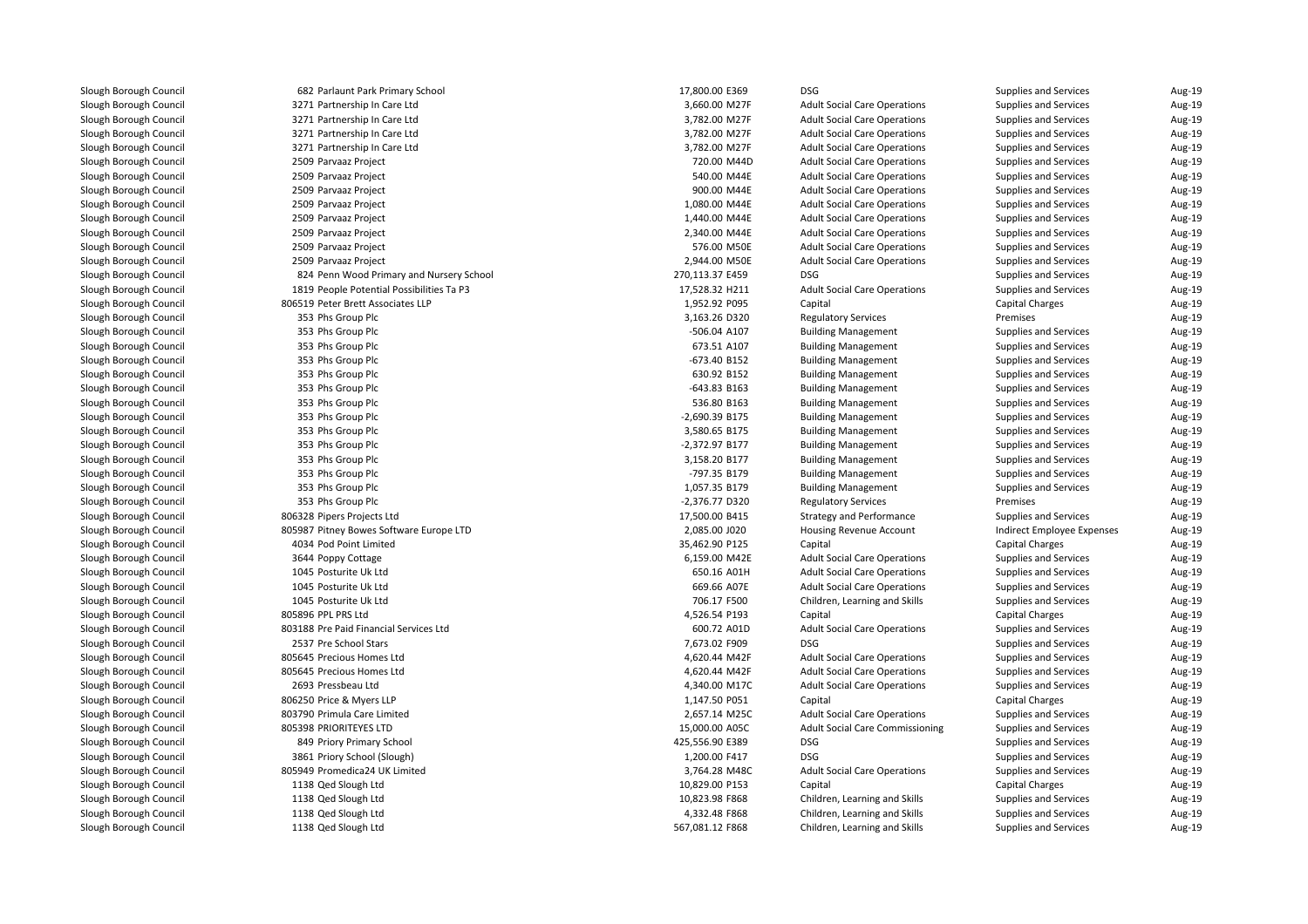| I | 682 Parlaunt Park Primary School          |
|---|-------------------------------------------|
| ı | 3271 Partnership In Care Ltd              |
| ı | 3271 Partnership In Care Ltd              |
| ı | 3271 Partnership In Care Ltd              |
|   | 3271 Partnership In Care Ltd              |
|   | 2509 Parvaaz Project                      |
| ı | 2509 Parvaaz Project                      |
|   | 2509 Parvaaz Project                      |
| I | 2509 Parvaaz Project                      |
| ı | 2509 Parvaaz Project                      |
|   | 2509 Parvaaz Project                      |
| ı | 2509 Parvaaz Project                      |
|   | 2509 Parvaaz Project                      |
| ı | 824 Penn Wood Primary and Nursery School  |
| ı | 1819 People Potential Possibilities Ta P3 |
|   | 806519 Peter Brett Associates LLP         |
| ı | 353 Phs Group Plc                         |
| ı | 353 Phs Group Plc                         |
| I | 353 Phs Group Plc                         |
| ı | 353 Phs Group Plc                         |
| I | 353 Phs Group Plc                         |
| ı | 353 Phs Group Plc                         |
| ı | 353 Phs Group Plc                         |
| I | 353 Phs Group Plc                         |
| I | 353 Phs Group Plc                         |
| I | 353 Phs Group Plc                         |
| ı | 353 Phs Group Plc                         |
| ı | 353 Phs Group Plc                         |
| I | 353 Phs Group Plc                         |
|   | 353 Phs Group Plc                         |
| I | 806328 Pipers Projects Ltd                |
| ı | 805987 Pitney Bowes Software Europe LTD   |
|   | 4034 Pod Point Limited                    |
| I | 3644 Poppy Cottage                        |
| ı | 1045 Posturite Uk Ltd                     |
| I | 1045 Posturite Uk Ltd                     |
| ı | 1045 Posturite Uk Ltd                     |
| ı | 805896 PPL PRS Ltd                        |
| ı | 803188 Pre Paid Financial Services Ltd    |
| ı | 2537 Pre School Stars                     |
| ١ | 805645 Precious Homes Ltd                 |
| ı | 805645 Precious Homes Ltd                 |
| I | 2693 Pressbeau Ltd                        |
|   | 806250 Price & Myers LLP                  |
| ı | 803790 Primula Care Limited               |
| ١ | 805398 PRIORITEYES LTD                    |
|   | 849 Priory Primary School                 |
| ı | 3861 Priory School (Slough)               |
|   | 805949 Promedica24 UK Limited             |
|   | 1138 Qed Slough Ltd                       |
|   | 1138 Qed Slough Ltd                       |
|   | 1138 Qed Slough Ltd                       |
| ı | 1138 Qed Slough Ltd                       |

| 2 Parlaunt Park Primary School         | 17,800.00 E369  | <b>DSG</b>                             | <b>Supplies and Services</b> | Aug-19 |
|----------------------------------------|-----------------|----------------------------------------|------------------------------|--------|
| 1 Partnership In Care Ltd              | 3,660.00 M27F   | <b>Adult Social Care Operations</b>    | Supplies and Services        | Aug-19 |
| 1 Partnership In Care Ltd              | 3,782.00 M27F   | <b>Adult Social Care Operations</b>    | Supplies and Services        | Aug-19 |
| 1 Partnership In Care Ltd              | 3,782.00 M27F   | <b>Adult Social Care Operations</b>    | <b>Supplies and Services</b> | Aug-19 |
| 1 Partnership In Care Ltd              | 3,782.00 M27F   | <b>Adult Social Care Operations</b>    | Supplies and Services        | Aug-19 |
| 9 Parvaaz Project                      | 720.00 M44D     | <b>Adult Social Care Operations</b>    | Supplies and Services        | Aug-19 |
| 9 Parvaaz Project                      | 540.00 M44E     | <b>Adult Social Care Operations</b>    | Supplies and Services        | Aug-19 |
| 9 Parvaaz Project                      | 900.00 M44E     | <b>Adult Social Care Operations</b>    | Supplies and Services        | Aug-19 |
| 9 Parvaaz Project                      | 1,080.00 M44E   | <b>Adult Social Care Operations</b>    | Supplies and Services        | Aug-19 |
| 9 Parvaaz Project                      | 1,440.00 M44E   | <b>Adult Social Care Operations</b>    | Supplies and Services        | Aug-19 |
| 9 Parvaaz Project                      | 2,340.00 M44E   | <b>Adult Social Care Operations</b>    | Supplies and Services        | Aug-19 |
| 9 Parvaaz Project                      | 576.00 M50E     | <b>Adult Social Care Operations</b>    | Supplies and Services        | Aug-19 |
| 9 Parvaaz Project                      | 2,944.00 M50E   | <b>Adult Social Care Operations</b>    | Supplies and Services        | Aug-19 |
| 4 Penn Wood Primary and Nursery School | 270,113.37 E459 | <b>DSG</b>                             | Supplies and Services        | Aug-19 |
| 9 People Potential Possibilities Ta P3 | 17,528.32 H211  | <b>Adult Social Care Operations</b>    | <b>Supplies and Services</b> | Aug-19 |
| 9 Peter Brett Associates LLP           | 1,952.92 P095   | Capital                                | <b>Capital Charges</b>       | Aug-19 |
| 3 Phs Group Plc                        | 3,163.26 D320   | <b>Regulatory Services</b>             | Premises                     | Aug-19 |
| 3 Phs Group Plc                        | -506.04 A107    | <b>Building Management</b>             | Supplies and Services        | Aug-19 |
| 3 Phs Group Plc                        | 673.51 A107     | <b>Building Management</b>             | Supplies and Services        | Aug-19 |
| 3 Phs Group Plc                        | -673.40 B152    | <b>Building Management</b>             | Supplies and Services        | Aug-19 |
| 3 Phs Group Plc                        | 630.92 B152     | <b>Building Management</b>             | Supplies and Services        | Aug-19 |
| 3 Phs Group Plc                        | -643.83 B163    | <b>Building Management</b>             | Supplies and Services        | Aug-19 |
| 3 Phs Group Plc                        | 536.80 B163     | <b>Building Management</b>             | Supplies and Services        | Aug-19 |
| 3 Phs Group Plc                        | -2,690.39 B175  | <b>Building Management</b>             | Supplies and Services        | Aug-19 |
| 3 Phs Group Plc                        | 3,580.65 B175   | <b>Building Management</b>             | Supplies and Services        | Aug-19 |
| 3 Phs Group Plc                        | -2,372.97 B177  | <b>Building Management</b>             | Supplies and Services        | Aug-19 |
| 3 Phs Group Plc                        | 3,158.20 B177   | <b>Building Management</b>             | Supplies and Services        | Aug-19 |
| 3 Phs Group Plc                        | -797.35 B179    | <b>Building Management</b>             | Supplies and Services        | Aug-19 |
| 3 Phs Group Plc                        | 1,057.35 B179   | <b>Building Management</b>             | <b>Supplies and Services</b> | Aug-19 |
| 3 Phs Group Plc                        | -2,376.77 D320  | <b>Regulatory Services</b>             | Premises                     | Aug-19 |
| 8 Pipers Projects Ltd                  | 17,500.00 B415  | <b>Strategy and Performance</b>        | <b>Supplies and Services</b> | Aug-19 |
| 7 Pitney Bowes Software Europe LTD     | 2,085.00 J020   | <b>Housing Revenue Account</b>         | Indirect Employee Expenses   | Aug-19 |
| 4 Pod Point Limited                    | 35,462.90 P125  | Capital                                | <b>Capital Charges</b>       | Aug-19 |
| 4 Poppy Cottage                        | 6,159.00 M42E   | <b>Adult Social Care Operations</b>    | Supplies and Services        | Aug-19 |
| 5 Posturite Uk Ltd                     | 650.16 A01H     | <b>Adult Social Care Operations</b>    | Supplies and Services        | Aug-19 |
| 5 Posturite Uk Ltd                     | 669.66 A07E     | <b>Adult Social Care Operations</b>    | Supplies and Services        | Aug-19 |
| 5 Posturite Uk Ltd                     | 706.17 F500     | Children, Learning and Skills          | Supplies and Services        | Aug-19 |
| 6 PPL PRS Ltd                          | 4,526.54 P193   | Capital                                | <b>Capital Charges</b>       | Aug-19 |
| 8 Pre Paid Financial Services Ltd      | 600.72 A01D     | <b>Adult Social Care Operations</b>    | Supplies and Services        | Aug-19 |
| 7 Pre School Stars                     | 7,673.02 F909   | <b>DSG</b>                             | <b>Supplies and Services</b> | Aug-19 |
| 5 Precious Homes Ltd                   | 4,620.44 M42F   | <b>Adult Social Care Operations</b>    | Supplies and Services        | Aug-19 |
| 5 Precious Homes Ltd                   | 4,620.44 M42F   | <b>Adult Social Care Operations</b>    | Supplies and Services        | Aug-19 |
| 3 Pressbeau Ltd                        | 4,340.00 M17C   | <b>Adult Social Care Operations</b>    | Supplies and Services        | Aug-19 |
| 0 Price & Myers LLP                    | 1,147.50 P051   | Capital                                | Capital Charges              | Aug-19 |
| 0 Primula Care Limited                 | 2,657.14 M25C   | <b>Adult Social Care Operations</b>    | Supplies and Services        | Aug-19 |
| 8 PRIORITEYES LTD                      | 15,000.00 A05C  | <b>Adult Social Care Commissioning</b> | Supplies and Services        | Aug-19 |
| 9 Priory Primary School                | 425,556.90 E389 | <b>DSG</b>                             | Supplies and Services        | Aug-19 |
| 1 Priory School (Slough)               | 1,200.00 F417   | <b>DSG</b>                             | Supplies and Services        | Aug-19 |
| 9 Promedica24 UK Limited               | 3,764.28 M48C   | <b>Adult Social Care Operations</b>    | Supplies and Services        | Aug-19 |
| 8 Qed Slough Ltd                       | 10,829.00 P153  | Capital                                | <b>Capital Charges</b>       | Aug-19 |
| 8 Qed Slough Ltd                       | 10,823.98 F868  | Children, Learning and Skills          | Supplies and Services        | Aug-19 |
| 8 Qed Slough Ltd                       | 4,332.48 F868   | Children, Learning and Skills          | Supplies and Services        | Aug-19 |
| 8 Qed Slough Ltd                       | 567,081.12 F868 | Children, Learning and Skills          | <b>Supplies and Services</b> | Aug-19 |
|                                        |                 |                                        |                              |        |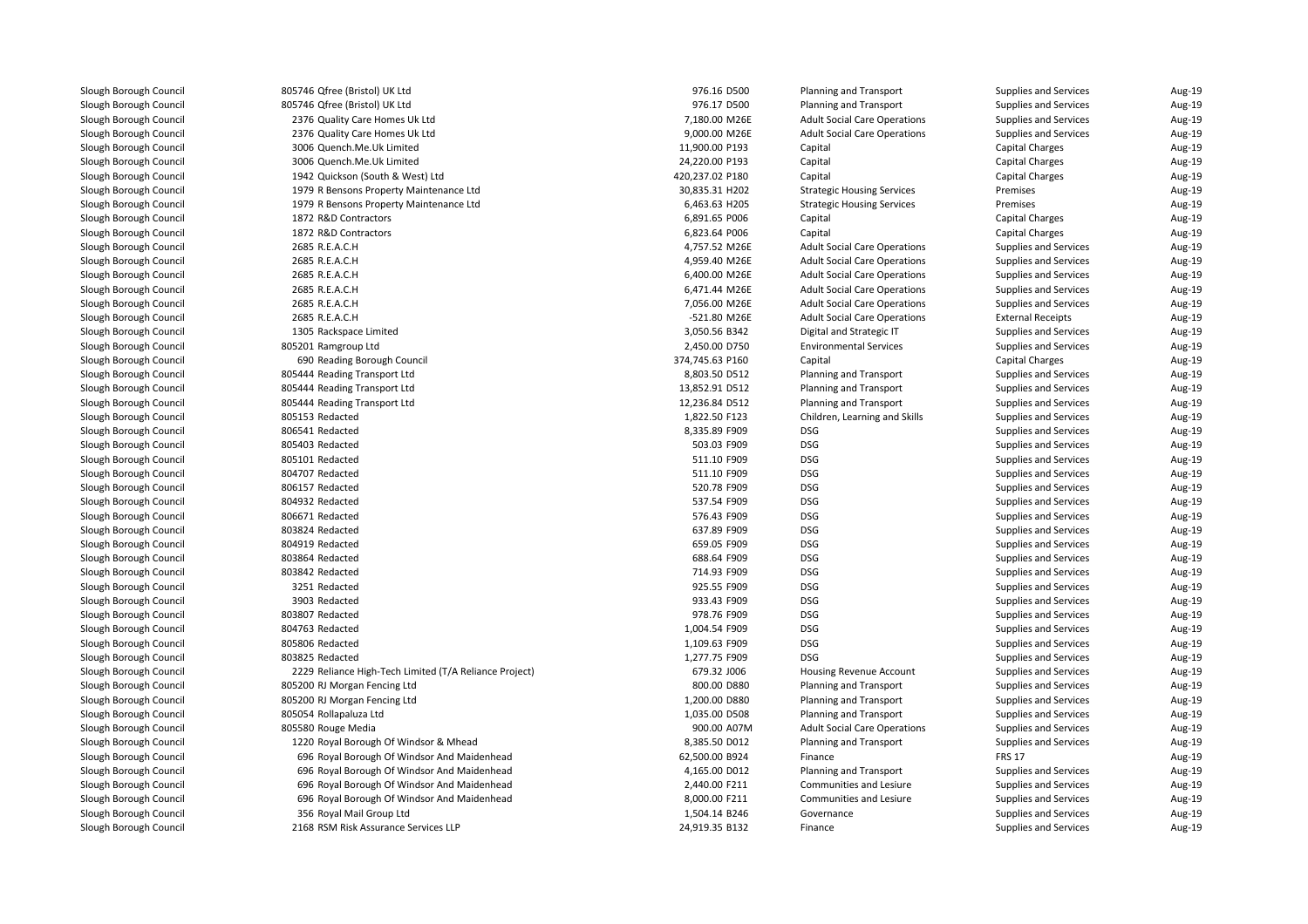| 805746 Qfree (Bristol) UK Ltd                          | 976.16 D500                | Planning and Transport              | <b>Supplies and Services</b> | Aug-19 |
|--------------------------------------------------------|----------------------------|-------------------------------------|------------------------------|--------|
| 805746 Qfree (Bristol) UK Ltd                          | 976.17 D500                | <b>Planning and Transport</b>       | Supplies and Services        | Aug-19 |
| 2376 Quality Care Homes Uk Ltd                         | 7,180.00 M26E              | <b>Adult Social Care Operations</b> | Supplies and Services        | Aug-19 |
| 2376 Quality Care Homes Uk Ltd                         | 9,000.00 M26E              | <b>Adult Social Care Operations</b> | <b>Supplies and Services</b> | Aug-19 |
| 3006 Quench.Me.Uk Limited                              | 11,900.00 P193             | Capital                             | <b>Capital Charges</b>       | Aug-19 |
| 3006 Quench.Me.Uk Limited                              | 24,220.00 P193             | Capital                             | <b>Capital Charges</b>       | Aug-19 |
| 1942 Quickson (South & West) Ltd                       | 420,237.02 P180            | Capital                             | <b>Capital Charges</b>       | Aug-19 |
| 1979 R Bensons Property Maintenance Ltd                | 30,835.31 H202             | <b>Strategic Housing Services</b>   | Premises                     | Aug-19 |
| 1979 R Bensons Property Maintenance Ltd                | 6,463.63 H205              | <b>Strategic Housing Services</b>   | Premises                     | Aug-19 |
| 1872 R&D Contractors                                   | 6,891.65 P006              | Capital                             | <b>Capital Charges</b>       | Aug-19 |
| 1872 R&D Contractors                                   | 6,823.64 P006              | Capital                             | <b>Capital Charges</b>       | Aug-19 |
| 2685 R.E.A.C.H                                         | 4,757.52 M26E              | <b>Adult Social Care Operations</b> | Supplies and Services        | Aug-19 |
| 2685 R.E.A.C.H                                         | 4,959.40 M26E              | <b>Adult Social Care Operations</b> | Supplies and Services        | Aug-19 |
| 2685 R.E.A.C.H                                         | 6,400.00 M26E              | <b>Adult Social Care Operations</b> | Supplies and Services        | Aug-19 |
| 2685 R.E.A.C.H                                         | 6,471.44 M26E              | <b>Adult Social Care Operations</b> | Supplies and Services        | Aug-19 |
| 2685 R.E.A.C.H                                         | 7,056.00 M26E              | <b>Adult Social Care Operations</b> | Supplies and Services        | Aug-19 |
| 2685 R.E.A.C.H                                         | -521.80 M26E               | <b>Adult Social Care Operations</b> | <b>External Receipts</b>     | Aug-19 |
| 1305 Rackspace Limited                                 | 3,050.56 B342              | Digital and Strategic IT            | Supplies and Services        | Aug-19 |
| 805201 Ramgroup Ltd                                    | 2,450.00 D750              | <b>Environmental Services</b>       | Supplies and Services        | Aug-19 |
| 690 Reading Borough Council                            | 374,745.63 P160            | Capital                             | <b>Capital Charges</b>       | Aug-19 |
| 805444 Reading Transport Ltd                           | 8,803.50 D512              | <b>Planning and Transport</b>       | Supplies and Services        | Aug-19 |
| 805444 Reading Transport Ltd                           | 13,852.91 D512             | <b>Planning and Transport</b>       | Supplies and Services        | Aug-19 |
| 805444 Reading Transport Ltd                           | 12,236.84 D512             | Planning and Transport              | Supplies and Services        | Aug-19 |
| 805153 Redacted                                        | 1,822.50 F123              | Children, Learning and Skills       | Supplies and Services        | Aug-19 |
| 806541 Redacted                                        | 8,335.89 F909              | <b>DSG</b>                          | Supplies and Services        | Aug-19 |
| 805403 Redacted                                        | 503.03 F909                | <b>DSG</b>                          | Supplies and Services        | Aug-19 |
| 805101 Redacted                                        | 511.10 F909                | <b>DSG</b>                          | Supplies and Services        | Aug-19 |
| 804707 Redacted                                        | 511.10 F909                | <b>DSG</b>                          | Supplies and Services        | Aug-19 |
| 806157 Redacted                                        |                            | <b>DSG</b>                          |                              |        |
|                                                        | 520.78 F909                | <b>DSG</b>                          | Supplies and Services        | Aug-19 |
| 804932 Redacted<br>806671 Redacted                     | 537.54 F909<br>576.43 F909 | <b>DSG</b>                          | Supplies and Services        | Aug-19 |
| 803824 Redacted                                        |                            | <b>DSG</b>                          | Supplies and Services        | Aug-19 |
|                                                        | 637.89 F909                |                                     | Supplies and Services        | Aug-19 |
| 804919 Redacted                                        | 659.05 F909                | <b>DSG</b>                          | Supplies and Services        | Aug-19 |
| 803864 Redacted                                        | 688.64 F909                | <b>DSG</b>                          | Supplies and Services        | Aug-19 |
| 803842 Redacted                                        | 714.93 F909                | <b>DSG</b>                          | Supplies and Services        | Aug-19 |
| 3251 Redacted                                          | 925.55 F909                | <b>DSG</b>                          | Supplies and Services        | Aug-19 |
| 3903 Redacted                                          | 933.43 F909                | <b>DSG</b>                          | Supplies and Services        | Aug-19 |
| 803807 Redacted                                        | 978.76 F909                | <b>DSG</b>                          | Supplies and Services        | Aug-19 |
| 804763 Redacted                                        | 1,004.54 F909              | <b>DSG</b>                          | Supplies and Services        | Aug-19 |
| 805806 Redacted                                        | 1,109.63 F909              | <b>DSG</b>                          | Supplies and Services        | Aug-19 |
| 803825 Redacted                                        | 1,277.75 F909              | <b>DSG</b>                          | Supplies and Services        | Aug-19 |
| 2229 Reliance High-Tech Limited (T/A Reliance Project) | 679.32 J006                | Housing Revenue Account             | Supplies and Services        | Aug-19 |
| 805200 RJ Morgan Fencing Ltd                           | 800.00 D880                | <b>Planning and Transport</b>       | Supplies and Services        | Aug-19 |
| 805200 RJ Morgan Fencing Ltd                           | 1,200.00 D880              | <b>Planning and Transport</b>       | Supplies and Services        | Aug-19 |
| 805054 Rollapaluza Ltd                                 | 1,035.00 D508              | Planning and Transport              | Supplies and Services        | Aug-19 |
| 805580 Rouge Media                                     | 900.00 A07M                | <b>Adult Social Care Operations</b> | Supplies and Services        | Aug-19 |
| 1220 Royal Borough Of Windsor & Mhead                  | 8,385.50 D012              | Planning and Transport              | Supplies and Services        | Aug-19 |
| 696 Royal Borough Of Windsor And Maidenhead            | 62,500.00 B924             | Finance                             | <b>FRS 17</b>                | Aug-19 |
| 696 Royal Borough Of Windsor And Maidenhead            | 4,165.00 D012              | <b>Planning and Transport</b>       | Supplies and Services        | Aug-19 |
| 696 Royal Borough Of Windsor And Maidenhead            | 2,440.00 F211              | Communities and Lesiure             | Supplies and Services        | Aug-19 |
| 696 Royal Borough Of Windsor And Maidenhead            | 8,000.00 F211              | Communities and Lesiure             | Supplies and Services        | Aug-19 |
| 356 Royal Mail Group Ltd                               | 1,504.14 B246              | Governance                          | Supplies and Services        | Aug-19 |
| 2168 RSM Risk Assurance Services LLP                   | 24,919.35 B132             | Finance                             | Supplies and Services        | Aug-19 |
|                                                        |                            |                                     |                              |        |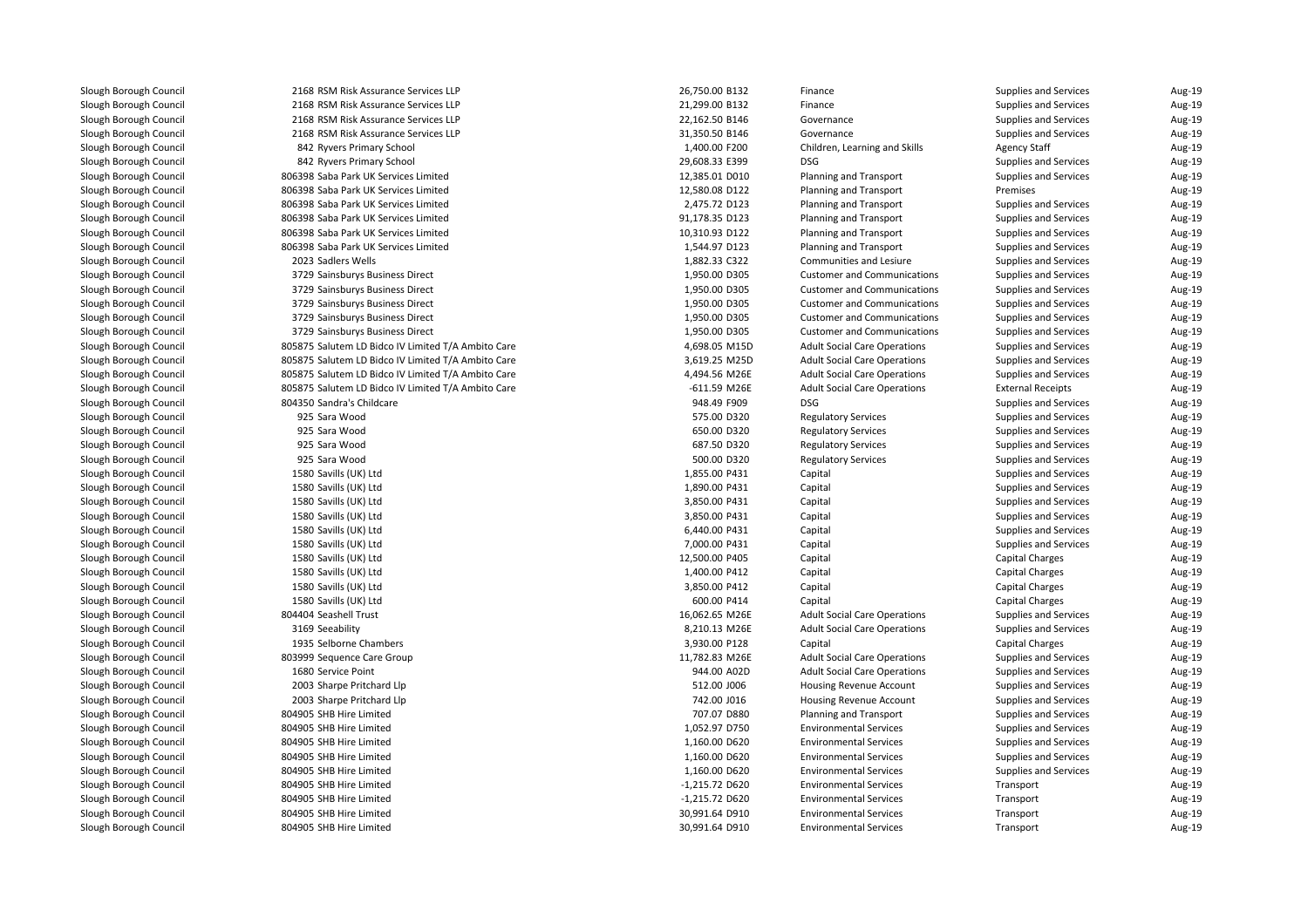| 2168 RSM Risk Assurance Services LLP               | 26,750.00 B132 | Finance                             | <b>Supplies and Services</b> | Aug-19           |
|----------------------------------------------------|----------------|-------------------------------------|------------------------------|------------------|
| 2168 RSM Risk Assurance Services LLP               | 21,299.00 B132 | Finance                             | Supplies and Services        | Aug-19           |
| 2168 RSM Risk Assurance Services LLP               | 22,162.50 B146 | Governance                          | Supplies and Services        | Aug-19           |
| 2168 RSM Risk Assurance Services LLP               | 31,350.50 B146 | Governance                          | Supplies and Services        | Aug-19           |
| 842 Ryvers Primary School                          | 1,400.00 F200  | Children, Learning and Skills       | <b>Agency Staff</b>          | Aug-19           |
| 842 Ryvers Primary School                          | 29,608.33 E399 | <b>DSG</b>                          | Supplies and Services        | Aug-19           |
| 806398 Saba Park UK Services Limited               | 12,385.01 D010 | <b>Planning and Transport</b>       | Supplies and Services        | Aug-19           |
| 806398 Saba Park UK Services Limited               | 12,580.08 D122 | <b>Planning and Transport</b>       | Premises                     | Aug-19           |
| 806398 Saba Park UK Services Limited               | 2,475.72 D123  | Planning and Transport              | Supplies and Services        | Aug-19           |
| 806398 Saba Park UK Services Limited               | 91,178.35 D123 | <b>Planning and Transport</b>       | Supplies and Services        | Aug-19           |
| 806398 Saba Park UK Services Limited               | 10,310.93 D122 | Planning and Transport              | Supplies and Services        | Aug-19           |
| 806398 Saba Park UK Services Limited               | 1,544.97 D123  | Planning and Transport              | Supplies and Services        | Aug-19           |
| 2023 Sadlers Wells                                 | 1,882.33 C322  | Communities and Lesiure             | Supplies and Services        | Aug-19           |
| 3729 Sainsburys Business Direct                    | 1,950.00 D305  | <b>Customer and Communications</b>  | Supplies and Services        | Aug-19           |
| 3729 Sainsburys Business Direct                    | 1,950.00 D305  | <b>Customer and Communications</b>  | Supplies and Services        | Aug-19           |
| 3729 Sainsburys Business Direct                    | 1,950.00 D305  | <b>Customer and Communications</b>  | Supplies and Services        | Aug-19           |
| 3729 Sainsburys Business Direct                    | 1,950.00 D305  | <b>Customer and Communications</b>  | Supplies and Services        | Aug-19           |
| 3729 Sainsburys Business Direct                    | 1,950.00 D305  | <b>Customer and Communications</b>  | Supplies and Services        | Aug-19           |
| 805875 Salutem LD Bidco IV Limited T/A Ambito Care | 4,698.05 M15D  | <b>Adult Social Care Operations</b> | Supplies and Services        | Aug-19           |
| 805875 Salutem LD Bidco IV Limited T/A Ambito Care | 3,619.25 M25D  | <b>Adult Social Care Operations</b> | Supplies and Services        | Aug-19           |
| 805875 Salutem LD Bidco IV Limited T/A Ambito Care | 4,494.56 M26E  | <b>Adult Social Care Operations</b> | Supplies and Services        | Aug-19           |
| 805875 Salutem LD Bidco IV Limited T/A Ambito Care | -611.59 M26E   | <b>Adult Social Care Operations</b> | <b>External Receipts</b>     | Aug-19           |
| 804350 Sandra's Childcare                          | 948.49 F909    | <b>DSG</b>                          | Supplies and Services        | Aug-19           |
| 925 Sara Wood                                      | 575.00 D320    | <b>Regulatory Services</b>          | Supplies and Services        | Aug-19           |
| 925 Sara Wood                                      | 650.00 D320    | <b>Regulatory Services</b>          | Supplies and Services        | Aug-19           |
| 925 Sara Wood                                      | 687.50 D320    | <b>Regulatory Services</b>          | Supplies and Services        | Aug-19           |
| 925 Sara Wood                                      | 500.00 D320    |                                     | Supplies and Services        |                  |
| 1580 Savills (UK) Ltd                              | 1,855.00 P431  | <b>Regulatory Services</b>          |                              | Aug-19<br>Aug-19 |
|                                                    | 1,890.00 P431  | Capital                             | Supplies and Services        |                  |
| 1580 Savills (UK) Ltd                              |                | Capital                             | Supplies and Services        | Aug-19           |
| 1580 Savills (UK) Ltd                              | 3,850.00 P431  | Capital                             | Supplies and Services        | Aug-19           |
| 1580 Savills (UK) Ltd                              | 3,850.00 P431  | Capital                             | Supplies and Services        | Aug-19           |
| 1580 Savills (UK) Ltd                              | 6,440.00 P431  | Capital                             | Supplies and Services        | Aug-19           |
| 1580 Savills (UK) Ltd                              | 7,000.00 P431  | Capital                             | Supplies and Services        | Aug-19           |
| 1580 Savills (UK) Ltd                              | 12,500.00 P405 | Capital                             | <b>Capital Charges</b>       | Aug-19           |
| 1580 Savills (UK) Ltd                              | 1,400.00 P412  | Capital                             | <b>Capital Charges</b>       | Aug-19           |
| 1580 Savills (UK) Ltd                              | 3,850.00 P412  | Capital                             | <b>Capital Charges</b>       | Aug-19           |
| 1580 Savills (UK) Ltd                              | 600.00 P414    | Capital                             | <b>Capital Charges</b>       | Aug-19           |
| 804404 Seashell Trust                              | 16,062.65 M26E | <b>Adult Social Care Operations</b> | Supplies and Services        | Aug-19           |
| 3169 Seeability                                    | 8,210.13 M26E  | <b>Adult Social Care Operations</b> | <b>Supplies and Services</b> | Aug-19           |
| 1935 Selborne Chambers                             | 3,930.00 P128  | Capital                             | <b>Capital Charges</b>       | Aug-19           |
| 803999 Sequence Care Group                         | 11,782.83 M26E | <b>Adult Social Care Operations</b> | Supplies and Services        | Aug-19           |
| 1680 Service Point                                 | 944.00 A02D    | <b>Adult Social Care Operations</b> | Supplies and Services        | Aug-19           |
| 2003 Sharpe Pritchard Llp                          | 512.00 J006    | Housing Revenue Account             | Supplies and Services        | Aug-19           |
| 2003 Sharpe Pritchard Llp                          | 742.00 J016    | Housing Revenue Account             | Supplies and Services        | Aug-19           |
| 804905 SHB Hire Limited                            | 707.07 D880    | <b>Planning and Transport</b>       | Supplies and Services        | Aug-19           |
| 804905 SHB Hire Limited                            | 1,052.97 D750  | <b>Environmental Services</b>       | Supplies and Services        | Aug-19           |
| 804905 SHB Hire Limited                            | 1,160.00 D620  | <b>Environmental Services</b>       | Supplies and Services        | Aug-19           |
| 804905 SHB Hire Limited                            | 1,160.00 D620  | <b>Environmental Services</b>       | Supplies and Services        | Aug-19           |
| 804905 SHB Hire Limited                            | 1,160.00 D620  | <b>Environmental Services</b>       | Supplies and Services        | Aug-19           |
| 804905 SHB Hire Limited                            | -1,215.72 D620 | <b>Environmental Services</b>       | Transport                    | Aug-19           |
| 804905 SHB Hire Limited                            | -1,215.72 D620 | <b>Environmental Services</b>       | Transport                    | Aug-19           |
| 804905 SHB Hire Limited                            | 30,991.64 D910 | <b>Environmental Services</b>       | Transport                    | Aug-19           |
| 804905 SHB Hire Limited                            | 30,991.64 D910 | <b>Environmental Services</b>       | Transport                    | Aug-19           |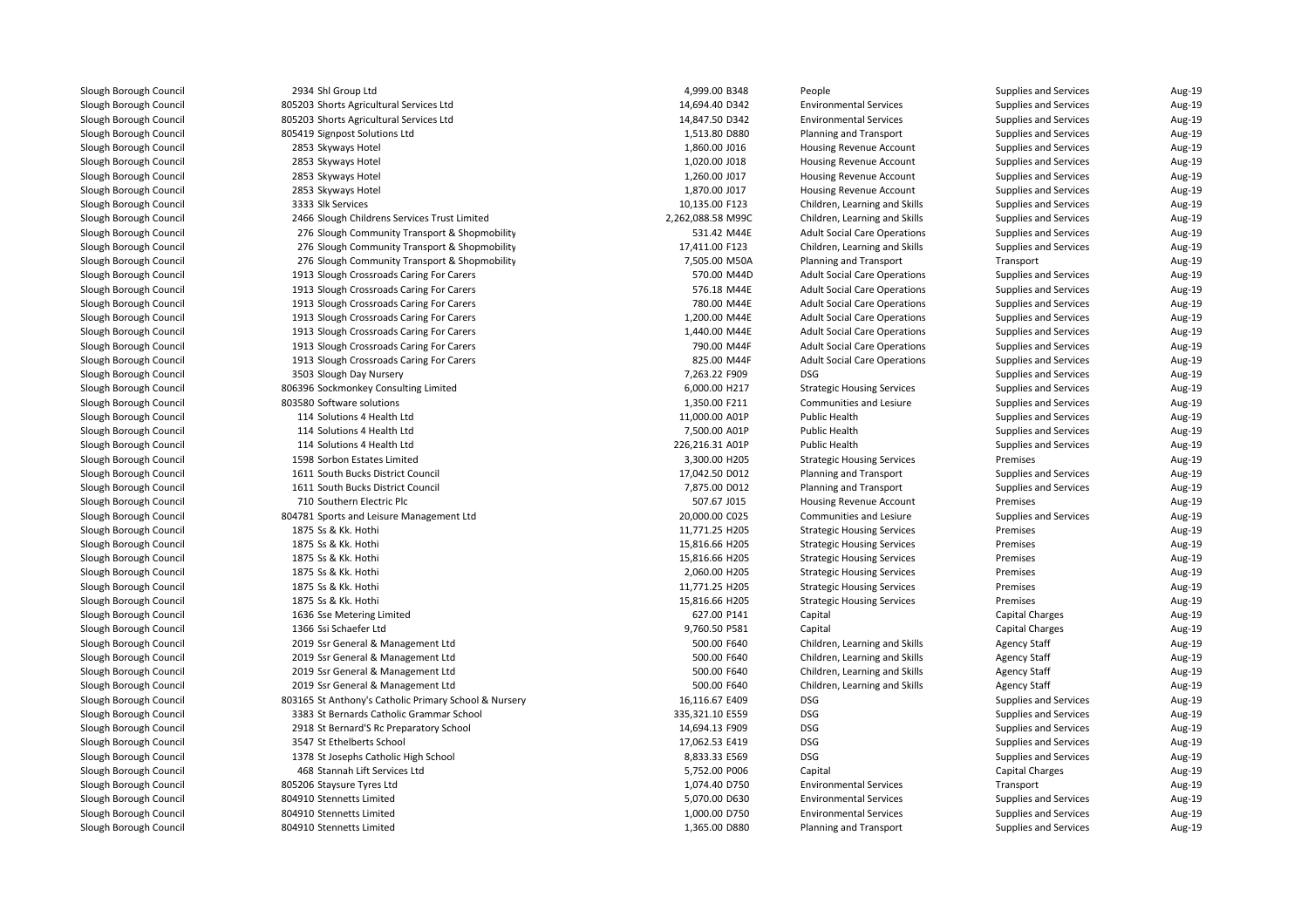| 2934 Shl Group Ltd                                    | 4,999.00 B348                 | People                              | Supplies and Services  | Aug-19 |
|-------------------------------------------------------|-------------------------------|-------------------------------------|------------------------|--------|
| 805203 Shorts Agricultural Services Ltd               | 14,694.40 D342                | <b>Environmental Services</b>       | Supplies and Services  | Aug-19 |
| 805203 Shorts Agricultural Services Ltd               | 14,847.50 D342                | <b>Environmental Services</b>       | Supplies and Services  | Aug-19 |
| 805419 Signpost Solutions Ltd                         | 1,513.80 D880                 | <b>Planning and Transport</b>       | Supplies and Services  | Aug-19 |
| 2853 Skyways Hotel                                    | 1,860.00 J016                 | Housing Revenue Account             | Supplies and Services  | Aug-19 |
| 2853 Skyways Hotel                                    | 1,020.00 J018                 | <b>Housing Revenue Account</b>      | Supplies and Services  | Aug-19 |
| 2853 Skyways Hotel                                    | 1,260.00 J017                 | Housing Revenue Account             | Supplies and Services  | Aug-19 |
| 2853 Skyways Hotel                                    | 1,870.00 J017                 | Housing Revenue Account             | Supplies and Services  | Aug-19 |
| 3333 Slk Services                                     | 10,135.00 F123                | Children, Learning and Skills       | Supplies and Services  | Aug-19 |
| 2466 Slough Childrens Services Trust Limited          | 2,262,088.58 M99C             | Children, Learning and Skills       | Supplies and Services  | Aug-19 |
| 276 Slough Community Transport & Shopmobility         | 531.42 M44E                   | <b>Adult Social Care Operations</b> | Supplies and Services  | Aug-19 |
| 276 Slough Community Transport & Shopmobility         | 17,411.00 F123                | Children, Learning and Skills       | Supplies and Services  | Aug-19 |
| 276 Slough Community Transport & Shopmobility         | 7,505.00 M50A                 | <b>Planning and Transport</b>       | Transport              | Aug-19 |
| 1913 Slough Crossroads Caring For Carers              | 570.00 M44D                   | <b>Adult Social Care Operations</b> | Supplies and Services  | Aug-19 |
| 1913 Slough Crossroads Caring For Carers              | 576.18 M44E                   | <b>Adult Social Care Operations</b> | Supplies and Services  | Aug-19 |
| 1913 Slough Crossroads Caring For Carers              | 780.00 M44E                   | <b>Adult Social Care Operations</b> | Supplies and Services  | Aug-19 |
| 1913 Slough Crossroads Caring For Carers              | 1,200.00 M44E                 | <b>Adult Social Care Operations</b> | Supplies and Services  | Aug-19 |
| 1913 Slough Crossroads Caring For Carers              | 1,440.00 M44E                 | <b>Adult Social Care Operations</b> | Supplies and Services  | Aug-19 |
| 1913 Slough Crossroads Caring For Carers              | 790.00 M44F                   | <b>Adult Social Care Operations</b> | Supplies and Services  | Aug-19 |
| 1913 Slough Crossroads Caring For Carers              | 825.00 M44F                   | <b>Adult Social Care Operations</b> | Supplies and Services  | Aug-19 |
| 3503 Slough Day Nursery                               | 7,263.22 F909                 | <b>DSG</b>                          | Supplies and Services  | Aug-19 |
| 806396 Sockmonkey Consulting Limited                  | 6,000.00 H217                 | <b>Strategic Housing Services</b>   | Supplies and Services  | Aug-19 |
| 803580 Software solutions                             | 1,350.00 F211                 | Communities and Lesiure             | Supplies and Services  | Aug-19 |
| 114 Solutions 4 Health Ltd                            | 11,000.00 A01P                | Public Health                       | Supplies and Services  | Aug-19 |
| 114 Solutions 4 Health Ltd                            | 7,500.00 A01P                 | Public Health                       | Supplies and Services  | Aug-19 |
| 114 Solutions 4 Health Ltd                            | 226,216.31 A01P               | Public Health                       | Supplies and Services  | Aug-19 |
| 1598 Sorbon Estates Limited                           | 3,300.00 H205                 | <b>Strategic Housing Services</b>   | Premises               | Aug-19 |
| 1611 South Bucks District Council                     | 17,042.50 D012                | <b>Planning and Transport</b>       | Supplies and Services  | Aug-19 |
| 1611 South Bucks District Council                     | 7,875.00 D012                 | Planning and Transport              | Supplies and Services  | Aug-19 |
| 710 Southern Electric Plc                             | 507.67 J015                   | Housing Revenue Account             | Premises               | Aug-19 |
| 804781 Sports and Leisure Management Ltd              | 20,000.00 C025                | Communities and Lesiure             | Supplies and Services  | Aug-19 |
| 1875 Ss & Kk. Hothi                                   | 11,771.25 H205                | <b>Strategic Housing Services</b>   | Premises               | Aug-19 |
| 1875 Ss & Kk. Hothi                                   | 15,816.66 H205                | <b>Strategic Housing Services</b>   | Premises               | Aug-19 |
| 1875 Ss & Kk. Hothi                                   | 15,816.66 H205                | <b>Strategic Housing Services</b>   | Premises               | Aug-19 |
| 1875 Ss & Kk. Hothi                                   | 2,060.00 H205                 | <b>Strategic Housing Services</b>   | Premises               | Aug-19 |
| 1875 Ss & Kk. Hothi                                   | 11,771.25 H205                | <b>Strategic Housing Services</b>   | Premises               | Aug-19 |
| 1875 Ss & Kk. Hothi                                   |                               |                                     | Premises               | Aug-19 |
|                                                       | 15,816.66 H205<br>627.00 P141 | <b>Strategic Housing Services</b>   |                        |        |
| 1636 Sse Metering Limited                             |                               | Capital                             | <b>Capital Charges</b> | Aug-19 |
| 1366 Ssi Schaefer Ltd                                 | 9,760.50 P581                 | Capital                             | <b>Capital Charges</b> | Aug-19 |
| 2019 Ssr General & Management Ltd                     | 500.00 F640                   | Children, Learning and Skills       | <b>Agency Staff</b>    | Aug-19 |
| 2019 Ssr General & Management Ltd                     | 500.00 F640                   | Children, Learning and Skills       | <b>Agency Staff</b>    | Aug-19 |
| 2019 Ssr General & Management Ltd                     | 500.00 F640                   | Children, Learning and Skills       | <b>Agency Staff</b>    | Aug-19 |
| 2019 Ssr General & Management Ltd                     | 500.00 F640                   | Children, Learning and Skills       | <b>Agency Staff</b>    | Aug-19 |
| 803165 St Anthony's Catholic Primary School & Nursery | 16,116.67 E409                | <b>DSG</b>                          | Supplies and Services  | Aug-19 |
| 3383 St Bernards Catholic Grammar School              | 335,321.10 E559               | <b>DSG</b>                          | Supplies and Services  | Aug-19 |
| 2918 St Bernard'S Rc Preparatory School               | 14,694.13 F909                | <b>DSG</b>                          | Supplies and Services  | Aug-19 |
| 3547 St Ethelberts School                             | 17,062.53 E419                | <b>DSG</b>                          | Supplies and Services  | Aug-19 |
| 1378 St Josephs Catholic High School                  | 8,833.33 E569                 | <b>DSG</b>                          | Supplies and Services  | Aug-19 |
| 468 Stannah Lift Services Ltd                         | 5,752.00 P006                 | Capital                             | <b>Capital Charges</b> | Aug-19 |
| 805206 Staysure Tyres Ltd                             | 1,074.40 D750                 | <b>Environmental Services</b>       | Transport              | Aug-19 |
| 804910 Stennetts Limited                              | 5,070.00 D630                 | <b>Environmental Services</b>       | Supplies and Services  | Aug-19 |
| 804910 Stennetts Limited                              | 1,000.00 D750                 | <b>Environmental Services</b>       | Supplies and Services  | Aug-19 |
| 804910 Stennetts Limited                              | 1,365.00 D880                 | <b>Planning and Transport</b>       | Supplies and Services  | Aug-19 |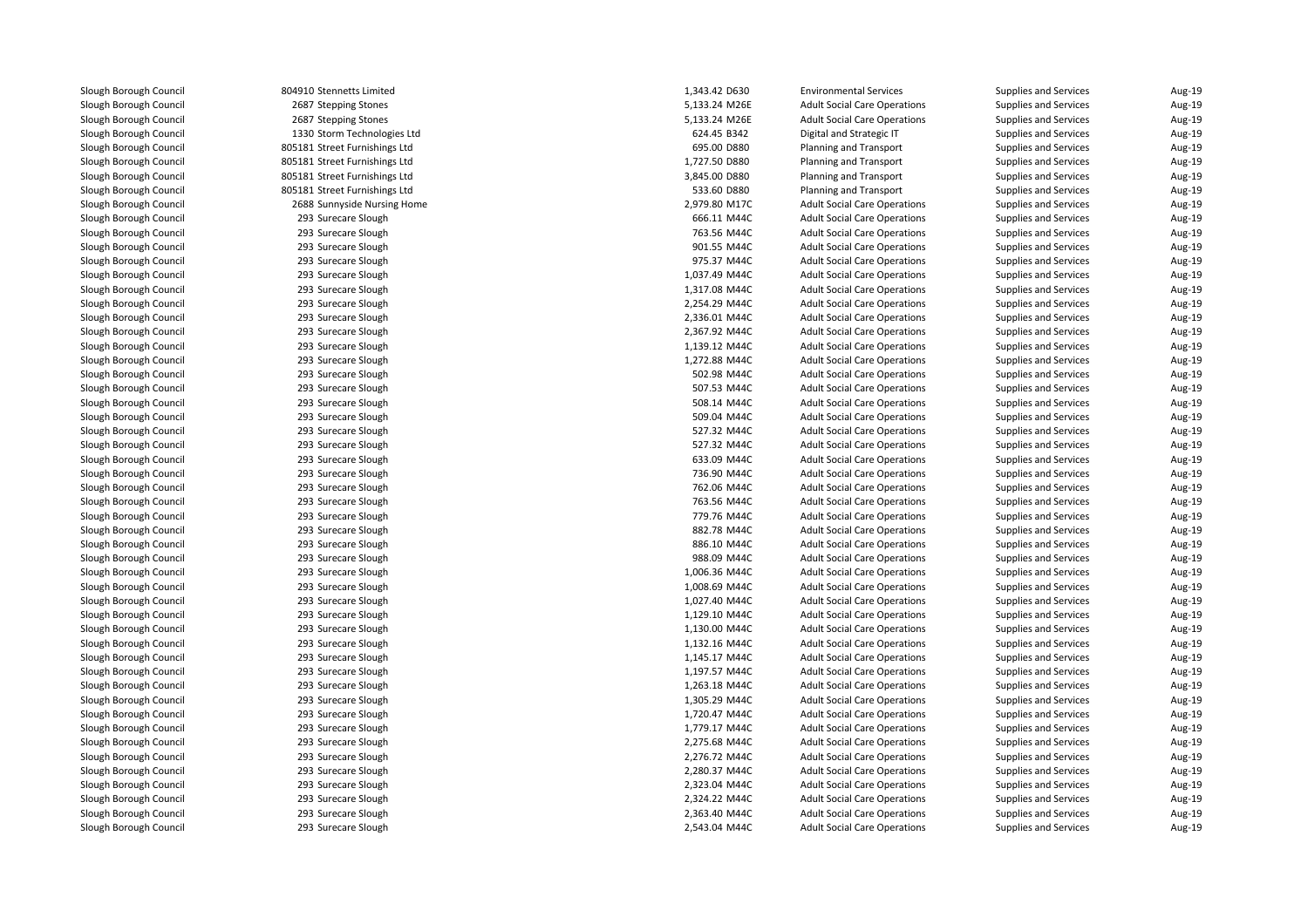804910 Stennetts Limited2687 Stepping Stones 2687 Stepping Stones 1330 Storm Technologies Ltd 805181 Street Furnishings Ltd 805181 Street Furnishings Ltd 805181 Street Furnishings Ltd 805181 Street Furnishings Ltd 2688 Sunnyside Nursing Home 2,979.80 M17C 293 Surecare Slough 293 Surecare Slough 293 Surecare Slough 293 Surecare Slough 293 Surecare Slough 293 Surecare Slough 293 Surecare Slough 293 Surecare Slough 293 Surecare Slough 293 Surecare Slough 293 Surecare Slough 293 Surecare Slough 293 Surecare Slough 293 Surecare Slough 293 Surecare Slough 293 Surecare Slough 293 Surecare Slough 293 Surecare Slough 293 Surecare Slough 293 Surecare Slough 293 Surecare Slough 293 Surecare Slough 293 Surecare Slough 293 Surecare Slough 293 Surecare Slough 293 Surecare Slough 293 Surecare Slough 293 Surecare Slough 293 Surecare Slough 293 Surecare Slough 293 Surecare Slough 293 Surecare Slough 293293 Surecare Slough 293 Surecare Slough 293 Surecare Slough 293 Surecare Slough 293 Surecare Slough 293 Surecare Slough 293 Surecare Slough 293 Surecare Slough 293 Surecare Slough 293 Surecare Slough 293 Surecare Slough293 Surecare Slough

| 0 Stennetts Limited                    | 1,343.42 D630                  | <b>Environmental Services</b>       | Supplies and Services        | Aug-19 |
|----------------------------------------|--------------------------------|-------------------------------------|------------------------------|--------|
| 7 Stepping Stones                      | 5,133.24 M26E                  | <b>Adult Social Care Operations</b> | Supplies and Services        | Aug-19 |
| 7 Stepping Stones                      | 5,133.24 M26E                  | <b>Adult Social Care Operations</b> | Supplies and Services        | Aug-19 |
| 0 Storm Technologies Ltd               | 624.45 B342                    | Digital and Strategic IT            | Supplies and Services        | Aug-19 |
| 1 Street Furnishings Ltd               | 695.00 D880                    | <b>Planning and Transport</b>       | Supplies and Services        | Aug-19 |
| 1 Street Furnishings Ltd               | 1,727.50 D880                  | Planning and Transport              | Supplies and Services        | Aug-19 |
| 1 Street Furnishings Ltd               | 3,845.00 D880                  | Planning and Transport              | Supplies and Services        | Aug-19 |
| 1 Street Furnishings Ltd               | 533.60 D880                    | Planning and Transport              | Supplies and Services        | Aug-19 |
| 8 Sunnyside Nursing Home               | 2,979.80 M17C                  | <b>Adult Social Care Operations</b> | Supplies and Services        | Aug-19 |
| 3 Surecare Slough                      | 666.11 M44C                    | <b>Adult Social Care Operations</b> | Supplies and Services        | Aug-19 |
| 3 Surecare Slough                      | 763.56 M44C                    | <b>Adult Social Care Operations</b> | Supplies and Services        | Aug-19 |
| 3 Surecare Slough                      | 901.55 M44C                    | <b>Adult Social Care Operations</b> | Supplies and Services        | Aug-19 |
| 3 Surecare Slough                      | 975.37 M44C                    | <b>Adult Social Care Operations</b> | Supplies and Services        | Aug-19 |
| 3 Surecare Slough                      | 1,037.49 M44C                  | <b>Adult Social Care Operations</b> | Supplies and Services        | Aug-19 |
| 3 Surecare Slough                      | 1,317.08 M44C                  | <b>Adult Social Care Operations</b> | Supplies and Services        | Aug-19 |
| 3 Surecare Slough                      | 2,254.29 M44C                  | <b>Adult Social Care Operations</b> | Supplies and Services        | Aug-19 |
| 3 Surecare Slough                      | 2,336.01 M44C                  | <b>Adult Social Care Operations</b> | Supplies and Services        | Aug-19 |
| 3 Surecare Slough                      | 2,367.92 M44C                  | <b>Adult Social Care Operations</b> | Supplies and Services        | Aug-19 |
| 3 Surecare Slough                      | 1,139.12 M44C                  | <b>Adult Social Care Operations</b> | Supplies and Services        | Aug-19 |
| 3 Surecare Slough                      | 1,272.88 M44C                  | <b>Adult Social Care Operations</b> | Supplies and Services        | Aug-19 |
| 3 Surecare Slough                      | 502.98 M44C                    | <b>Adult Social Care Operations</b> | Supplies and Services        | Aug-19 |
| 3 Surecare Slough                      | 507.53 M44C                    | <b>Adult Social Care Operations</b> | Supplies and Services        | Aug-19 |
| 3 Surecare Slough                      | 508.14 M44C                    | <b>Adult Social Care Operations</b> | <b>Supplies and Services</b> | Aug-19 |
| 3 Surecare Slough                      | 509.04 M44C                    | <b>Adult Social Care Operations</b> | Supplies and Services        | Aug-19 |
| 3 Surecare Slough                      | 527.32 M44C                    | <b>Adult Social Care Operations</b> | Supplies and Services        | Aug-19 |
| 3 Surecare Slough                      | 527.32 M44C                    | <b>Adult Social Care Operations</b> | Supplies and Services        | Aug-19 |
| 3 Surecare Slough                      | 633.09 M44C                    | <b>Adult Social Care Operations</b> | Supplies and Services        | Aug-19 |
| 3 Surecare Slough                      | 736.90 M44C                    | <b>Adult Social Care Operations</b> | Supplies and Services        | Aug-19 |
| 3 Surecare Slough                      | 762.06 M44C                    | <b>Adult Social Care Operations</b> | Supplies and Services        | Aug-19 |
| 3 Surecare Slough                      | 763.56 M44C                    | <b>Adult Social Care Operations</b> | Supplies and Services        | Aug-19 |
| 3 Surecare Slough                      | 779.76 M44C                    | <b>Adult Social Care Operations</b> | <b>Supplies and Services</b> | Aug-19 |
| 3 Surecare Slough                      | 882.78 M44C                    | <b>Adult Social Care Operations</b> | Supplies and Services        | Aug-19 |
| 3 Surecare Slough                      | 886.10 M44C                    | <b>Adult Social Care Operations</b> | Supplies and Services        | Aug-19 |
| 3 Surecare Slough                      | 988.09 M44C                    | <b>Adult Social Care Operations</b> | Supplies and Services        | Aug-19 |
| 3 Surecare Slough                      | 1,006.36 M44C                  | <b>Adult Social Care Operations</b> | Supplies and Services        | Aug-19 |
| 3 Surecare Slough                      | 1,008.69 M44C                  | <b>Adult Social Care Operations</b> | Supplies and Services        | Aug-19 |
| 3 Surecare Slough                      | 1,027.40 M44C                  | <b>Adult Social Care Operations</b> |                              | Aug-19 |
|                                        |                                |                                     | Supplies and Services        | Aug-19 |
| 3 Surecare Slough<br>3 Surecare Slough | 1,129.10 M44C<br>1,130.00 M44C | <b>Adult Social Care Operations</b> | Supplies and Services        | Aug-19 |
|                                        |                                | <b>Adult Social Care Operations</b> | Supplies and Services        |        |
| 3 Surecare Slough                      | 1,132.16 M44C                  | <b>Adult Social Care Operations</b> | Supplies and Services        | Aug-19 |
| 3 Surecare Slough                      | 1,145.17 M44C                  | <b>Adult Social Care Operations</b> | Supplies and Services        | Aug-19 |
| 3 Surecare Slough                      | 1,197.57 M44C                  | <b>Adult Social Care Operations</b> | Supplies and Services        | Aug-19 |
| 3 Surecare Slough                      | 1,263.18 M44C                  | <b>Adult Social Care Operations</b> | Supplies and Services        | Aug-19 |
| 3 Surecare Slough                      | 1,305.29 M44C                  | <b>Adult Social Care Operations</b> | Supplies and Services        | Aug-19 |
| 3 Surecare Slough                      | 1,720.47 M44C                  | <b>Adult Social Care Operations</b> | Supplies and Services        | Aug-19 |
| 3 Surecare Slough                      | 1,779.17 M44C                  | <b>Adult Social Care Operations</b> | Supplies and Services        | Aug-19 |
| 3 Surecare Slough                      | 2,275.68 M44C                  | <b>Adult Social Care Operations</b> | Supplies and Services        | Aug-19 |
| 3 Surecare Slough                      | 2,276.72 M44C                  | <b>Adult Social Care Operations</b> | Supplies and Services        | Aug-19 |
| 3 Surecare Slough                      | 2,280.37 M44C                  | <b>Adult Social Care Operations</b> | Supplies and Services        | Aug-19 |
| 3 Surecare Slough                      | 2,323.04 M44C                  | <b>Adult Social Care Operations</b> | Supplies and Services        | Aug-19 |
| 3 Surecare Slough                      | 2,324.22 M44C                  | <b>Adult Social Care Operations</b> | <b>Supplies and Services</b> | Aug-19 |
| 3 Surecare Slough                      | 2,363.40 M44C                  | <b>Adult Social Care Operations</b> | Supplies and Services        | Aug-19 |
| 3 Surecare Slough                      | 2,543.04 M44C                  | <b>Adult Social Care Operations</b> | Supplies and Services        | Aug-19 |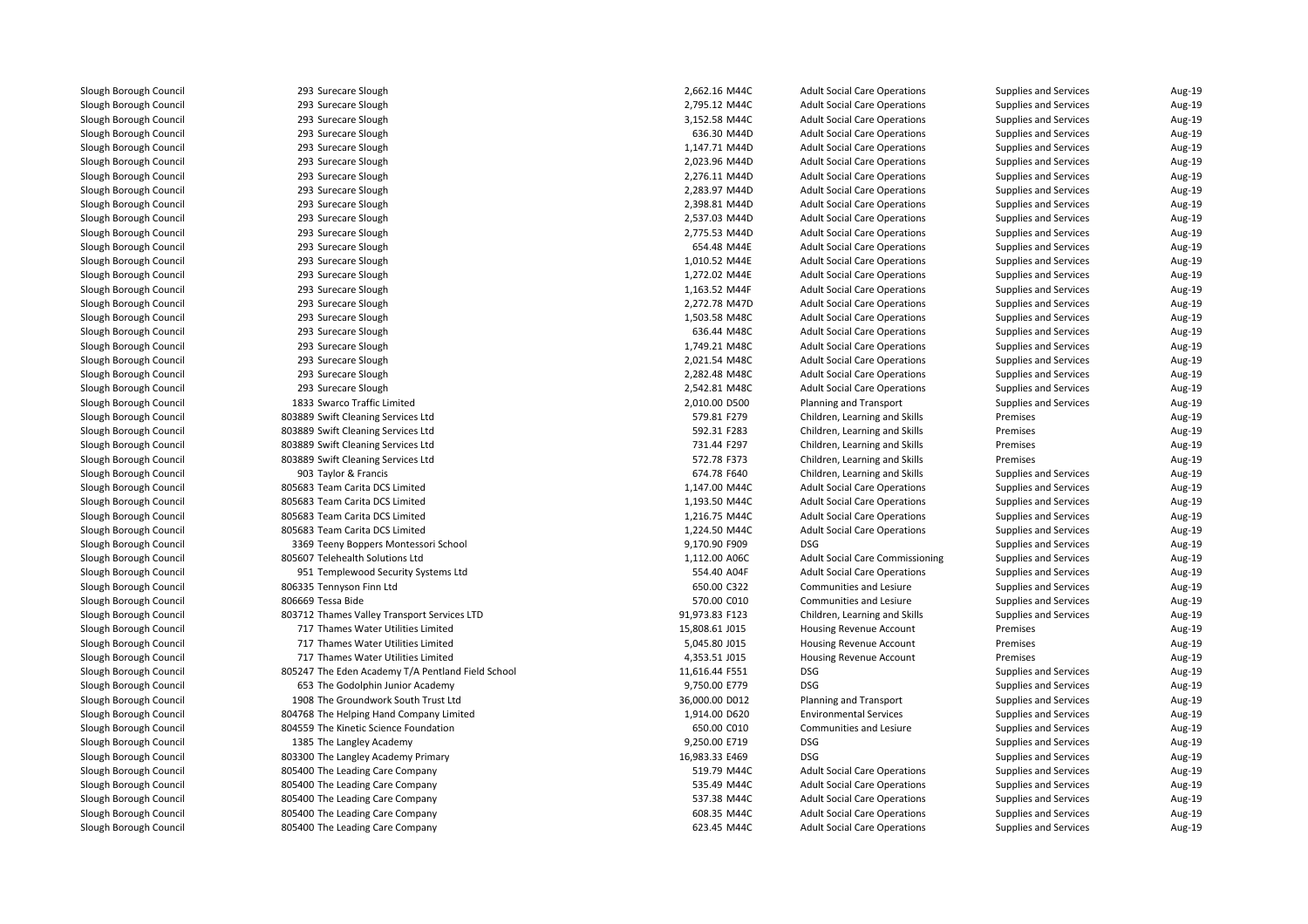| 293 Surecare Slough                               | 2,662.16 M44C  | <b>Adult Social Care Operations</b>    | Supplies and Services        | Aug-19 |
|---------------------------------------------------|----------------|----------------------------------------|------------------------------|--------|
| 293 Surecare Slough                               | 2,795.12 M44C  | <b>Adult Social Care Operations</b>    | Supplies and Services        | Aug-19 |
| 293 Surecare Slough                               | 3,152.58 M44C  | <b>Adult Social Care Operations</b>    | Supplies and Services        | Aug-19 |
| 293 Surecare Slough                               | 636.30 M44D    | <b>Adult Social Care Operations</b>    | Supplies and Services        | Aug-19 |
| 293 Surecare Slough                               | 1,147.71 M44D  | <b>Adult Social Care Operations</b>    | Supplies and Services        | Aug-19 |
| 293 Surecare Slough                               | 2,023.96 M44D  | <b>Adult Social Care Operations</b>    | Supplies and Services        | Aug-19 |
| 293 Surecare Slough                               | 2,276.11 M44D  | <b>Adult Social Care Operations</b>    | Supplies and Services        | Aug-19 |
| 293 Surecare Slough                               | 2,283.97 M44D  | <b>Adult Social Care Operations</b>    | Supplies and Services        | Aug-19 |
| 293 Surecare Slough                               | 2,398.81 M44D  | <b>Adult Social Care Operations</b>    | Supplies and Services        | Aug-19 |
| 293 Surecare Slough                               | 2,537.03 M44D  | <b>Adult Social Care Operations</b>    | Supplies and Services        | Aug-19 |
| 293 Surecare Slough                               | 2,775.53 M44D  | <b>Adult Social Care Operations</b>    | <b>Supplies and Services</b> | Aug-19 |
| 293 Surecare Slough                               | 654.48 M44E    | <b>Adult Social Care Operations</b>    | Supplies and Services        | Aug-19 |
| 293 Surecare Slough                               | 1,010.52 M44E  | <b>Adult Social Care Operations</b>    | Supplies and Services        | Aug-19 |
| 293 Surecare Slough                               | 1,272.02 M44E  | <b>Adult Social Care Operations</b>    | Supplies and Services        | Aug-19 |
| 293 Surecare Slough                               | 1,163.52 M44F  | <b>Adult Social Care Operations</b>    | Supplies and Services        | Aug-19 |
| 293 Surecare Slough                               | 2,272.78 M47D  | <b>Adult Social Care Operations</b>    | Supplies and Services        | Aug-19 |
| 293 Surecare Slough                               | 1,503.58 M48C  | <b>Adult Social Care Operations</b>    | Supplies and Services        | Aug-19 |
| 293 Surecare Slough                               | 636.44 M48C    | <b>Adult Social Care Operations</b>    | Supplies and Services        | Aug-19 |
| 293 Surecare Slough                               | 1,749.21 M48C  | <b>Adult Social Care Operations</b>    | Supplies and Services        | Aug-19 |
| 293 Surecare Slough                               | 2,021.54 M48C  | <b>Adult Social Care Operations</b>    | Supplies and Services        | Aug-19 |
| 293 Surecare Slough                               | 2,282.48 M48C  | <b>Adult Social Care Operations</b>    | Supplies and Services        | Aug-19 |
| 293 Surecare Slough                               | 2,542.81 M48C  | <b>Adult Social Care Operations</b>    | Supplies and Services        | Aug-19 |
| 1833 Swarco Traffic Limited                       | 2,010.00 D500  | Planning and Transport                 | <b>Supplies and Services</b> | Aug-19 |
| 803889 Swift Cleaning Services Ltd                | 579.81 F279    | Children, Learning and Skills          | Premises                     | Aug-19 |
| 803889 Swift Cleaning Services Ltd                | 592.31 F283    | Children, Learning and Skills          | Premises                     | Aug-19 |
| 803889 Swift Cleaning Services Ltd                | 731.44 F297    | Children, Learning and Skills          | Premises                     | Aug-19 |
| 803889 Swift Cleaning Services Ltd                | 572.78 F373    | Children, Learning and Skills          | Premises                     | Aug-19 |
| 903 Taylor & Francis                              | 674.78 F640    | Children, Learning and Skills          | Supplies and Services        | Aug-19 |
| 805683 Team Carita DCS Limited                    | 1,147.00 M44C  | <b>Adult Social Care Operations</b>    | Supplies and Services        | Aug-19 |
| 805683 Team Carita DCS Limited                    | 1,193.50 M44C  | <b>Adult Social Care Operations</b>    | Supplies and Services        | Aug-19 |
| 805683 Team Carita DCS Limited                    | 1,216.75 M44C  | <b>Adult Social Care Operations</b>    | Supplies and Services        | Aug-19 |
| 805683 Team Carita DCS Limited                    | 1,224.50 M44C  | <b>Adult Social Care Operations</b>    | Supplies and Services        | Aug-19 |
| 3369 Teeny Boppers Montessori School              | 9,170.90 F909  | <b>DSG</b>                             | Supplies and Services        | Aug-19 |
| 805607 Telehealth Solutions Ltd                   | 1,112.00 A06C  | <b>Adult Social Care Commissioning</b> | Supplies and Services        | Aug-19 |
| 951 Templewood Security Systems Ltd               | 554.40 A04F    | <b>Adult Social Care Operations</b>    | Supplies and Services        | Aug-19 |
| 806335 Tennyson Finn Ltd                          | 650.00 C322    | Communities and Lesiure                | Supplies and Services        | Aug-19 |
| 806669 Tessa Bide                                 | 570.00 C010    | Communities and Lesiure                | Supplies and Services        | Aug-19 |
| 803712 Thames Valley Transport Services LTD       | 91,973.83 F123 | Children, Learning and Skills          | Supplies and Services        | Aug-19 |
| 717 Thames Water Utilities Limited                | 15,808.61 J015 | Housing Revenue Account                | Premises                     | Aug-19 |
| 717 Thames Water Utilities Limited                | 5,045.80 J015  | Housing Revenue Account                | Premises                     | Aug-19 |
| 717 Thames Water Utilities Limited                | 4,353.51 J015  | Housing Revenue Account                | Premises                     | Aug-19 |
| 805247 The Eden Academy T/A Pentland Field School | 11,616.44 F551 | <b>DSG</b>                             | Supplies and Services        | Aug-19 |
| 653 The Godolphin Junior Academy                  | 9,750.00 E779  | <b>DSG</b>                             | Supplies and Services        | Aug-19 |
| 1908 The Groundwork South Trust Ltd               | 36,000.00 D012 | <b>Planning and Transport</b>          | Supplies and Services        | Aug-19 |
| 804768 The Helping Hand Company Limited           | 1,914.00 D620  | <b>Environmental Services</b>          | Supplies and Services        | Aug-19 |
| 804559 The Kinetic Science Foundation             | 650.00 C010    | Communities and Lesiure                | Supplies and Services        | Aug-19 |
| 1385 The Langley Academy                          | 9,250.00 E719  | <b>DSG</b>                             | Supplies and Services        | Aug-19 |
| 803300 The Langley Academy Primary                | 16,983.33 E469 | <b>DSG</b>                             | Supplies and Services        | Aug-19 |
| 805400 The Leading Care Company                   | 519.79 M44C    | <b>Adult Social Care Operations</b>    | Supplies and Services        | Aug-19 |
| 805400 The Leading Care Company                   | 535.49 M44C    | <b>Adult Social Care Operations</b>    | Supplies and Services        | Aug-19 |
| 805400 The Leading Care Company                   | 537.38 M44C    | <b>Adult Social Care Operations</b>    | <b>Supplies and Services</b> | Aug-19 |
| 805400 The Leading Care Company                   | 608.35 M44C    | <b>Adult Social Care Operations</b>    | Supplies and Services        | Aug-19 |
| 805400 The Leading Care Company                   | 623.45 M44C    | <b>Adult Social Care Operations</b>    | Supplies and Services        | Aug-19 |
|                                                   |                |                                        |                              |        |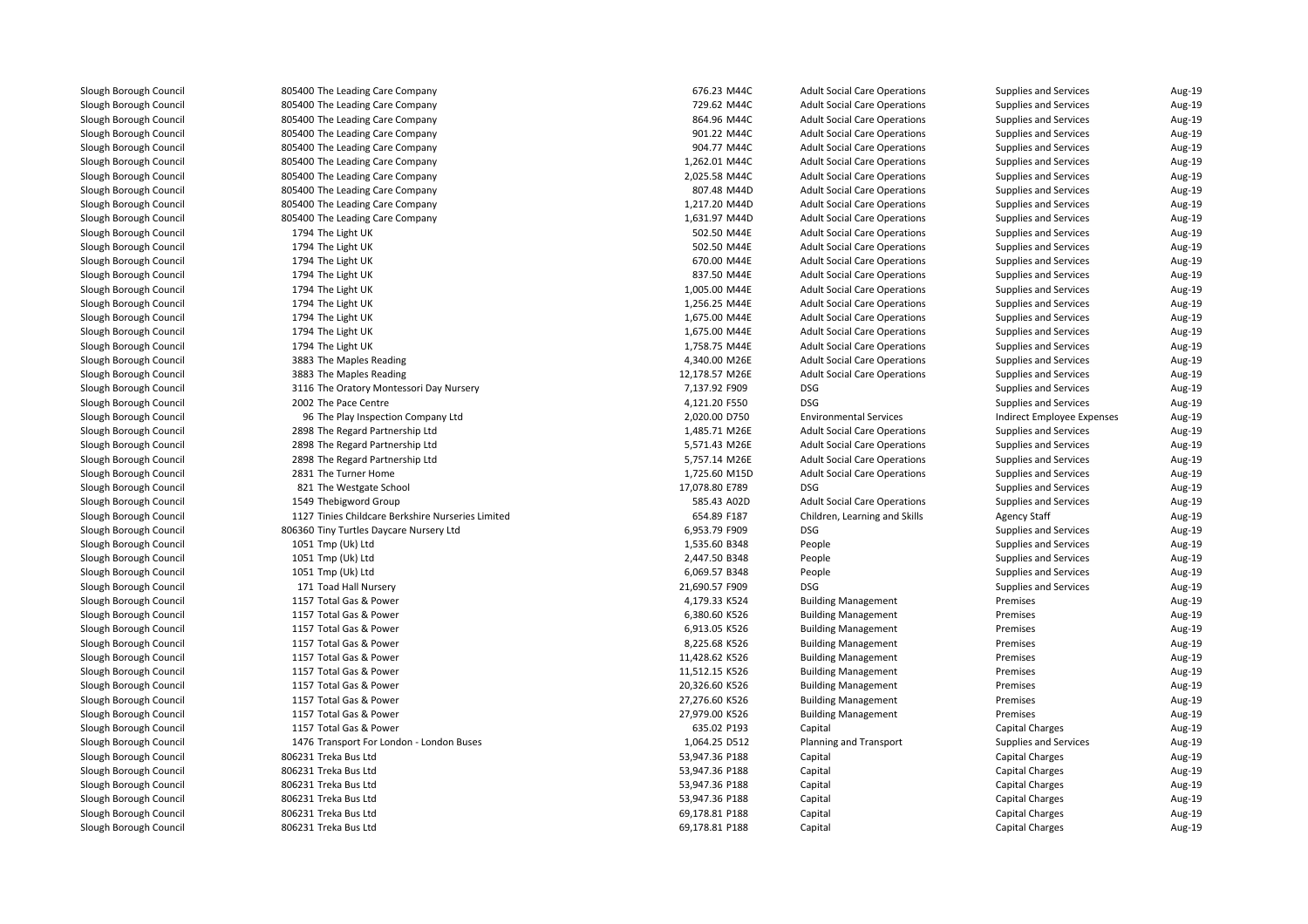| 805400 The Leading Care Company                   | 676.23 M44C    | <b>Adult Social Care Operations</b> | Supplies and Services        | Aug-19 |
|---------------------------------------------------|----------------|-------------------------------------|------------------------------|--------|
| 805400 The Leading Care Company                   | 729.62 M44C    | <b>Adult Social Care Operations</b> | Supplies and Services        | Aug-19 |
| 805400 The Leading Care Company                   | 864.96 M44C    | <b>Adult Social Care Operations</b> | Supplies and Services        | Aug-19 |
| 805400 The Leading Care Company                   | 901.22 M44C    | <b>Adult Social Care Operations</b> | Supplies and Services        | Aug-19 |
| 805400 The Leading Care Company                   | 904.77 M44C    | <b>Adult Social Care Operations</b> | Supplies and Services        | Aug-19 |
| 805400 The Leading Care Company                   | 1,262.01 M44C  | <b>Adult Social Care Operations</b> | Supplies and Services        | Aug-19 |
| 805400 The Leading Care Company                   | 2,025.58 M44C  | <b>Adult Social Care Operations</b> | Supplies and Services        | Aug-19 |
| 805400 The Leading Care Company                   | 807.48 M44D    | <b>Adult Social Care Operations</b> | Supplies and Services        | Aug-19 |
| 805400 The Leading Care Company                   | 1,217.20 M44D  | <b>Adult Social Care Operations</b> | Supplies and Services        | Aug-19 |
| 805400 The Leading Care Company                   | 1,631.97 M44D  | <b>Adult Social Care Operations</b> | Supplies and Services        | Aug-19 |
| 1794 The Light UK                                 | 502.50 M44E    | <b>Adult Social Care Operations</b> | Supplies and Services        | Aug-19 |
| 1794 The Light UK                                 | 502.50 M44E    | <b>Adult Social Care Operations</b> | Supplies and Services        | Aug-19 |
| 1794 The Light UK                                 | 670.00 M44E    | <b>Adult Social Care Operations</b> | Supplies and Services        | Aug-19 |
| 1794 The Light UK                                 | 837.50 M44E    | <b>Adult Social Care Operations</b> | Supplies and Services        | Aug-19 |
| 1794 The Light UK                                 | 1,005.00 M44E  | <b>Adult Social Care Operations</b> | Supplies and Services        | Aug-19 |
| 1794 The Light UK                                 | 1,256.25 M44E  | <b>Adult Social Care Operations</b> | Supplies and Services        | Aug-19 |
| 1794 The Light UK                                 | 1,675.00 M44E  | <b>Adult Social Care Operations</b> | Supplies and Services        | Aug-19 |
| 1794 The Light UK                                 | 1,675.00 M44E  | <b>Adult Social Care Operations</b> | Supplies and Services        | Aug-19 |
| 1794 The Light UK                                 | 1,758.75 M44E  | <b>Adult Social Care Operations</b> | Supplies and Services        | Aug-19 |
| 3883 The Maples Reading                           | 4,340.00 M26E  | <b>Adult Social Care Operations</b> | Supplies and Services        | Aug-19 |
| 3883 The Maples Reading                           | 12,178.57 M26E | <b>Adult Social Care Operations</b> | Supplies and Services        | Aug-19 |
| 3116 The Oratory Montessori Day Nursery           | 7,137.92 F909  | <b>DSG</b>                          | Supplies and Services        | Aug-19 |
| 2002 The Pace Centre                              | 4,121.20 F550  | <b>DSG</b>                          | Supplies and Services        | Aug-19 |
| 96 The Play Inspection Company Ltd                | 2,020.00 D750  | <b>Environmental Services</b>       | Indirect Employee Expenses   | Aug-19 |
| 2898 The Regard Partnership Ltd                   | 1,485.71 M26E  | <b>Adult Social Care Operations</b> | Supplies and Services        | Aug-19 |
| 2898 The Regard Partnership Ltd                   | 5,571.43 M26E  | <b>Adult Social Care Operations</b> | Supplies and Services        | Aug-19 |
| 2898 The Regard Partnership Ltd                   | 5,757.14 M26E  | <b>Adult Social Care Operations</b> | Supplies and Services        | Aug-19 |
| 2831 The Turner Home                              | 1,725.60 M15D  | <b>Adult Social Care Operations</b> | Supplies and Services        | Aug-19 |
| 821 The Westgate School                           | 17,078.80 E789 | <b>DSG</b>                          | Supplies and Services        | Aug-19 |
| 1549 Thebigword Group                             | 585.43 A02D    | <b>Adult Social Care Operations</b> | Supplies and Services        | Aug-19 |
| 1127 Tinies Childcare Berkshire Nurseries Limited | 654.89 F187    | Children, Learning and Skills       | <b>Agency Staff</b>          | Aug-19 |
| 806360 Tiny Turtles Daycare Nursery Ltd           | 6,953.79 F909  | <b>DSG</b>                          | Supplies and Services        | Aug-19 |
| 1051 Tmp (Uk) Ltd                                 | 1,535.60 B348  | People                              | Supplies and Services        | Aug-19 |
| 1051 Tmp (Uk) Ltd                                 | 2,447.50 B348  | People                              | Supplies and Services        | Aug-19 |
| 1051 Tmp (Uk) Ltd                                 | 6,069.57 B348  | People                              | Supplies and Services        | Aug-19 |
| 171 Toad Hall Nursery                             | 21,690.57 F909 | <b>DSG</b>                          | <b>Supplies and Services</b> | Aug-19 |
| 1157 Total Gas & Power                            | 4,179.33 K524  | <b>Building Management</b>          | Premises                     | Aug-19 |
| 1157 Total Gas & Power                            | 6,380.60 K526  | <b>Building Management</b>          | Premises                     | Aug-19 |
| 1157 Total Gas & Power                            | 6,913.05 K526  | <b>Building Management</b>          | Premises                     | Aug-19 |
| 1157 Total Gas & Power                            | 8,225.68 K526  | <b>Building Management</b>          | Premises                     | Aug-19 |
| 1157 Total Gas & Power                            | 11,428.62 K526 | <b>Building Management</b>          | Premises                     | Aug-19 |
| 1157 Total Gas & Power                            | 11,512.15 K526 | <b>Building Management</b>          | Premises                     | Aug-19 |
| 1157 Total Gas & Power                            | 20,326.60 K526 | <b>Building Management</b>          | Premises                     | Aug-19 |
| 1157 Total Gas & Power                            | 27,276.60 K526 | <b>Building Management</b>          | Premises                     | Aug-19 |
| 1157 Total Gas & Power                            | 27,979.00 K526 | <b>Building Management</b>          | Premises                     | Aug-19 |
| 1157 Total Gas & Power                            | 635.02 P193    | Capital                             | <b>Capital Charges</b>       | Aug-19 |
| 1476 Transport For London - London Buses          | 1,064.25 D512  | <b>Planning and Transport</b>       | Supplies and Services        | Aug-19 |
| 806231 Treka Bus Ltd                              | 53,947.36 P188 | Capital                             | <b>Capital Charges</b>       | Aug-19 |
| 806231 Treka Bus Ltd                              | 53,947.36 P188 | Capital                             | <b>Capital Charges</b>       | Aug-19 |
| 806231 Treka Bus Ltd                              | 53,947.36 P188 | Capital                             | <b>Capital Charges</b>       | Aug-19 |
| 806231 Treka Bus Ltd                              | 53,947.36 P188 | Capital                             | <b>Capital Charges</b>       | Aug-19 |
| 806231 Treka Bus Ltd                              | 69,178.81 P188 | Capital                             | <b>Capital Charges</b>       | Aug-19 |
| 806231 Treka Bus Ltd                              | 69,178.81 P188 | Capital                             | <b>Capital Charges</b>       | Aug-19 |
|                                                   |                |                                     |                              |        |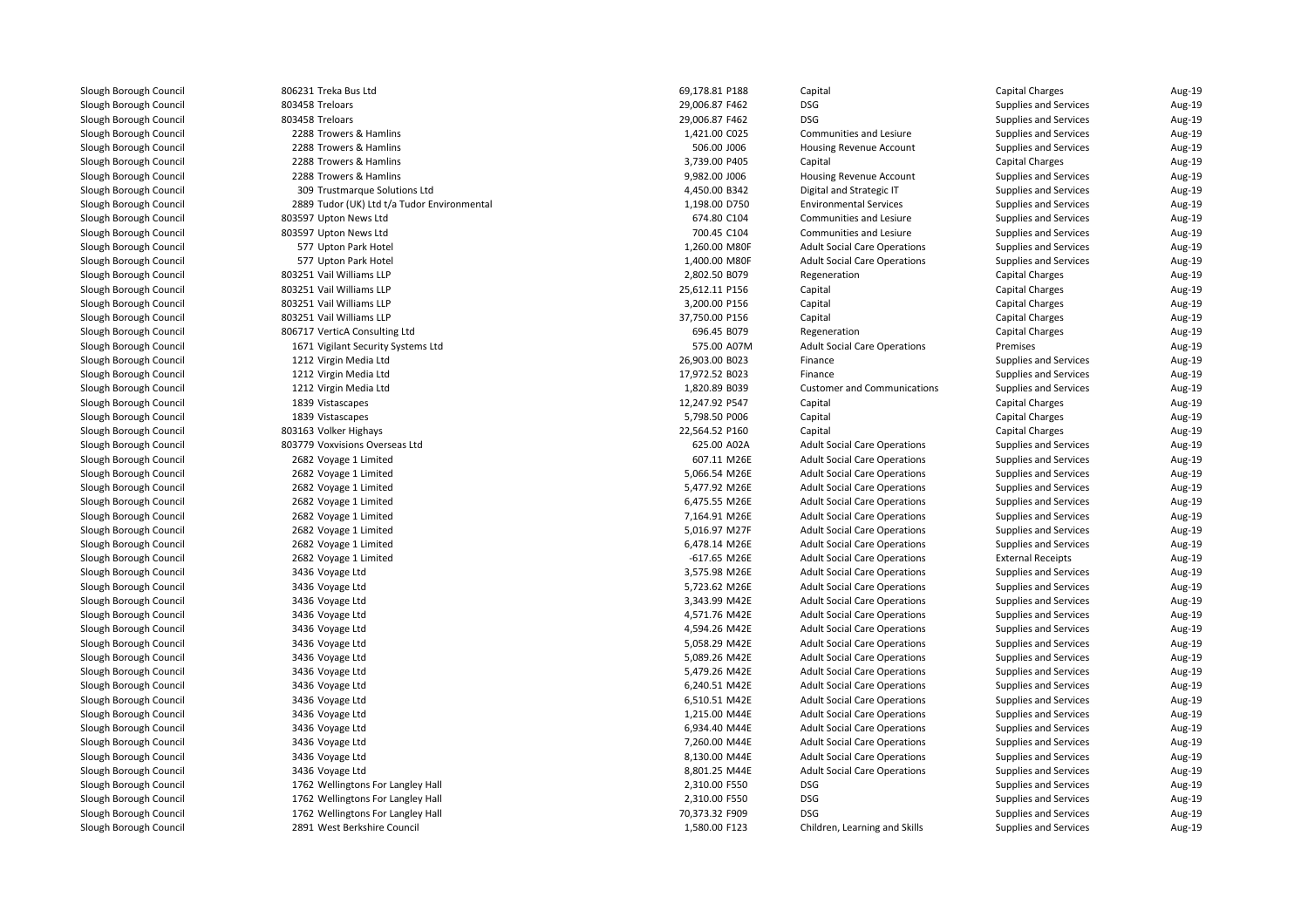| 806231 Treka Bus Ltd                        | 69,178.81 P188 | Capital                             | <b>Capital Charges</b>       | Aug-19           |
|---------------------------------------------|----------------|-------------------------------------|------------------------------|------------------|
| 803458 Treloars                             | 29,006.87 F462 | DSG                                 | Supplies and Services        | Aug-19           |
| 803458 Treloars                             | 29,006.87 F462 | <b>DSG</b>                          | Supplies and Services        | Aug-19           |
| 2288 Trowers & Hamlins                      | 1,421.00 C025  | Communities and Lesiure             | Supplies and Services        | Aug-19           |
| 2288 Trowers & Hamlins                      | 506.00 J006    | Housing Revenue Account             | Supplies and Services        | Aug-19           |
| 2288 Trowers & Hamlins                      | 3,739.00 P405  | Capital                             | <b>Capital Charges</b>       | Aug-19           |
| 2288 Trowers & Hamlins                      | 9,982.00 J006  | Housing Revenue Account             | Supplies and Services        | Aug-19           |
| 309 Trustmarque Solutions Ltd               | 4,450.00 B342  | Digital and Strategic IT            | Supplies and Services        | Aug-19           |
| 2889 Tudor (UK) Ltd t/a Tudor Environmental | 1,198.00 D750  | <b>Environmental Services</b>       | Supplies and Services        | Aug-19           |
| 803597 Upton News Ltd                       | 674.80 C104    | <b>Communities and Lesiure</b>      | Supplies and Services        | Aug-19           |
| 803597 Upton News Ltd                       | 700.45 C104    | Communities and Lesiure             | Supplies and Services        | Aug-19           |
| 577 Upton Park Hotel                        | 1,260.00 M80F  | <b>Adult Social Care Operations</b> | Supplies and Services        | Aug-19           |
| 577 Upton Park Hotel                        | 1,400.00 M80F  | <b>Adult Social Care Operations</b> | Supplies and Services        | Aug-19           |
| 803251 Vail Williams LLP                    | 2,802.50 B079  | Regeneration                        | <b>Capital Charges</b>       | Aug-19           |
| 803251 Vail Williams LLP                    | 25,612.11 P156 | Capital                             | <b>Capital Charges</b>       | Aug-19           |
| 803251 Vail Williams LLP                    | 3,200.00 P156  | Capital                             | <b>Capital Charges</b>       | Aug-19           |
| 803251 Vail Williams LLP                    | 37,750.00 P156 | Capital                             | <b>Capital Charges</b>       | Aug-19           |
| 806717 VerticA Consulting Ltd               | 696.45 B079    | Regeneration                        | <b>Capital Charges</b>       | Aug-19           |
| 1671 Vigilant Security Systems Ltd          | 575.00 A07M    | <b>Adult Social Care Operations</b> | Premises                     | Aug-19           |
| 1212 Virgin Media Ltd                       | 26,903.00 B023 | Finance                             | Supplies and Services        | Aug-19           |
| 1212 Virgin Media Ltd                       | 17,972.52 B023 | Finance                             | Supplies and Services        | Aug-19           |
| 1212 Virgin Media Ltd                       | 1,820.89 B039  | <b>Customer and Communications</b>  | Supplies and Services        | Aug-19           |
| 1839 Vistascapes                            | 12,247.92 P547 | Capital                             | <b>Capital Charges</b>       | Aug-19           |
| 1839 Vistascapes                            | 5,798.50 P006  | Capital                             | <b>Capital Charges</b>       | Aug-19           |
| 803163 Volker Highays                       | 22,564.52 P160 | Capital                             | <b>Capital Charges</b>       | Aug-19           |
| 803779 Voxvisions Overseas Ltd              | 625.00 A02A    | <b>Adult Social Care Operations</b> | Supplies and Services        | Aug-19           |
| 2682 Voyage 1 Limited                       | 607.11 M26E    | <b>Adult Social Care Operations</b> | Supplies and Services        | Aug-19           |
| 2682 Voyage 1 Limited                       | 5,066.54 M26E  | <b>Adult Social Care Operations</b> | Supplies and Services        | Aug-19           |
| 2682 Voyage 1 Limited                       | 5,477.92 M26E  | <b>Adult Social Care Operations</b> | <b>Supplies and Services</b> | Aug-19           |
| 2682 Voyage 1 Limited                       | 6,475.55 M26E  | <b>Adult Social Care Operations</b> | Supplies and Services        | Aug-19           |
| 2682 Voyage 1 Limited                       | 7,164.91 M26E  | <b>Adult Social Care Operations</b> | Supplies and Services        | Aug-19           |
| 2682 Voyage 1 Limited                       | 5,016.97 M27F  | <b>Adult Social Care Operations</b> | Supplies and Services        | Aug-19           |
| 2682 Voyage 1 Limited                       | 6,478.14 M26E  | <b>Adult Social Care Operations</b> | Supplies and Services        |                  |
| 2682 Voyage 1 Limited                       | $-617.65$ M26E | <b>Adult Social Care Operations</b> | <b>External Receipts</b>     | Aug-19<br>Aug-19 |
|                                             | 3,575.98 M26E  | <b>Adult Social Care Operations</b> | Supplies and Services        | Aug-19           |
| 3436 Voyage Ltd                             | 5,723.62 M26E  | <b>Adult Social Care Operations</b> | Supplies and Services        | Aug-19           |
| 3436 Voyage Ltd                             | 3,343.99 M42E  |                                     |                              | Aug-19           |
| 3436 Voyage Ltd                             |                | <b>Adult Social Care Operations</b> | Supplies and Services        |                  |
| 3436 Voyage Ltd                             | 4,571.76 M42E  | <b>Adult Social Care Operations</b> | Supplies and Services        | Aug-19           |
| 3436 Voyage Ltd                             | 4,594.26 M42E  | <b>Adult Social Care Operations</b> | Supplies and Services        | Aug-19           |
| 3436 Voyage Ltd                             | 5,058.29 M42E  | <b>Adult Social Care Operations</b> | Supplies and Services        | Aug-19           |
| 3436 Voyage Ltd                             | 5,089.26 M42E  | <b>Adult Social Care Operations</b> | Supplies and Services        | Aug-19           |
| 3436 Voyage Ltd                             | 5,479.26 M42E  | <b>Adult Social Care Operations</b> | Supplies and Services        | Aug-19           |
| 3436 Voyage Ltd                             | 6,240.51 M42E  | <b>Adult Social Care Operations</b> | Supplies and Services        | Aug-19           |
| 3436 Voyage Ltd                             | 6,510.51 M42E  | <b>Adult Social Care Operations</b> | Supplies and Services        | Aug-19           |
| 3436 Voyage Ltd                             | 1,215.00 M44E  | <b>Adult Social Care Operations</b> | Supplies and Services        | Aug-19           |
| 3436 Voyage Ltd                             | 6,934.40 M44E  | <b>Adult Social Care Operations</b> | Supplies and Services        | Aug-19           |
| 3436 Voyage Ltd                             | 7,260.00 M44E  | <b>Adult Social Care Operations</b> | Supplies and Services        | Aug-19           |
| 3436 Voyage Ltd                             | 8,130.00 M44E  | <b>Adult Social Care Operations</b> | Supplies and Services        | Aug-19           |
| 3436 Voyage Ltd                             | 8,801.25 M44E  | <b>Adult Social Care Operations</b> | Supplies and Services        | Aug-19           |
| 1762 Wellingtons For Langley Hall           | 2,310.00 F550  | <b>DSG</b>                          | Supplies and Services        | Aug-19           |
| 1762 Wellingtons For Langley Hall           | 2,310.00 F550  | <b>DSG</b>                          | Supplies and Services        | Aug-19           |
| 1762 Wellingtons For Langley Hall           | 70,373.32 F909 | <b>DSG</b>                          | Supplies and Services        | Aug-19           |
| 2891 West Berkshire Council                 | 1,580.00 F123  | Children, Learning and Skills       | Supplies and Services        | Aug-19           |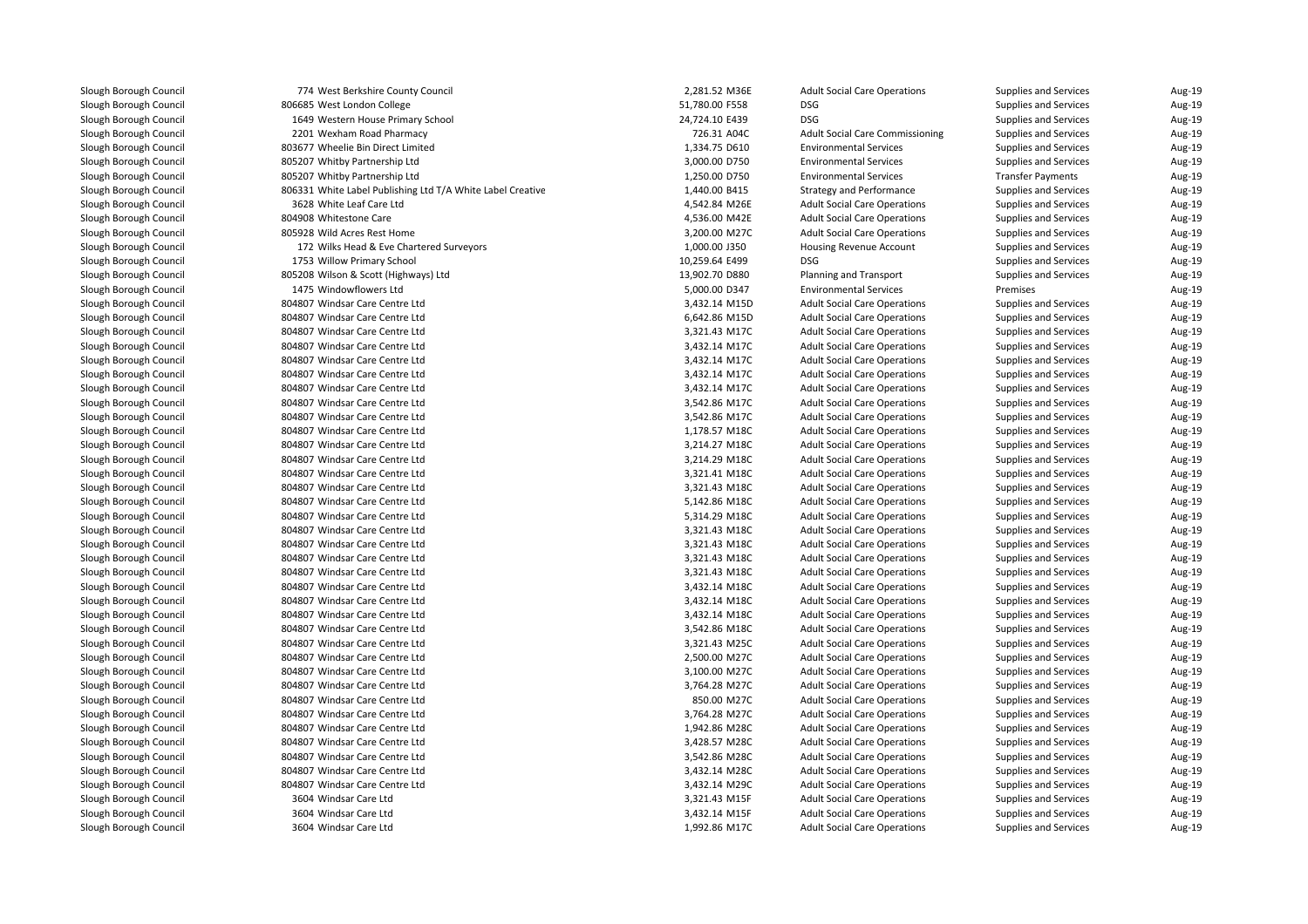| 774 West Berkshire County Council                                | 2,281.52 M36E  | <b>Adult Social Care Operations</b>    | Supplies and Services        | Aug-19           |
|------------------------------------------------------------------|----------------|----------------------------------------|------------------------------|------------------|
| 806685 West London College                                       | 51,780.00 F558 | <b>DSG</b>                             | Supplies and Services        | Aug-19           |
| 1649 Western House Primary School                                | 24,724.10 E439 | <b>DSG</b>                             | Supplies and Services        | Aug-19           |
| 2201 Wexham Road Pharmacy                                        | 726.31 A04C    | <b>Adult Social Care Commissioning</b> | Supplies and Services        | Aug-19           |
| 803677 Wheelie Bin Direct Limited                                | 1,334.75 D610  | <b>Environmental Services</b>          | Supplies and Services        | Aug-19           |
| 805207 Whitby Partnership Ltd                                    | 3,000.00 D750  | <b>Environmental Services</b>          | Supplies and Services        | Aug-19           |
| 805207 Whitby Partnership Ltd                                    | 1,250.00 D750  | <b>Environmental Services</b>          | <b>Transfer Payments</b>     | Aug-19           |
| 806331 White Label Publishing Ltd T/A White Label Creative       | 1,440.00 B415  | <b>Strategy and Performance</b>        | Supplies and Services        | Aug-19           |
| 3628 White Leaf Care Ltd                                         | 4,542.84 M26E  | <b>Adult Social Care Operations</b>    | Supplies and Services        | Aug-19           |
| 804908 Whitestone Care                                           | 4,536.00 M42E  | <b>Adult Social Care Operations</b>    | Supplies and Services        | Aug-19           |
| 805928 Wild Acres Rest Home                                      | 3,200.00 M27C  | <b>Adult Social Care Operations</b>    | Supplies and Services        | Aug-19           |
| 172 Wilks Head & Eve Chartered Surveyors                         | 1,000.00 J350  | Housing Revenue Account                | Supplies and Services        | Aug-19           |
| 1753 Willow Primary School                                       | 10,259.64 E499 | <b>DSG</b>                             | Supplies and Services        | Aug-19           |
| 805208 Wilson & Scott (Highways) Ltd                             | 13,902.70 D880 | <b>Planning and Transport</b>          | Supplies and Services        | Aug-19           |
| 1475 Windowflowers Ltd                                           | 5,000.00 D347  | <b>Environmental Services</b>          | Premises                     | Aug-19           |
| 804807 Windsar Care Centre Ltd                                   | 3,432.14 M15D  | <b>Adult Social Care Operations</b>    | Supplies and Services        | Aug-19           |
| 804807 Windsar Care Centre Ltd                                   | 6,642.86 M15D  | <b>Adult Social Care Operations</b>    | Supplies and Services        | Aug-19           |
| 804807 Windsar Care Centre Ltd                                   | 3,321.43 M17C  | <b>Adult Social Care Operations</b>    | Supplies and Services        | Aug-19           |
| 804807 Windsar Care Centre Ltd                                   | 3,432.14 M17C  | <b>Adult Social Care Operations</b>    | Supplies and Services        | Aug-19           |
| 804807 Windsar Care Centre Ltd                                   | 3,432.14 M17C  | <b>Adult Social Care Operations</b>    | Supplies and Services        | Aug-19           |
| 804807 Windsar Care Centre Ltd                                   | 3,432.14 M17C  | <b>Adult Social Care Operations</b>    | Supplies and Services        | Aug-19           |
| 804807 Windsar Care Centre Ltd                                   | 3,432.14 M17C  | <b>Adult Social Care Operations</b>    | Supplies and Services        | Aug-19           |
| 804807 Windsar Care Centre Ltd                                   | 3,542.86 M17C  | <b>Adult Social Care Operations</b>    | Supplies and Services        | Aug-19           |
| 804807 Windsar Care Centre Ltd                                   | 3,542.86 M17C  | <b>Adult Social Care Operations</b>    | Supplies and Services        | Aug-19           |
| 804807 Windsar Care Centre Ltd                                   | 1,178.57 M18C  | <b>Adult Social Care Operations</b>    | Supplies and Services        | Aug-19           |
| 804807 Windsar Care Centre Ltd                                   | 3,214.27 M18C  | <b>Adult Social Care Operations</b>    | Supplies and Services        | Aug-19           |
| 804807 Windsar Care Centre Ltd                                   | 3,214.29 M18C  | <b>Adult Social Care Operations</b>    | Supplies and Services        | Aug-19           |
| 804807 Windsar Care Centre Ltd                                   | 3,321.41 M18C  | <b>Adult Social Care Operations</b>    | Supplies and Services        | Aug-19           |
| 804807 Windsar Care Centre Ltd                                   | 3,321.43 M18C  | <b>Adult Social Care Operations</b>    | Supplies and Services        | Aug-19           |
| 804807 Windsar Care Centre Ltd                                   | 5,142.86 M18C  | <b>Adult Social Care Operations</b>    | Supplies and Services        | Aug-19           |
| 804807 Windsar Care Centre Ltd                                   | 5,314.29 M18C  | <b>Adult Social Care Operations</b>    | Supplies and Services        | Aug-19           |
| 804807 Windsar Care Centre Ltd                                   | 3,321.43 M18C  | <b>Adult Social Care Operations</b>    | Supplies and Services        | Aug-19           |
| 804807 Windsar Care Centre Ltd                                   | 3,321.43 M18C  | <b>Adult Social Care Operations</b>    | Supplies and Services        | Aug-19           |
| 804807 Windsar Care Centre Ltd                                   | 3,321.43 M18C  | <b>Adult Social Care Operations</b>    | Supplies and Services        | Aug-19           |
| 804807 Windsar Care Centre Ltd                                   | 3,321.43 M18C  | <b>Adult Social Care Operations</b>    | Supplies and Services        | Aug-19           |
| 804807 Windsar Care Centre Ltd                                   | 3,432.14 M18C  | <b>Adult Social Care Operations</b>    | Supplies and Services        | Aug-19           |
| 804807 Windsar Care Centre Ltd                                   | 3,432.14 M18C  | <b>Adult Social Care Operations</b>    | Supplies and Services        | Aug-19           |
| 804807 Windsar Care Centre Ltd                                   | 3,432.14 M18C  | <b>Adult Social Care Operations</b>    | Supplies and Services        | Aug-19           |
| 804807 Windsar Care Centre Ltd                                   | 3,542.86 M18C  | <b>Adult Social Care Operations</b>    | Supplies and Services        | Aug-19           |
| 804807 Windsar Care Centre Ltd                                   | 3,321.43 M25C  | <b>Adult Social Care Operations</b>    | Supplies and Services        | Aug-19           |
| 804807 Windsar Care Centre Ltd                                   | 2,500.00 M27C  | <b>Adult Social Care Operations</b>    | Supplies and Services        | Aug-19           |
| 804807 Windsar Care Centre Ltd                                   | 3,100.00 M27C  | <b>Adult Social Care Operations</b>    | Supplies and Services        | Aug-19           |
| 804807 Windsar Care Centre Ltd                                   | 3,764.28 M27C  | <b>Adult Social Care Operations</b>    | Supplies and Services        | Aug-19           |
| 804807 Windsar Care Centre Ltd                                   | 850.00 M27C    | <b>Adult Social Care Operations</b>    | Supplies and Services        | Aug-19           |
| 804807 Windsar Care Centre Ltd                                   | 3,764.28 M27C  | <b>Adult Social Care Operations</b>    | Supplies and Services        | Aug-19           |
| 804807 Windsar Care Centre Ltd                                   | 1,942.86 M28C  | <b>Adult Social Care Operations</b>    | <b>Supplies and Services</b> | Aug-19           |
| 804807 Windsar Care Centre Ltd                                   | 3,428.57 M28C  | <b>Adult Social Care Operations</b>    | Supplies and Services        | Aug-19           |
|                                                                  |                |                                        |                              |                  |
| 804807 Windsar Care Centre Ltd<br>804807 Windsar Care Centre Ltd | 3,542.86 M28C  | <b>Adult Social Care Operations</b>    | Supplies and Services        | Aug-19<br>Aug-19 |
|                                                                  | 3,432.14 M28C  | <b>Adult Social Care Operations</b>    | Supplies and Services        |                  |
| 804807 Windsar Care Centre Ltd                                   | 3,432.14 M29C  | <b>Adult Social Care Operations</b>    | Supplies and Services        | Aug-19           |
| 3604 Windsar Care Ltd                                            | 3,321.43 M15F  | <b>Adult Social Care Operations</b>    | Supplies and Services        | Aug-19           |
| 3604 Windsar Care Ltd                                            | 3,432.14 M15F  | <b>Adult Social Care Operations</b>    | Supplies and Services        | Aug-19           |
| 3604 Windsar Care Ltd                                            | 1,992.86 M17C  | <b>Adult Social Care Operations</b>    | Supplies and Services        | Aug-19           |